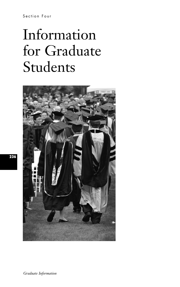Section Four

# Information for Graduate Students



*Graduate Information*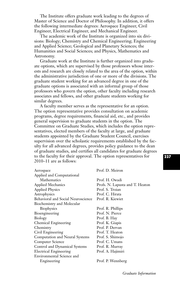The Institute offers graduate work leading to the degrees of Master of Science and Doctor of Philosophy. In addition, it offers the following intermediate degrees: Aerospace Engineer, Civil Engineer, Electrical Engineer, and Mechanical Engineer.

The academic work of the Institute is organized into six divisions: Biology; Chemistry and Chemical Engineering; Engineering and Applied Science; Geological and Planetary Sciences; the Humanities and Social Sciences; and Physics, Mathematics and Astronomy.

Graduate work at the Institute is further organized into graduate options, which are supervised by those professors whose interests and research are closely related to the area of the option, within the administrative jurisdiction of one or more of the divisions. The graduate student working for an advanced degree in one of the graduate options is associated with an informal group of those professors who govern the option, other faculty including research associates and fellows, and other graduate students working for similar degrees.

A faculty member serves as the representative for an option. The option representative provides consultation on academic programs, degree requirements, financial aid, etc., and provides general supervision to graduate students in the option. The Committee on Graduate Studies, which includes the option representatives, elected members of the faculty at large, and graduate students appointed by the Graduate Student Council, exercises supervision over the scholastic requirements established by the faculty for all advanced degrees, provides policy guidance to the dean of graduate studies, and certifies all candidates for graduate degrees to the faculty for their approval. The option representatives for 2010–11 are as follows:

| Aerospace                          | Prof. D. Meiron                 |
|------------------------------------|---------------------------------|
| Applied and Computational          |                                 |
| Mathematics                        | Prof. H. Owadi                  |
| <b>Applied Mechanics</b>           | Profs. N. Lapusta and T. Heaton |
| <b>Applied Physics</b>             | Prof. S. Troian                 |
| Astrophysics                       | Prof. C. Hirata                 |
| Behavioral and Social Neuroscience | Prof. R. Kiewiet                |
| Biochemistry and Molecular         |                                 |
| <b>Biophysics</b>                  | Prof. R. Phillips               |
| Bioengineering                     | Prof. N. Pierce                 |
| Biology                            | Prof. B. Hay                    |
| Chemical Engineering               | Prof. K. Giapis                 |
| Chemistry                          | Prof. P. Dervan                 |
| Civil Engineering                  | Prof. T. Heaton                 |
| Computation and Neural Systems     | Prof. S. Shimojo                |
| Computer Science                   | Prof. C. Umans                  |
| Control and Dynamical Systems      | Prof. R. Murray                 |
| <b>Electrical Engineering</b>      | Prof. A. Hajimiri               |
| Environmental Science and          |                                 |
| Engineering                        | Prof. P. Wennberg               |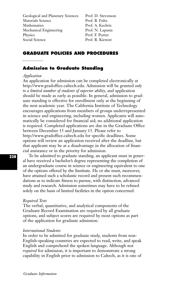| Geological and Planetary Sciences | Prof. D. Stevenson |
|-----------------------------------|--------------------|
| Materials Science                 | Prof. B. Fultz     |
| Mathematics                       | Prof. A. Kechris   |
| Mechanical Engineering            | Prof. N. Lapusta   |
| Physics                           | Prof. F. Porter    |
| Social Science                    | Prof. R. Kiewiet   |
|                                   |                    |

## **GRADUATE POLICIES AND PROCEDURES**

#### 

## **Admission to Graduate Standing**

#### *Application*

An application for admission can be completed electronically at http://www.gradoffice.caltech.edu. Admission will be granted *only to a limited number of students of superior ability,* and application should be made as early as possible. In general, admission to graduate standing is effective for enrollment only at the beginning of the next academic year. The California Institute of Technology encourages applications from members of groups underrepresented in science and engineering, including women. Applicants will automatically be considered for financial aid; no additional application is required. Completed applications are due in the Graduate Office between December 15 and January 15. Please refer to http://www.gradoffice.caltech.edu for specific deadlines. Some options will review an application received after the deadline, but that applicant may be at a disadvantage in the allocation of financial assistance or in the priority for admission.

To be admitted to graduate standing, an applicant must in general have received a bachelor's degree representing the completion of an undergraduate course in science or engineering equivalent to one of the options offered by the Institute. He or she must, moreover, have attained such a scholastic record and present such recommendations as to indicate fitness to pursue, with distinction, advanced study and research. Admission sometimes may have to be refused solely on the basis of limited facilities in the option concerned.

#### *Required Tests*

The verbal, quantitative, and analytical components of the Graduate Record Examination are required by all graduate options, and subject scores are required by most options as part of the application for graduate admission.

#### *International Students*

In order to be admitted for graduate study, students from non-English-speaking countries are expected to read, write, and speak English and comprehend the spoken language. Although not *required* for admission, it is important to demonstrate a strong capability in English prior to admission to Caltech, as it is one of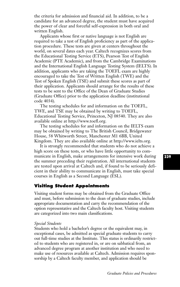the criteria for admission and financial aid. In addition, to be a candidate for an advanced degree, the student must have acquired the power of clear and forceful self-expression in both oral and written English.

Applicants whose first or native language is not English are required to take a test of English proficiency as part of the application procedure. These tests are given at centers throughout the world, on several dates each year. Caltech recognizes scores from the Educational Testing Service (ETS), Pearson Test of English Academic (PTE Academic), and from the Cambridge Examinations and the International English Language Testing System (IELTS). In addition, applicants who are taking the TOEFL exam are highly encouraged to take the Test of Written English (TWE) and the Test of Spoken English (TSE) and submit these scores as part of their application. Applicants should arrange for the results of these tests to be sent to the Office of the Dean of Graduate Studies (Graduate Office) prior to the application deadline (institutional code 4034).

The testing schedules for and information on the TOEFL, TWE, and TSE may be obtained by writing to TOEFL, Educational Testing Service, Princeton, NJ 08540. They are also available online at http://www.toefl.org.

The testing schedules for and information on the IELTS exam may be obtained by writing to The British Council, Bridgewater House, 58 Whitworth Street, Manchester M1 6BB, United Kingdom. They are also available online at http://www.ielts.org.

It is strongly recommended that students who do not achieve a high score on these tests, or who have little opportunity to communicate in English, make arrangements for intensive work during the summer preceding their registration. All international students are tested upon arrival at Caltech and, if found to be seriously deficient in their ability to communicate in English, must take special courses in English as a Second Language (ESL).

## **Visiting Student Appointments**

Visiting student forms may be obtained from the Graduate Office and must, before submission to the dean of graduate studies, include appropriate documentation and carry the recommendation of the option representative and the Caltech faculty host. Visiting students are categorized into two main classifications.

## *Special Students*

Students who hold a bachelor's degree or the equivalent may, in exceptional cases, be admitted as special graduate students to carry out full-time studies at the Institute. This status is ordinarily restricted to students who are registered in, or are on sabbatical from, an advanced degree program at another institution and who need to make use of resources available at Caltech. Admission requires sponsorship by a Caltech faculty member, and application should be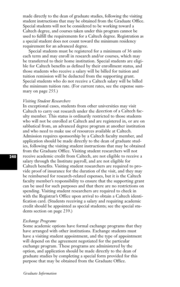made directly to the dean of graduate studies, following the visiting student instructions that may be obtained from the Graduate Office. Special students will not be considered to be working toward a Caltech degree, and courses taken under this program cannot be used to fulfill the requirements for a Caltech degree. Registration as a special student does not count toward the minimum residency requirement for an advanced degree.

Special students must be registered for a minimum of 36 units each term and may enroll in research and/or courses, which may be transferred to their home institution. Special students are eligible for Caltech benefits as defined by their enrollment status, and those students who receive a salary will be billed for tuition and tuition remission will be deducted from the supporting grant. Special students who do not receive a Caltech salary will be billed the minimum tuition rate. (For current rates, see the expense summary on page 255.)

## *Visiting Student Researchers*

In exceptional cases, students from other universities may visit Caltech to carry out research under the direction of a Caltech faculty member. This status is ordinarily restricted to those students who will not be enrolled at Caltech and are registered in, or are on sabbatical from, an advanced degree program at another institution and who need to make use of resources available at Caltech. Admission requires sponsorship by a Caltech faculty member, and application should be made directly to the dean of graduate studies, following the visiting student instructions that may be obtained from the Graduate Office. Visiting student researchers will not receive academic credit from Caltech, are not eligible to receive a salary through the Institute payroll, and are not eligible for Caltech benefits. Visiting student researchers are required to provide proof of insurance for the duration of the visit, and they may be reimbursed for research-related expenses, but it is the Caltech faculty member's responsibility to ensure that the supporting grant can be used for such purposes and that there are no restrictions on spending. Visiting student researchers are required to check in with the Registrar's Office upon arrival to obtain a Caltech identification card. (Students receiving a salary and requiring academic credit should be appointed as special students; see the special students section on page 239.)

#### *Exchange Programs*

Some academic options have formal exchange programs that they have arranged with other institutions. Exchange students must have a visiting student appointment, and the type of appointment will depend on the agreement negotiated for the particular exchange program. These programs are administered by the option, and application should be made directly to the dean of graduate studies by completing a special form provided for this purpose that may be obtained from the Graduate Office.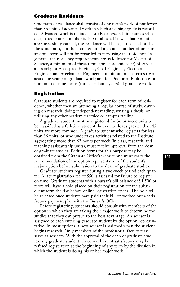## **Graduate Residence**

One term of residence shall consist of one term's work of not fewer than 36 units of advanced work in which a passing grade is recorded. Advanced work is defined as study or research in courses whose designated course number is 100 or above. If fewer than 36 units are successfully carried, the residence will be regarded as short by the same ratio, but the completion of a greater number of units in any one term will not be regarded as increasing the residence. In general, the residency requirements are as follows: for Master of Science, a minimum of three terms (one academic year) of graduate work; for Aerospace Engineer, Civil Engineer, Electrical Engineer, and Mechanical Engineer, a minimum of six terms (two academic years) of graduate work; and for Doctor of Philosophy, a minimum of nine terms (three academic years) of graduate work.

## **Registration**

Graduate students are required to register for each term of residence, whether they are attending a regular course of study, carrying on research, doing independent reading, writing a thesis, or utilizing any other academic service or campus facility.

A graduate student must be registered for 36 or more units to be classified as a full-time student, but course loads greater than 45 units are more common. A graduate student who registers for less than 36 units, or who undertakes activities related to the Institute aggregating more than 62 hours per week (in class, research, and teaching assistantship units), must receive approval from the dean of graduate studies. Petition forms for this purpose may be obtained from the Graduate Office's website and must carry the recommendation of the option representative of the student's major option before submission to the dean of graduate studies.

Graduate students register during a two-week period each quarter. A late registration fee of \$50 is assessed for failure to register on time. Graduate students with a bursar's bill balance of \$1,500 or more will have a hold placed on their registration for the subsequent term the day before online registration opens. The hold will be released once students have paid their bill or worked out a satisfactory payment plan with the Bursar's Office.

Before registering, students should consult with members of the option in which they are taking their major work to determine the studies that they can pursue to the best advantage. An adviser is assigned to each entering graduate student by the option representative. In most options, a new adviser is assigned when the student begins research. Only members of the professorial faculty may serve as advisers. With the approval of the dean of graduate studies, any graduate student whose work is not satisfactory may be refused registration at the beginning of any term by the division in which the student is doing his or her major work.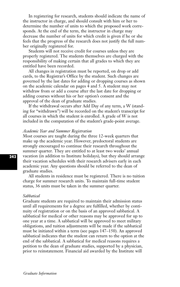In registering for research, students should indicate the name of the instructor in charge, and should consult with him or her to determine the number of units to which the proposed work corresponds. At the end of the term, the instructor in charge may decrease the number of units for which credit is given if he or she feels that the progress of the research does not justify the full number originally registered for.

Students will not receive credit for courses unless they are properly registered. The students themselves are charged with the responsibility of making certain that all grades to which they are entitled have been recorded.

All changes in registration must be reported, on drop or add cards, to the Registrar's Office by the student. Such changes are governed by the last dates for adding or dropping courses as shown on the academic calendar on pages 4 and 5. A student may not withdraw from or add a course after the last date for dropping or adding courses without his or her option's consent and the approval of the dean of graduate studies.

If the withdrawal occurs after Add Day of any term, a W (standing for "withdrawn") will be recorded on the student's transcript for all courses in which the student is enrolled. A grade of W is not included in the computation of the student's grade-point average.

#### *Academic Year and Summer Registration*

Most courses are taught during the three 12-week quarters that make up the academic year. However, predoctoral students are strongly encouraged to continue their research throughout the summer quarter. They are entitled to at least two weeks' annual vacation (in addition to Institute holidays), but they should arrange their vacation schedules with their research advisers early in each academic year. Any questions should be referred to the dean of graduate studies.

All students in residence must be registered. There is no tuition charge for summer research units. To maintain full-time student status, 36 units must be taken in the summer quarter.

#### *Sabbatical*

Graduate students are required to maintain their admission status until all requirements for a degree are fulfilled, whether by continuity of registration or on the basis of an approved sabbatical. A sabbatical for medical or other reasons may be approved for up to one year at a time. A sabbatical will be approved to meet military obligations, and tuition adjustments will be made if the sabbatical must be initiated within a term (see pages 147–150). An approved sabbatical indicates that the student can return to the option at the end of the sabbatical. A sabbatical for medical reasons requires a petition to the dean of graduate studies, supported by a physician, prior to reinstatement. Financial aid awarded by the Institute will

*Graduate Information*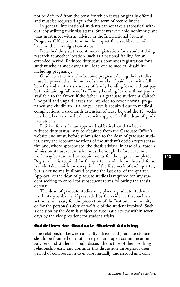not be deferred from the term for which it was originally offered and must be requested again for the term of reenrollment.

In general, international students cannot take a sabbatical without jeopardizing their visa status. Students who hold nonimmigrant visas must meet with an adviser in the International Student Programs Office to determine the impact that a sabbatical will have on their immigration status.

Detached duty status continues registration for a student doing research at another location, such as a national facility, for an extended period. Reduced duty status continues registration for a student who cannot carry a full load due to medical disability, including pregnancy.

Graduate students who become pregnant during their studies must be provided a minimum of six weeks of paid leave with full benefits and another six weeks of family bonding leave without pay but maintaining full benefits. Family bonding leave without pay is available to the father, if the father is a graduate student at Caltech. The paid and unpaid leaves are intended to cover normal pregnancy and childbirth. If a longer leave is required due to medical complications, a six-month extension of leave beyond the 12 weeks may be taken as a medical leave with approval of the dean of graduate studies.

Petition forms for an approved sabbatical, or detached or reduced duty status, may be obtained from the Graduate Office's website and must, before submission to the dean of graduate studies, carry the recommendations of the student's option representative and, where appropriate, the thesis adviser. In case of a lapse in admission status, readmission must be sought before academic work may be resumed or requirements for the degree completed. Registration is required for the quarter in which the thesis defense is undertaken, with the exception of the first week of each quarter, but is not normally allowed beyond the last date of the quarter. Approval of the dean of graduate studies is required for any student seeking to enroll for subsequent terms following the thesis defense.

The dean of graduate studies may place a graduate student on involuntary sabbatical if persuaded by the evidence that such an action is necessary for the protection of the Institute community or for the personal safety or welfare of the student involved. Such a decision by the dean is subject to automatic review within seven days by the vice president for student affairs.

# **Guidelines for Graduate Student Advising**

The relationship between a faculty adviser and graduate student should be founded on mutual respect and open communication. Advisers and students should discuss the nature of their working relationship early and continue this discussion throughout their period of collaboration to ensure mutually understood and com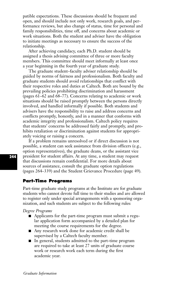patible expectations. These discussions should be frequent and open, and should include not only work, research goals, and performance reviews, but also change of status, time for personal and family responsibilities, time off, and concerns about academic or work situations. Both the student and adviser have the obligation to initiate meetings as necessary to ensure the success of the relationship.

After achieving candidacy, each Ph.D. student should be assigned a thesis advising committee of three or more faculty members. This committee should meet informally at least once a year beginning in the fourth year of graduate study.

The graduate student–faculty adviser relationship should be guided by norms of fairness and professionalism. Both faculty and graduate students should avoid relationships that conflict with their respective roles and duties at Caltech. Both are bound by the prevailing policies prohibiting discrimination and harassment (pages 61–62 and 68–77). Concerns relating to academic or work situations should be raised promptly between the persons directly involved, and handled informally if possible. Both students and advisers have the responsibility to raise and address concerns and conflicts promptly, honestly, and in a manner that conforms with academic integrity and professionalism. Caltech policy requires that students' concerns be addressed fairly and promptly, and prohibits retaliation or discrimination against students for appropriately voicing or raising a concern.

If a problem remains unresolved or if direct discussion is not possible, a student can seek assistance from division officers (e.g., option representatives), the graduate deans, or the assistant vice president for student affairs. At any time, a student may request that discussions remain confidential. For more details about sources of assistance, consult the graduate option regulations (pages 264–339) and the Student Grievance Procedure (page 49).

## **Part-Time Programs**

Part-time graduate study programs at the Institute are for graduate students who cannot devote full time to their studies and are allowed to register only under special arrangements with a sponsoring organization, and such students are subject to the following rules:

*Degree Programs* 

- Applicants for the part-time program must submit a regu lar application form accompanied by a detailed plan for meeting the course requirements for the degree.
- Any research work done for academic credit shall be supervised by a Caltech faculty member.
- In general, students admitted to the part-time program are required to take at least 27 units of graduate course work or research work each term during the first academic year.

*Graduate Information*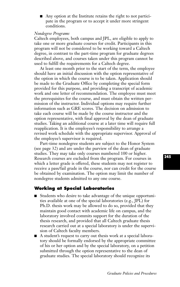■ Any option at the Institute retains the right to not participate in the program or to accept it under more stringent conditions.

## *Nondegree Programs*

Caltech employees, both campus and JPL, are eligible to apply to take one or more graduate courses for credit. Participants in this program will not be considered to be working toward a Caltech degree, in contrast to the part-time program for graduate degrees described above, and courses taken under this program cannot be used to fulfill the requirements for a Caltech degree.

At least one month prior to the start of the term, the employee should have an initial discussion with the option representative of the option in which the course is to be taken. Application should be made to the Graduate Office by completing the special form provided for this purpose, and providing a transcript of academic work and one letter of recommendation. The employee must meet the prerequisites for the course, and must obtain the written permission of the instructor. Individual options may require further information such as GRE scores. The decision on admission to take each course will be made by the course instructor and the option representative, with final approval by the dean of graduate studies. Taking an additional course at a later time will require full reapplication. It is the employee's responsibility to arrange a revised work schedule with the appropriate supervisor. Approval of the employee's supervisor is required.

Part-time nondegree students are subject to the Honor System (see page 32) and are under the purview of the dean of graduate studies. They may take only courses numbered 100 or higher. Research courses are excluded from the program. For courses in which a letter grade is offered, these students may not register to receive a pass/fail grade in the course, nor can credit for the course be obtained by examination. The option may limit the number of nondegree students admitted to any one course.

# **Working at Special Laboratories**

- Students who desire to take advantage of the unique opportuni ties available at one of the special laboratories (e.g., JPL) for Ph.D. thesis work may be allowed to do so, provided that they maintain good contact with academic life on campus, and the laboratory involved commits support for the duration of the thesis research, and provided that all Caltech graduate thesis research carried out at a special laboratory is under the supervision of Caltech faculty members.
- A student's request to carry out thesis work at a special laboratory should be formally endorsed by the appropriate committee of his or her option and by the special laboratory, on a petition submitted through the option representative to the dean of graduate studies. The special laboratory should recognize its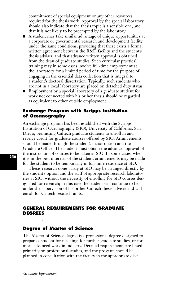commitment of special equipment or any other resources required for the thesis work. Approval by the special laboratory should also indicate that the thesis topic is a sensible one, and that it is not likely to be preempted by the laboratory.

- A student may take similar advantage of unique opportunities at a corporate or governmental research and development facility under the same conditions, providing that there exists a formal written agreement between the R&D facility and the student's thesis adviser, and that advance written approval is obtained from the dean of graduate studies. Such curricular practical training may in some cases involve full-time employment at the laboratory for a limited period of time for the purpose of engaging in the essential data collection that is integral to a student's doctoral dissertation. Typically, such students who are not in a local laboratory are placed on detached duty status.
- Employment by a special laboratory of a graduate student for work not connected with his or her thesis should be regarded as equivalent to other outside employment.

## **Exchange Program with Scripps Institution of Oceanography**

An exchange program has been established with the Scripps Institution of Oceanography (SIO), University of California, San Diego, permitting Caltech graduate students to enroll in and receive credit for graduate courses offered by SIO. Arrangements should be made through the student's major option and the Graduate Office. The student must obtain the advance approval of the instructors of courses to be taken at SIO. In some cases, when it is in the best interests of the student, arrangements may be made for the student to be temporarily in full-time residence at SIO.

Thesis research done partly at SIO may be arranged directly by the student's option and the staff of appropriate research laboratories at SIO, without the necessity of enrolling for SIO courses designated for research; in this case the student will continue to be under the supervision of his or her Caltech thesis adviser and will enroll for Caltech research units.

## **GENERAL REQUIREMENTS FOR GRADUATE DEGREES**

## **Degree of Master of Science**

The Master of Science degree is a professional degree designed to prepare a student for teaching, for further graduate studies, or for more advanced work in industry. Detailed requirements are based primarily on professional studies, and the program should be planned in consultation with the faculty in the appropriate disci-

*Graduate Information*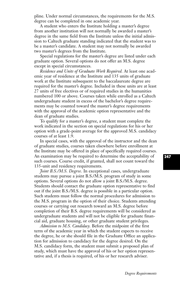pline. Under normal circumstances, the requirements for the M.S. degree can be completed in one academic year.

A student who enters the Institute holding a master's degree from another institution will not normally be awarded a master's degree in the same field from the Institute unless the initial admission to Caltech graduate standing indicated that the student was to be a master's candidate. A student may not normally be awarded two master's degrees from the Institute.

Special regulations for the master's degree are listed under each graduate option. Several options do not offer an M.S. degree except in special circumstances.

*Residence and Units of Graduate Work Required.* At least one academic year of residence at the Institute and 135 units of graduate work at the Institute subsequent to the baccalaureate degree are required for the master's degree. Included in these units are at least 27 units of free electives or of required studies in the humanities numbered 100 or above. Courses taken while enrolled as a Caltech undergraduate student in excess of the bachelor's degree requirements may be counted toward the master's degree requirements with the approval of the academic option representative and the dean of graduate studies.

To qualify for a master's degree, a student must complete the work indicated in the section on special regulations for his or her option with a grade-point average for the approved M.S. candidacy courses of at least 1.9.

In special cases, with the approval of the instructor and the dean of graduate studies, courses taken elsewhere before enrollment at the Institute may be offered in place of specifically required courses. An examination may be required to determine the acceptability of such courses. Course credit, if granted, shall not count toward the 135-unit and residency requirements.

*Joint B.S./M.S. Degree.* In exceptional cases, undergraduate students may pursue a joint B.S./M.S. program of study in some options. Several options do not allow a joint B.S./M.S. degree. Students should contact the graduate option representative to find out if the joint B.S./M.S. degree is possible in a particular option. Such students must follow the normal procedures for admission to the M.S. program in the option of their choice. Students attending courses or carrying out research toward an M.S. degree before completion of their B.S. degree requirements will be considered as undergraduate students and will not be eligible for graduate financial aid, graduate housing, or other graduate student privileges.

*Admission to M.S. Candidacy.* Before the midpoint of the first term of the academic year in which the student expects to receive the degree, he or she should file in the Graduate Office an application for admission to candidacy for the degree desired. On the M.S. candidacy form, the student must submit a proposed plan of study, which must have the approval of his or her option representative and, if a thesis is required, of his or her research adviser.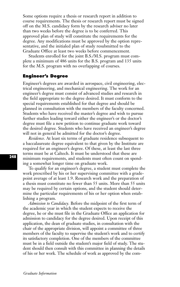Some options require a thesis or research report in addition to course requirements. The thesis or research report must be signed off on the M.S. candidacy form by the research adviser no later than two weeks before the degree is to be conferred. This approved plan of study will constitute the requirements for the degree. Any modifications must be approved by the option representative, and the initialed plan of study resubmitted to the Graduate Office at least two weeks before commencement.

Students enrolled for the joint B.S./M.S. program must complete a minimum of 486 units for the B.S. program and 135 units for the M.S. program with no overlapping of courses.

## **Engineer's Degree**

Engineer's degrees are awarded in aerospace, civil engineering, electrical engineering, and mechanical engineering. The work for an engineer's degree must consist of advanced studies and research in the field appropriate to the degree desired. It must conform to the special requirements established for that degree and should be planned in consultation with the members of the faculty concerned. Students who have received the master's degree and wish to pursue further studies leading toward either the engineer's or the doctor's degree must file a new petition to continue graduate work toward the desired degree. Students who have received an engineer's degree will not in general be admitted for the doctor's degree.

*Residence.* At least six terms of graduate residence subsequent to a baccalaureate degree equivalent to that given by the Institute are required for an engineer's degree. Of these, at least the last three terms must be at Caltech. It must be understood that these are minimum requirements, and students must often count on spending a somewhat longer time on graduate work.

To qualify for an engineer's degree, a student must complete the work prescribed by his or her supervising committee with a gradepoint average of at least 1.9. Research work and the preparation of a thesis must constitute no fewer than 55 units. More than 55 units may be required by certain options, and the student should determine the particular requirements of his or her option when establishing a program.

*Admission to Candidacy.* Before the midpoint of the first term of the academic year in which the student expects to receive the degree, he or she must file in the Graduate Office an application for admission to candidacy for the degree desired. Upon receipt of this application, the dean of graduate studies, in consultation with the chair of the appropriate division, will appoint a committee of three members of the faculty to supervise the student's work and to certify its satisfactory completion. One of the members of the committee must be in a field outside the student's major field of study. The student should then consult with this committee in planning the details of his or her work. The schedule of work as approved by the com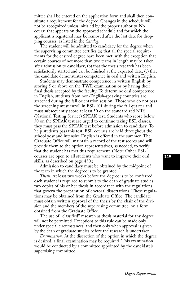mittee shall be entered on the application form and shall then constitute a requirement for the degree. Changes in the schedule will not be recognized unless initialed by the proper authority. No course that appears on the approved schedule and for which the applicant is registered may be removed after the last date for dropping courses, as listed in the *Catalog*.

The student will be admitted to candidacy for the degree when the supervising committee certifies (a) that all the special requirements for the desired degree have been met, with the exception that certain courses of not more than two terms in length may be taken after admission to candidacy; (b) that the thesis research has been satisfactorily started and can be finished at the expected date; (c) that the candidate demonstrates competence in oral and written English.

Students may demonstrate competence in written English by scoring 5 or above on the TWE examination or by having their final thesis accepted by the faculty. To determine oral competence in English, students from non-English-speaking countries are screened during the fall orientation session. Those who do not pass the screening must enroll in ESL 101 during the fall quarter and must subsequently score at least 50 on the standardized NTS (National Testing Service) SPEAK test. Students who score below 50 on the SPEAK test are urged to continue taking ESL classes; they must pass the SPEAK test before admission to candidacy. To help students pass this test, ESL courses are held throughout the school year and intensive English is offered in the summer. The Graduate Office will maintain a record of the test scores and will provide them to the option representatives, as needed, to verify that the student has met this requirement. (Note: Other ESL courses are open to all students who want to improve their oral skills, as described on page 450.)

Admission to candidacy must be obtained by the midpoint of the term in which the degree is to be granted.

*Thesis.* At least two weeks before the degree is to be conferred, each student is required to submit to the dean of graduate studies two copies of his or her thesis in accordance with the regulations that govern the preparation of doctoral dissertations. These regulations may be obtained from the Graduate Office. The candidate must obtain written approval of the thesis by the chair of the division and the members of the supervising committee, on a form obtained from the Graduate Office.

The use of "classified'' research as thesis material for any degree will not be permitted. Exceptions to this rule can be made only under special circumstances, and then only when approval is given by the dean of graduate studies before the research is undertaken.

*Examination.* At the discretion of the option in which the degree is desired, a final examination may be required. This examination would be conducted by a committee appointed by the candidate's supervising committee.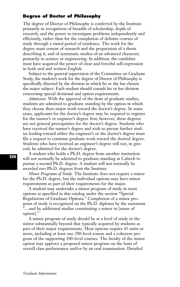# **Degree of Doctor of Philosophy**

The degree of Doctor of Philosophy is conferred by the Institute primarily in recognition of breadth of scholarship, depth of research, and the power to investigate problems independently and efficiently, rather than for the completion of definite courses of study through a stated period of residence. The work for the degree must consist of research and the preparation of a thesis describing it, and of systematic studies of an advanced character, primarily in science or engineering. In addition, the candidate must have acquired the power of clear and forceful self-expression in both oral and written English.

Subject to the general supervision of the Committee on Graduate Study, the student's work for the degree of Doctor of Philosophy is specifically directed by the division in which he or she has chosen the major subject. Each student should consult his or her division concerning special divisional and option requirements.

*Admission.* With the approval of the dean of graduate studies, students are admitted to graduate standing by the option in which they choose their major work toward the doctor's degree. In some cases, applicants for the doctor's degree may be required to register for the master's or engineer's degree first; however, these degrees are not general prerequisites for the doctor's degree. Students who have received the master's degree and wish to pursue further studies leading toward either the engineer's or the doctor's degree must file a request to continue graduate work toward the desired degree. Students who have received an engineer's degree will not, in general, be admitted for the doctor's degree.

A student who holds a Ph.D. degree from another institution will not normally be admitted to graduate standing at Caltech to pursue a second Ph.D. degree. A student will not normally be awarded two Ph.D. degrees from the Institute.

*Minor Programs of Study.* The Institute does not require a minor for the Ph.D. degree, but the individual options may have minor requirements as part of their requirements for the major.

A student may undertake a minor program of study in most options as specified in this catalog under the section "Special Regulations of Graduate Options." Completion of a minor program of study is recognized on the Ph.D. diploma by the statement "…and by additional studies constituting a minor in [name of option]."

A minor program of study should be at a level of study in the minor substantially beyond that typically acquired by students as part of their major requirements. Most options require 45 units or more, including at least one 200-level course and a coherent program of the supporting 100-level courses. The faculty of the minor option may approve a proposed minor program on the basis of overall class performance and/or by an oral examination. Detailed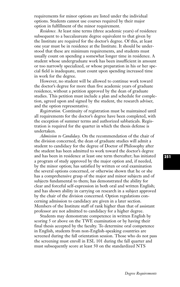requirements for minor options are listed under the individual options. Students cannot use courses required by their major option in fulfillment of the minor requirement.

*Residence.* At least nine terms (three academic years) of residence subsequent to a baccalaureate degree equivalent to that given by the Institute are required for the doctor's degree. Of this, at least one year must be in residence at the Institute. It should be understood that these are minimum requirements, and students must usually count on spending a somewhat longer time in residence. A student whose undergraduate work has been insufficient in amount or too narrowly specialized, or whose preparation in his or her special field is inadequate, must count upon spending increased time in work for the degree.

However, no student will be allowed to continue work toward the doctor's degree for more than five academic years of graduate residence, without a petition approved by the dean of graduate studies. This petition must include a plan and schedule for completion, agreed upon and signed by the student, the research adviser, and the option representative.

*Registration.* Continuity of registration must be maintained until all requirements for the doctor's degree have been completed, with the exception of summer terms and authorized sabbaticals. Registration is required for the quarter in which the thesis defense is undertaken.

*Admission to Candidacy.* On the recommendation of the chair of the division concerned, the dean of graduate studies will admit a student to candidacy for the degree of Doctor of Philosophy after the student has been admitted to work toward the doctor's degree and has been in residence at least one term thereafter; has initiated a program of study approved by the major option and, if needed, by the minor option; has satisfied by written or oral examination the several options concerned, or otherwise shown that he or she has a comprehensive grasp of the major and minor subjects and of subjects fundamental to them; has demonstrated the ability for clear and forceful self-expression in both oral and written English; and has shown ability in carrying on research in a subject approved by the chair of the division concerned. Option regulations concerning admission to candidacy are given in a later section. Members of the Institute staff of rank higher than that of assistant professor are not admitted to candidacy for a higher degree.

Students may demonstrate competence in written English by scoring 5 or above on the TWE examination or by having their final thesis accepted by the faculty. To determine oral competence in English, students from non-English-speaking countries are screened during the fall orientation session. Those who do not pass the screening must enroll in ESL 101 during the fall quarter and must subsequently score at least 50 on the standardized NTS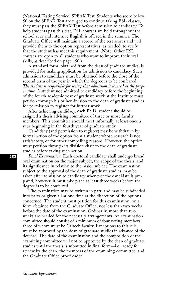(National Testing Service) SPEAK Test. Students who score below 50 on the SPEAK Test are urged to continue taking ESL classes; they must pass the SPEAK Test before admission to candidacy. To help students pass this test, ESL courses are held throughout the school year and intensive English is offered in the summer. The Graduate Office will maintain a record of the test scores and will provide them to the option representatives, as needed, to verify that the student has met this requirement. (Note: Other ESL courses are open to all students who want to improve their oral skills, as described on page 450.)

A standard form, obtained from the dean of graduate studies, is provided for making application for admission to candidacy. Such admission to candidacy must be obtained before the close of the second term of the year in which the degree is to be conferred. *The student is responsible for seeing that admission is secured at the proper time.* A student not admitted to candidacy before the beginning of the fourth academic year of graduate work at the Institute must petition through his or her division to the dean of graduate studies for permission to register for further work.

After achieving candidacy, each Ph.D. student should be assigned a thesis advising committee of three or more faculty members. This committee should meet informally at least once a year beginning in the fourth year of graduate study.

Candidacy (and permission to register) may be withdrawn by formal action of the option from a student whose research is not satisfactory, or for other compelling reasons. However, the option must petition through its division chair to the dean of graduate studies before taking such action.

*Final Examination.* Each doctoral candidate shall undergo broad oral examination on the major subject, the scope of the thesis, and its significance in relation to the major subject. The examination, subject to the approval of the dean of graduate studies, may be taken after admission to candidacy whenever the candidate is prepared; however, it must take place at least three weeks before the degree is to be conferred.

The examination may be written in part, and may be subdivided into parts or given all at one time at the discretion of the options concerned. The student must petition for this examination, on a form obtained from the Graduate Office, not less than two weeks before the date of the examination. Ordinarily, more than two weeks are needed for the necessary arrangements. An examination committee should consist of a minimum of four voting members, three of whom must be Caltech faculty. Exceptions to this rule must be approved by the dean of graduate studies in advance of the defense. The date of the examination and the composition of the examining committee will not be approved by the dean of graduate studies until the thesis is submitted in final form—i.e., ready for review by the dean, the members of the examining committee, and the Graduate Office proofreader.

*Graduate Information*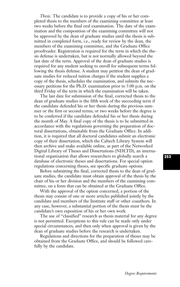*Thesis.* The candidate is to provide a copy of his or her completed thesis to the members of the examining committee at least two weeks before the final oral examination. The date of the examination and the composition of the examining committee will not be approved by the dean of graduate studies until the thesis is submitted in completed form, i.e., ready for review by the dean, the members of the examining committee, and the Graduate Office proofreader. Registration is required for the term in which the thesis defense is undertaken, but is not normally allowed beyond the last date of the term. Approval of the dean of graduate studies is required for any student seeking to enroll for subsequent terms following the thesis defense. A student may petition the dean of graduate studies for reduced tuition charges if the student supplies a copy of the thesis, schedules the examination, and submits the necessary petitions for the Ph.D. examination prior to 5:00 p.m. on the third Friday of the term in which the examination will be taken.

The last date for submission of the final, corrected thesis to the dean of graduate studies is the fifth week of the succeeding term if the candidate defended his or her thesis during the previous summer or the first or second terms; or two weeks before the degree is to be conferred if the candidate defended his or her thesis during the month of May. A final copy of the thesis is to be submitted in accordance with the regulations governing the preparation of doctoral dissertations, obtainable from the Graduate Office. In addition, it is required that all doctoral candidates submit an electronic copy of their dissertation, which the Caltech Library System will then archive and make available online, as part of the Networked Digital Library of Theses and Dissertations (NDLTD), an international organization that allows researchers to globally search a database of electronic theses and dissertations. For special option regulations concerning theses, see specific graduate options.

Before submitting the final, corrected thesis to the dean of graduate studies, the candidate must obtain approval of the thesis by the chair of his or her division and the members of the examining committee, on a form that can be obtained at the Graduate Office.

With the approval of the option concerned, a portion of the thesis may consist of one or more articles published jointly by the candidate and members of the Institute staff or other coauthors. In any case, however, a substantial portion of the thesis must be the candidate's own exposition of his or her own work.

The use of "classified'' research as thesis material for any degree is not permitted. Exceptions to this rule can be made only under special circumstances, and then only when approval is given by the dean of graduate studies before the research is undertaken.

Regulations and directions for the preparation of theses may be obtained from the Graduate Office, and should be followed carefully by the candidate.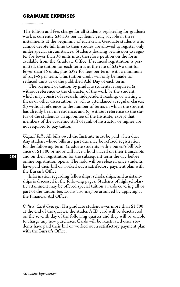#### **GRADUATE EXPENSES**

The tuition and fees charge for all students registering for graduate work is currently \$36,135 per academic year, payable in three installments at the beginning of each term. Graduate students who cannot devote full time to their studies are allowed to register only under special circumstances. Students desiring permission to register for fewer than 36 units must therefore petition on the form available from the Graduate Office. If reduced registration is permitted, the tuition for each term is at the rate of \$324 a unit for fewer than 36 units, plus \$382 for fees per term, with a minimum of \$1,146 per term. This tuition credit will only be made for reduced units as of the published Add Day of each term.

The payment of tuition by graduate students is required (a) without reference to the character of the work by the student, which may consist of research, independent reading, or writing a thesis or other dissertation, as well as attendance at regular classes; (b) without reference to the number of terms in which the student has already been in residence; and (c) without reference to the status of the student as an appointee of the Institute, except that members of the academic staff of rank of instructor or higher are not required to pay tuition.

*Unpaid Bills.* All bills owed the Institute must be paid when due. Any student whose bills are past due may be refused registration for the following term. Graduate students with a bursar's bill balance of \$1,500 or more will have a hold placed on their transcripts and on their registration for the subsequent term the day before online registration opens. The hold will be released once students have paid their bill or worked out a satisfactory payment plan with the Bursar's Office.

Information regarding fellowships, scholarships, and assistantships is discussed in the following pages. Students of high scholastic attainment may be offered special tuition awards covering all or part of the tuition fee. Loans also may be arranged by applying at the Financial Aid Office.

*Caltech Card Charges.* If a graduate student owes more than \$1,500 at the end of the quarter, the student's ID card will be deactivated on the seventh day of the following quarter and they will be unable to charge any new purchases. Cards will be reactivated once students have paid their bill or worked out a satisfactory payment plan with the Bursar's Office.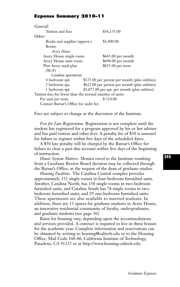## **Expense Summary 2010–11**

| General:                                                |                                                 |
|---------------------------------------------------------|-------------------------------------------------|
| Tuition and fees                                        | \$36,135.00                                     |
| Other:                                                  |                                                 |
| Books and supplies (approx.)                            | \$1,000.00                                      |
| Room:                                                   |                                                 |
| Avery House                                             |                                                 |
| Avery House single room                                 | \$665.00 per month                              |
| Avery House suite room                                  | \$698.00 per month                              |
| Plus Avery meal plan                                    | \$825.00 per term                               |
| $(M-F)$                                                 |                                                 |
| Catalina apartments                                     |                                                 |
| 4 bedroom apt.                                          | \$525.00 per person per month (plus utilities)  |
| 2 bedroom apt.                                          | \$622.00 per person per month (plus utilities)  |
| 1 bedroom apt.                                          | $$1,077.00$ per apt. per month (plus utilities) |
| Tuition fees for fewer than the normal number of units: |                                                 |
| Per unit per term                                       | \$324.00                                        |
| Contact Bursar's Office for audit fee.                  |                                                 |

Fees are subject to change at the discretion of the Institute.

*Fees for Late Registration.* Registration is not complete until the student has registered for a program approved by his or her adviser and has paid tuition and other fees. A penalty fee of \$50 is assessed for failure to register within five days of the scheduled dates.

A \$50 late penalty will be charged by the Bursar's Office for failure to clear a past-due account within five days of the beginning of instruction.

*Honor System Matters.* Monies owed to the Institute resulting from a Graduate Review Board decision may be collected through the Bursar's Office, at the request of the dean of graduate studies.

*Housing Facilities.* The Catalina Central complex provides approximately 152 single rooms in four-bedroom furnished units. Another, Catalina North, has 156 single rooms in two-bedroom furnished units, and Catalina South has 78 single rooms in twobedroom furnished units, and 29 one-bedroom furnished units. These apartments are also available to married students. In addition, there are 13 spaces for graduate students in Avery House, an innovative residential community of faculty, undergraduates, and graduate students (see page 30).

Rates for housing vary, depending upon the accommodations and services provided. A contract is required to live in these houses for the academic year. Complete information and reservations can be obtained by writing to housing@caltech.edu or to the Housing Office, Mail Code 160-86, California Institute of Technology, Pasadena, CA 91125 or at http://www.housing.caltech.edu.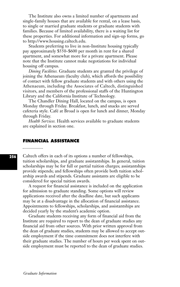The Institute also owns a limited number of apartments and single-family houses that are available for rental, on a lease basis, to single or married graduate students or graduate students with families. Because of limited availability, there is a waiting list for these properties. For additional information and sign-up forms, go to http://www.housing.caltech.edu.

Students preferring to live in non-Institute housing typically pay approximately \$550–\$600 per month in rent for a shared apartment, and somewhat more for a private apartment. Please note that the Institute cannot make negotiations for individual housing off campus.

*Dining Facilities.* Graduate students are granted the privilege of joining the Athenaeum (faculty club), which affords the possibility of contact with fellow graduate students and with others using the Athenaeum, including the Associates of Caltech, distinguished visitors, and members of the professional staffs of the Huntington Library and the California Institute of Technology.

The Chandler Dining Hall, located on the campus, is open Monday through Friday. Breakfast, lunch, and snacks are served cafeteria style. Café at Broad is open for lunch and dinner, Monday through Friday.

*Health Services.* Health services available to graduate students are explained in section one.

## **FINANCIAL ASSISTANCE**

Caltech offers in each of its options a number of fellowships, tuition scholarships, and graduate assistantships. In general, tuition scholarships may be for full or partial tuition charges; assistantships provide stipends; and fellowships often provide both tuition scholarship awards and stipends. Graduate assistants are eligible to be considered for special tuition awards.

A request for financial assistance is included on the application for admission to graduate standing. Some options will review applications received after the deadline date, but such applicants may be at a disadvantage in the allocation of financial assistance. Appointments to fellowships, scholarships, and assistantships are decided yearly by the student's academic option.

Graduate students receiving any form of financial aid from the Institute are required to report to the dean of graduate studies any financial aid from other sources. With prior written approval from the dean of graduate studies, students may be allowed to accept outside employment if the time commitment does not interfere with their graduate studies. The number of hours per week spent on outside employment must be reported to the dean of graduate studies.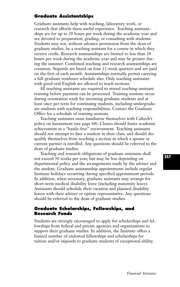# **Graduate Assistantships**

Graduate assistants help with teaching, laboratory work, or research that affords them useful experience. Teaching assistantships are for up to 20 hours per week during the academic year and are devoted to preparation, grading, or consulting with students. Students may not, without advance permission from the dean of graduate studies, be a teaching assistant for a course in which they receive credit. Research assistantships are limited to less than 20 hours per week during the academic year and may be greater during the summer. Combined teaching and research assistantships are common. Stipends are based on four 12-week quarters and are paid on the first of each month. Assistantships normally permit carrying a full graduate residence schedule also. Only teaching assistants with good oral English are allowed to teach sections.

All teaching assistants are required to attend teaching-assistant training before payment can be processed. Training sessions occur during orientation week for incoming graduate students and at least once per term for continuing students, including undergraduate students with teaching responsibilities. Contact the Graduate Office for a schedule of training sessions.

Teaching assistants must familiarize themselves with Caltech's policy on harassment (see page 68). Classes should foster academic achievement in a "hassle-free'' environment. Teaching assistants should not attempt to date a student in their class, and should disqualify themselves from teaching a section in which a spouse or current partner is enrolled. Any questions should be referred to the dean of graduate studies.

Teaching and research obligations of graduate assistants shall not exceed 50 weeks per year, but may be less depending on departmental policy and the arrangements made by the adviser and the student. Graduate assistantship appointments include regular Institute holidays occurring during specified appointment periods. In addition, when necessary, graduate assistants may arrange for short-term medical disability leave (including maternity leave). Assistants should schedule their vacation and planned disability leaves with their adviser or option representative. Any questions should be referred to the dean of graduate studies.

## **Graduate Scholarships, Fellowships, and Research Funds**

Students are strongly encouraged to apply for scholarships and fellowships from federal and private agencies and organizations to support their graduate studies. In addition, the Institute offers a limited number of endowed fellowships and scholarships for tuition and/or stipends to graduate students of exceptional ability.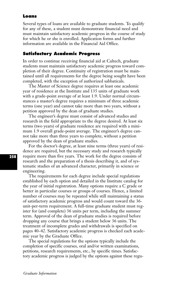## **Loans**

Several types of loans are available to graduate students. To qualify for any of these, a student must demonstrate financial need and must maintain satisfactory academic progress in the course of study for which he or she is enrolled. Application forms and further information are available in the Financial Aid Office.

## **Satisfactory Academic Progress**

In order to continue receiving financial aid at Caltech, graduate students must maintain satisfactory academic progress toward completion of their degree. Continuity of registration must be maintained until all requirements for the degree being sought have been completed, with the exception of authorized sabbaticals.

The Master of Science degree requires at least one academic year of residence at the Institute and 135 units of graduate work with a grade-point average of at least 1.9. Under normal circumstances a master's degree requires a minimum of three academic terms (one year) and cannot take more than two years, without a petition approved by the dean of graduate studies.

The engineer's degree must consist of advanced studies and research in the field appropriate to the degree desired. At least six terms (two years) of graduate residence are required with a minimum 1.9 overall grade-point average. The engineer's degree cannot take more than three years to complete, without a petition approved by the dean of graduate studies.

For the doctor's degree, at least nine terms (three years) of residence are required, but the necessary study and research typically require more than five years. The work for the degree consists of research and the preparation of a thesis describing it, and of systematic studies of an advanced character, primarily in science or engineering.

The requirements for each degree include special regulations established by each option and detailed in the Institute catalog for the year of initial registration. Many options require a C grade or better in particular courses or groups of courses. Hence, a limited number of courses may be repeated while still maintaining a status of satisfactory academic progress and would count toward the 36 unit-per-term requirement. A full-time graduate student must register for (and complete) 36 units per term, including the summer term. Approval of the dean of graduate studies is required before dropping any course that brings a student below 36 units. The treatment of incomplete grades and withdrawals is specified on pages 40–42. Satisfactory academic progress is checked each academic year by the Graduate Office.

The special regulations for the options typically include the completion of specific courses, oral and/or written examinations, petitions, research requirements, etc., by specific times. Satisfactory academic progress is judged by the options against these regu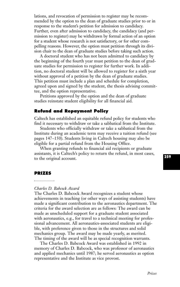lations, and revocation of permission to register may be recommended by the option to the dean of graduate studies prior to or in response to the student's petition for admission to candidacy. Further, even after admission to candidacy, the candidacy (and permission to register) may be withdrawn by formal action of an option for a student whose research is not satisfactory, or for other compelling reasons. However, the option must petition through its division chair to the dean of graduate studies before taking such action.

A doctoral student who has not been admitted to candidacy by the beginning of the fourth year must petition to the dean of graduate studies for permission to register for further work. In addition, no doctoral student will be allowed to register for a sixth year without approval of a petition by the dean of graduate studies. This petition must include a plan and schedule for completion, agreed upon and signed by the student, the thesis advising committee, and the option representative.

Petitions approved by the option and the dean of graduate studies reinstate student eligibility for all financial aid.

## **Refund and Repayment Policy**

Caltech has established an equitable refund policy for students who find it necessary to withdraw or take a sabbatical from the Institute.

Students who officially withdraw or take a sabbatical from the Institute during an academic term may receive a tuition refund (see pages 147–150). Students living in Caltech housing may also be eligible for a partial refund from the Housing Office.

When granting refunds to financial aid recipients or graduate assistants, it is Caltech's policy to return the refund, in most cases, to the original account.

#### **PRIZES**

## *Charles D. Babcock Award*

The Charles D. Babcock Award recognizes a student whose achievements in teaching (or other ways of assisting students) have made a significant contribution to the aeronautics department. The criteria for the award selection are as follows: The award can be made as unscheduled support for a graduate student associated with aeronautics, e.g., for travel to a technical meeting for professional advancement. All aeronautics-associated students are eligible, with preference given to those in the structures and solid mechanics group. The award may be made yearly, as merited. The timing of the award will be as special recognition warrants.

The Charles D. Babcock Award was established in 1992 in memory of Charles D. Babcock, who was professor of aeronautics and applied mechanics until 1987; he served aeronautics as option representative and the Institute as vice provost.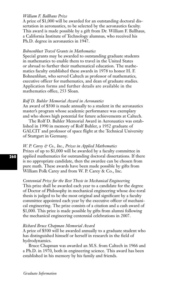## *William F. Ballhaus Prize*

A prize of \$1,000 will be awarded for an outstanding doctoral dissertation in aeronautics, to be selected by the aeronautics faculty. This award is made possible by a gift from Dr. William F. Ballhaus, a California Institute of Technology alumnus, who received his Ph.D. degree in aeronautics in 1947.

## *Bohnenblust Travel Grants in Mathematics*

Special grants may be awarded to outstanding graduate students in mathematics to enable them to travel in the United States or abroad to further their mathematical education. The mathematics faculty established these awards in 1978 to honor H. F. Bohnenblust, who served Caltech as professor of mathematics, executive officer for mathematics, and dean of graduate studies. Application forms and further details are available in the mathematics office, 253 Sloan.

#### *Rolf D. Buhler Memorial Award in Aeronautics*

An award of \$500 is made annually to a student in the aeronautics master's program whose academic performance was exemplary and who shows high potential for future achievements at Caltech.

The Rolf D. Buhler Memorial Award in Aeronautics was established in 1990 in memory of Rolf Buhler, a 1952 graduate of GALCIT and professor of space flight at the Technical University of Stuttgart in Germany.

#### *W. P. Carey & Co., Inc., Prizes in Applied Mathematics*

Prizes of up to \$1,000 will be awarded by a faculty committee in applied mathematics for outstanding doctoral dissertations. If there is no appropriate candidate, then the awardee can be chosen from pure math. These awards have been made possible by gifts from William Polk Carey and from W. P. Carey & Co., Inc.

## *Centennial Prize for the Best Thesis in Mechanical Engineering*

This prize shall be awarded each year to a candidate for the degree of Doctor of Philosophy in mechanical engineering whose doc-toral thesis is judged to be the most original and significant by a faculty committee appointed each year by the executive officer of mechanical engineering. The prize consists of a citation and a cash award of \$1,000. This prize is made possible by gifts from alumni following the mechanical engineering centennial celebrations in 2007.

#### *Richard Bruce Chapman Memorial Award*

A prize of \$500 will be awarded annually to a graduate student who has distinguished himself or herself in research in the field of hydrodynamics.

Bruce Chapman was awarded an M.S. from Caltech in 1966 and a Ph.D. in 1970, both in engineering science. This award has been established in his memory by his family and friends.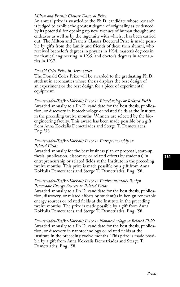## *Milton and Francis Clauser Doctoral Prize*

An annual prize is awarded to the Ph.D. candidate whose research is judged to exhibit the greatest degree of originality as evidenced by its potential for opening up new avenues of human thought and endeavor as well as by the ingenuity with which it has been carried out. The Milton and Francis Clauser Doctoral Prize is made possible by gifts from the family and friends of these twin alumni, who received bachelor's degrees in physics in 1934, master's degrees in mechanical engineering in 1935, and doctor's degrees in aeronautics in 1937.

## *Donald Coles Prize in Aeronautics*

The Donald Coles Prize will be awarded to the graduating Ph.D. student in aeronautics whose thesis displays the best design of an experiment or the best design for a piece of experimental equipment.

*Demetriades-Tsafka-Kokkalis Prize in Biotechnology or Related Fields* Awarded annually to a Ph.D. candidate for the best thesis, publication, or discovery in biotechnology or related fields at the Institute in the preceding twelve months. Winners are selected by the bioengineering faculty. This award has been made possible by a gift from Anna Kokkalis Demetriades and Sterge T. Demetriades, Eng. '58.

## *Demetriades-Tsafka-Kokkalis Prize in Entrepreneurship or Related Fields*

Awarded annually for the best business plan or proposal, start-up, thesis, publication, discovery, or related efforts by student(s) in entrepreneurship or related fields at the Institute in the preceding twelve months. This prize is made possible by a gift from Anna Kokkalis Demetriades and Sterge T. Demetriades, Eng. '58.

## *Demetriades-Tsafka-Kokkalis Prize in Environmentally Benign Renewable Energy Sources or Related Fields*

Awarded annually to a Ph.D. candidate for the best thesis, publication, discovery, or related efforts by student(s) in benign renewable energy sources or related fields at the Institute in the preceding twelve months. The prize is made possible by a gift from Anna Kokkalis Demetriades and Sterge T. Demetriades, Eng. '58.

*Demetriades-Tsafka-Kokkalis Prize in Nanotechnology or Related Fields* Awarded annually to a Ph.D. candidate for the best thesis, publication, or discovery in nanotechnology or related fields at the Institute in the preceding twelve months. This prize is made possible by a gift from Anna Kokkalis Demetriades and Sterge T. Demetriades, Eng. '58.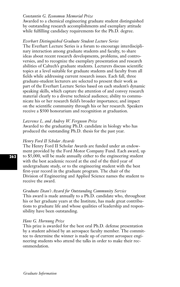## *Constantin G. Economou Memorial Prize*

Awarded to a chemical engineering graduate student distinguished by outstanding research accomplishments and exemplary attitude while fulfilling candidacy requirements for the Ph.D. degree.

#### *Everhart Distinguished Graduate Student Lecture Series*

The Everhart Lecture Series is a forum to encourage interdisciplinary interaction among graduate students and faculty, to share ideas about recent research developments, problems, and controversies, and to recognize the exemplary presentation and research abilities of Caltech's graduate students. Lecturers discuss scientific topics at a level suitable for graduate students and faculty from all fields while addressing current research issues. Each fall, three graduate-student lecturers are selected to present their work as part of the Everhart Lecture Series based on each student's dynamic speaking skills, which capture the attention of and convey research material clearly to a diverse technical audience; ability to communicate his or her research field's broader importance; and impact on the scientific community through his or her research. Speakers receive a \$500 honorarium and recognition at graduation.

## *Lawrence L. and Audrey W. Ferguson Prize*

Awarded to the graduating Ph.D. candidate in biology who has produced the outstanding Ph.D. thesis for the past year.

#### *Henry Ford II Scholar Awards*

The Henry Ford II Scholar Awards are funded under an endowment provided by the Ford Motor Company Fund. Each award, up to \$5,000, will be made annually either to the engineering student with the best academic record at the end of the third year of undergraduate study, or to the engineering student with the best first-year record in the graduate program. The chair of the Division of Engineering and Applied Science names the student to receive the award.

#### *Graduate Dean's Award for Outstanding Community Service*

This award is made annually to a Ph.D. candidate who, throughout his or her graduate years at the Institute, has made great contributions to graduate life and whose qualities of leadership and responsibility have been outstanding.

#### *Hans G. Hornung Prize*

This prize is awarded for the best oral Ph.D. defense presentation by a student advised by an aerospace faculty member. The committee to determine the winner is made up of current aerospace engineering students who attend the talks in order to make their recommendation.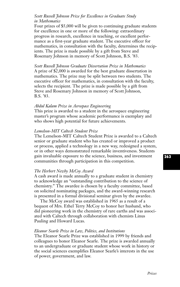## *Scott Russell Johnson Prize for Excellence in Graduate Study in Mathematics*

Four prizes of \$5,000 will be given to continuing graduate students for excellence in one or more of the following: extraordinary progress in research, excellence in teaching, or excellent performance as a first-year graduate student. The executive officer for mathematics, in consultation with the faculty, determines the recipients. The prize is made possible by a gift from Steve and Rosemary Johnson in memory of Scott Johnson, B.S. '83.

*Scott Russell Johnson Graduate Dissertation Prize in Mathematics* A prize of \$2,000 is awarded for the best graduate dissertation in mathematics. The prize may be split between two students. The executive officer for mathematics, in consultation with the faculty, selects the recipient. The prize is made possible by a gift from Steve and Rosemary Johnson in memory of Scott Johnson, B.S. '83.

## *Abdul Kalam Prize in Aerospace Engineering*

This prize is awarded to a student in the aerospace engineering master's program whose academic performance is exemplary and who shows high potential for future achievements.

## *Lemelson-MIT Caltech Student Prize*

The Lemelson-MIT Caltech Student Prize is awarded to a Caltech senior or graduate student who has created or improved a product or process, applied a technology in a new way, redesigned a system, or in other ways demonstrated remarkable inventiveness. Students gain invaluable exposure to the science, business, and investment communities through participation in this competition.

## *The Herbert Newby McCoy Award*

A cash award is made annually to a graduate student in chemistry to acknowledge an "outstanding contribution to the science of chemistry.'' The awardee is chosen by a faculty committee, based on solicited nominating packages, and the award-winning research is presented in a formal divisional seminar given by the awardee.

The McCoy award was established in 1965 as a result of a bequest of Mrs. Ethel Terry McCoy to honor her husband, who did pioneering work in the chemistry of rare earths and was associated with Caltech through collaboration with chemists Linus Pauling and Howard Lucas.

## *Eleanor Searle Prize in Law, Politics, and Institutions*

The Eleanor Searle Prize was established in 1999 by friends and colleagues to honor Eleanor Searle. The prize is awarded annually to an undergraduate or graduate student whose work in history or the social sciences exemplifies Eleanor Searle's interests in the use of power, government, and law.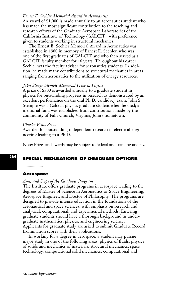#### *Ernest E. Sechler Memorial Award in Aeronautics*

An award of \$1,000 is made annually to an aeronautics student who has made the most significant contribution to the teaching and research efforts of the Graduate Aerospace Laboratories of the California Institute of Technology (GALCIT), with preference given to students working in structural mechanics.

The Ernest E. Sechler Memorial Award in Aeronautics was established in 1980 in memory of Ernest E. Sechler, who was one of the first graduates of GALCIT and who then served as a GALCIT faculty member for 46 years. Throughout his career Sechler was the faculty adviser for aeronautics students. In addition, he made many contributions to structural mechanics in areas ranging from aeronautics to the utilization of energy resources.

## *John Stager Stemple Memorial Prize in Physics*

A prize of \$500 is awarded annually to a graduate student in physics for outstanding progress in research as demonstrated by an excellent performance on the oral Ph.D. candidacy exam. John S. Stemple was a Caltech physics graduate student when he died; a memorial fund was established from contributions made by the community of Falls Church, Virginia, John's hometown.

## *Charles Wilts Prize*

Awarded for outstanding independent research in electrical engineering leading to a Ph.D.

Note: Prizes and awards may be subject to federal and state income tax.

## **SPECIAL REGULATIONS OF GRADUATE OPTIONS**

#### **Aerospace**

### *Aims and Scope of the Graduate Program*

The Institute offers graduate programs in aerospace leading to the degrees of Master of Science in Aeronautics or Space Engineering, Aerospace Engineer, and Doctor of Philosophy. The programs are designed to provide intense education in the foundations of the aeronautical and space sciences, with emphasis on research and analytical, computational, and experimental methods. Entering graduate students should have a thorough background in undergraduate mathematics, physics, and engineering science. Applicants for graduate study are asked to submit Graduate Record Examination scores with their applications.

In working for a degree in aerospace, a student may pursue major study in one of the following areas: physics of fluids, physics of solids and mechanics of materials, structural mechanics, space technology, computational solid mechanics, computational and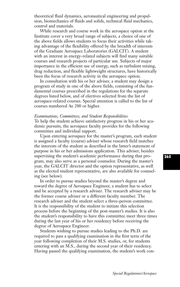theoretical fluid dynamics, aeronautical engineering and propulsion, biomechanics of fluids and solids, technical fluid mechanics, control and materials.

While research and course work in the aerospace option at the Institute cover a very broad range of subjects, a choice of one of the above fields allows students to focus their activities while taking advantage of the flexibility offered by the breadth of interests of the Graduate Aerospace Laboratories (GALCIT). A student with an interest in energy-related subjects will find many suitable courses and research projects of particular use. Subjects of major importance in the efficient use of energy, such as turbulent mixing, drag reduction, and flexible lightweight structures, have historically been the focus of research activity in the aerospace option.

In consultation with his or her adviser, a student may design a program of study in one of the above fields, consisting of the fundamental courses prescribed in the regulations for the separate degrees listed below, and of electives selected from the list of aerospace-related courses. Special attention is called to the list of courses numbered Ae 200 or higher.

#### *Examinations, Committees, and Student Responsibilities*

To help the student achieve satisfactory progress in his or her academic pursuits, the aerospace faculty provides for the following committee and individual support.

Upon entering aerospace for the master's program, each student is assigned a faculty (course) adviser whose research field matches the interests of the student as described in the latter's statement of purpose in his or her admissions application. This adviser, besides supervising the student's academic performance during that program, may also serve as a personal counselor. During the master's year, the GALCIT director and the option representative, as well as the elected student representative, are also available for counseling (see below).

In order to pursue studies beyond the master's degree and toward the degree of Aerospace Engineer, a student has to select and be accepted by a research adviser. The research adviser may be the former course adviser or a different faculty member. The research adviser and the student select a three-person committee. It is the responsibility of the student to initiate this selection process before the beginning of the post-master's studies. It is also the student's responsibility to have this committee meet three times during the last year of his or her residency before receiving the degree of Aerospace Engineer.

Students wishing to pursue studies leading to the Ph.D. are required to pass a qualifying examination in the first term of the year following completion of their M.S. studies, or, for students entering with an M.S., during the second year of their residency. Having passed the qualifying examination, the student's work con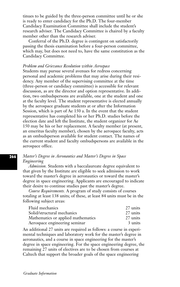tinues to be guided by the three-person committee until he or she is ready to enter candidacy for the Ph.D. The four-member Candidacy Examination Committee shall include the student's research adviser. The Candidacy Committee is chaired by a faculty member other than the research adviser.

Conferral of the Ph.D. degree is contingent on satisfactorily passing the thesis examination before a four-person committee, which may, but does not need to, have the same constitution as the Candidacy Committee.

## *Problem and Grievance Resolution within Aerospace*

Students may pursue several avenues for redress concerning personal and academic problems that may arise during their residency. Any member of the supervising committee at the time (three-person or candidacy committee) is accessible for relevant discussion, as are the director and option representative. In addition, two ombudspersons are available, one at the student and one at the faculty level. The student representative is elected annually by the aerospace graduate students at or after the Information Session, which is part of Ae 150 a. In the event that the student representative has completed his or her Ph.D. studies before the election date and left the Institute, the student organizer for Ae 150 may be his or her replacement. A faculty member (at present, an emeritus faculty member), chosen by the aerospace faculty, acts as an ombudsperson available for student contact. The names of the current student and faculty ombudspersons are available in the aerospace office.

## *Master's Degree in Aeronautics and Master's Degree in Space Engineering*

*Admission.* Students with a baccalaureate degree equivalent to that given by the Institute are eligible to seek admission to work toward the master's degree in aeronautics or toward the master's degree in space engineering. Applicants are encouraged to indicate their desire to continue studies past the master's degree.

*Course Requirements.* A program of study consists of courses totaling at least 138 units; of these, at least 84 units must be in the following subject areas:

| Fluid mechanics                    | 27 units |
|------------------------------------|----------|
| Solid/structural mechanics         | 27 units |
| Mathematics or applied mathematics | 27 units |
| Aerospace engineering seminar      | 3 units  |

An additional 27 units are required as follows: a course in experimental techniques and laboratory work for the master's degree in aeronautics, and a course in space engineering for the master's degree in space engineering. For the space engineering degree, the remaining 27 units of electives are to be chosen from courses at Caltech that support the broader goals of the space engineering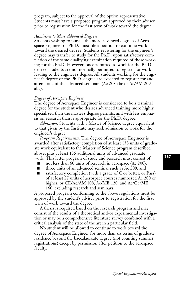program, subject to the approval of the option representative. Students must have a proposed program approved by their adviser prior to registration for the first term of work toward the degree.

## *Admission to More Advanced Degrees*

Students wishing to pursue the more advanced degrees of Aerospace Engineer or Ph.D. must file a petition to continue work toward the desired degree. Students registering for the engineer's degree may transfer to study for the Ph.D. upon satisfactory completion of the same qualifying examination required of those working for the Ph.D. However, once admitted to work for the Ph.D. degree, students are not normally permitted to register for work leading to the engineer's degree. All students working for the engineer's degree or the Ph.D. degree are expected to register for and attend one of the advanced seminars (Ae 208 abc or Ae/AM 209 abc).

## *Degree of Aerospace Engineer*

The degree of Aerospace Engineer is considered to be a terminal degree for the student who desires advanced training more highly specialized than the master's degree permits, and with less emphasis on research than is appropriate for the Ph.D. degree.

*Admission.* Students with a Master of Science degree equivalent to that given by the Institute may seek admission to work for the engineer's degree.

*Program Requirements.* The degree of Aerospace Engineer is awarded after satisfactory completion of at least 138 units of graduate work equivalent to the Master of Science program described above, plus at least 135 additional units of advanced graduate work. This latter program of study and research must consist of

- not less than 60 units of research in aerospace (Ae 200);
- **■** three units of an advanced seminar such as Ae 208; and
- satisfactory completion (with a grade of C or better, or Pass) of at least 27 units of aerospace courses numbered Ae 200 or higher, or CE/Ae/AM 108, Ae/ME 120, and Ae/Ge/ME 160, excluding research and seminars.

A proposed program conforming to the above regulations must be approved by the student's adviser prior to registration for the first term of work toward the degree.

A thesis is required based on the research program and may consist of the results of a theoretical and/or experimental investigation or may be a comprehensive literature survey combined with a critical analysis of the state of the art in a particular field.

No student will be allowed to continue to work toward the degree of Aerospace Engineer for more than six terms of graduate residence beyond the baccalaureate degree (not counting summer registrations) except by permission after petition to the aerospace faculty.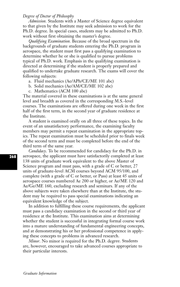## *Degree of Doctor of Philosophy*

*Admission.* Students with a Master of Science degree equivalent to that given by the Institute may seek admission to work for the Ph.D. degree. In special cases, students may be admitted to Ph.D. work without first obtaining the master's degree.

*Qualifying Examination.* Because of the broad spectrum in the backgrounds of graduate students entering the Ph.D. program in aerospace, the student must first pass a qualifying examination to determine whether he or she is qualified to pursue problems typical of Ph.D. work. Emphasis in the qualifying examination is directed at determining if the student is properly prepared and qualified to undertake graduate research. The exams will cover the following subjects:

- a. Fluid mechanics (Ae/APh/CE/ME 101 abc)
- b. Solid mechanics (Ae/AM/CE/ME 102 abc)
- c. Mathematics (ACM 100 abc)

The material covered in these examinations is at the same general level and breadth as covered in the corresponding M.S.-level courses. The examinations are offered during one week in the first half of the first term, in the second year of graduate residence at the Institute.

A student is examined orally on all three of these topics. In the event of an unsatisfactory performance, the examining faculty members may permit a repeat examination in the appropriate topics. The repeat examination must be scheduled prior to finals week of the second term and must be completed before the end of the third term of the same year.

*Candidacy*. To be recommended for candidacy for the Ph.D. in aerospace, the applicant must have satisfactorily completed at least 138 units of graduate work equivalent to the above Master of Science program and must pass, with a grade of C or better, 27 units of graduate-level ACM courses beyond ACM 95/100, and complete (with a grade of C or better, or Pass) at least 45 units of aerospace courses numbered Ae 200 or higher, or Ae/ME 120 and Ae/Ge/ME 160, excluding research and seminars. If any of the above subjects were taken elsewhere than at the Institute, the student may be required to pass special examinations indicating an equivalent knowledge of the subject.

In addition to fulfilling these course requirements, the applicant must pass a candidacy examination in the second or third year of residence at the Institute. This examination aims at determining whether the student is successful in integrating formal course work into a mature understanding of fundamental engineering concepts, and at demonstrating his or her professional competence in applying these concepts to problems in advanced research.

*Minor*. No minor is required for the Ph.D. degree. Students are, however, encouraged to take advanced courses appropriate to their particular interests.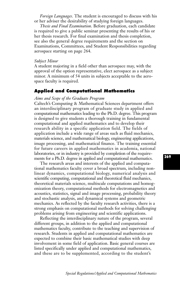*Foreign Languages*. The student is encouraged to discuss with his or her adviser the desirability of studying foreign languages.

*Thesis and Final Examination*. Before graduation, each candidate is required to give a public seminar presenting the results of his or her thesis research. For final examination and thesis completion, see also the general degree requirements and the section on Examinations, Committees, and Student Responsibilities regarding aerospace starting on page 264.

#### *Subject Minor*

A student majoring in a field other than aerospace may, with the approval of the option representative, elect aerospace as a subject minor. A minimum of 54 units in subjects acceptable to the aerospace faculty is required.

## **Applied and Computational Mathematics**

## *Aims and Scope of the Graduate Program*

Caltech's Computing & Mathematical Sciences department offers an interdisciplinary program of graduate study in applied and computational mathematics leading to the Ph.D. degree. This program is designed to give students a thorough training in fundamental computational and applied mathematics and to develop their research ability in a specific application field. The fields of application include a wide range of areas such as fluid mechanics, materials science, and mathematical biology, engineering applications, image processing, and mathematical finance. The training essential for future careers in applied mathematics in academia, national laboratories, or in industry is provided by completion of the requirements for a Ph.D. degree in applied and computational mathematics.

The research areas and interests of the applied and computational mathematics faculty cover a broad spectrum, including nonlinear dynamics, computational biology, numerical analysis and scientific computing, computational and theoretical fluid mechanics, theoretical materials science, multiscale computations and homogenization theory, computational methods for electromagnetics and acoustics, statistics, signal and image processing, probability theory and stochastic analysis, and dynamical systems and geometric mechanics. As reflected by the faculty research activities, there is a strong emphasis on computational methods for solving challenging problems arising from engineering and scientific applications.

Reflecting the interdisciplinary nature of the program, several different groups, in addition to the applied and computational mathematics faculty, contribute to the teaching and supervision of research. Students in applied and computational mathematics are expected to combine their basic mathematical studies with deep involvement in some field of application. Basic general courses are listed specifically under applied and computational mathematics, and these are to be supplemented, according to the student's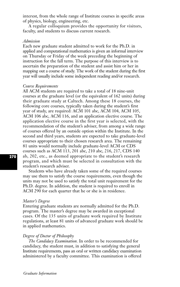interest, from the whole range of Institute courses in specific areas of physics, biology, engineering, etc.

A regular colloquium provides the opportunity for visitors, faculty, and students to discuss current research.

## *Admission*

Each new graduate student admitted to work for the Ph.D. in applied and computational mathematics is given an informal interview on Thursday or Friday of the week preceding the beginning of instruction for the fall term. The purpose of this interview is to ascertain the preparation of the student and assist him or her in mapping out a course of study. The work of the student during the first year will usually include some independent reading and/or research.

#### *Course Requirements*

All ACM students are required to take a total of 18 nine-unit courses at the graduate level (or the equivalent of 162 units) during their graduate study at Caltech. Among these 18 courses, the following core courses, typically taken during the student's first year of study, are required: ACM 101 abc, ACM 104, ACM 105, ACM 106 abc, ACM 116, and an application elective course. The application elective course in the first year is selected, with the recommendation of the student's adviser, from among a wide range of courses offered by an outside option within the Institute. In the second and third years, students are expected to take graduate-level courses appropriate to their chosen research area. The remaining 81 units would normally include graduate-level ACM or CDS courses such as ACM 113, 201 abc, 210 abc, 216, 217, CDS 140 ab, 202, etc., as deemed appropriate to the student's research program, and which must be selected in consultation with the student's research adviser.

Students who have already taken some of the required courses may use them to satisfy the course requirements, even though the units may not be used to satisfy the total unit requirement for the Ph.D. degree. In addition, the student is required to enroll in ACM 290 for each quarter that he or she is in residence.

#### *Master's Degree*

Entering graduate students are normally admitted for the Ph.D. program. The master's degree may be awarded in exceptional cases. Of the 135 units of graduate work required by Institute regulations, at least 81 units of advanced graduate work should be in applied mathematics.

## *Degree of Doctor of Philosophy*

*The Candidacy Examination.* In order to be recommended for candidacy, the student must, in addition to satisfying the general Institute requirements, pass an oral or written candidacy examination administered by a faculty committee. This examination is offered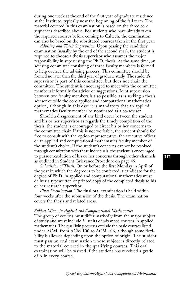during one week at the end of the first year of graduate residence at the Institute, typically near the beginning of the fall term. The material covered in this examination is based on the three core sequences described above. For students who have already taken the required courses before coming to Caltech, the examination can also be based on the substituted courses taken in the first year.

*Advising and Thesis Supervision.* Upon passing the candidacy examination (usually by the end of the second year), the student is required to choose a thesis supervisor who assumes the major responsibility in supervising the Ph.D. thesis. At the same time, an advising committee consisting of three faculty members is formed to help oversee the advising process. This committee should be formed no later than the third year of graduate study. The student's supervisor is part of this committee, but does not chair the committee. The student is encouraged to meet with the committee members informally for advice or suggestions. Joint supervision between two faculty members is also possible, as is seeking a thesis adviser outside the core applied and computational mathematics option, although in this case it is mandatory that an applied mathematics faculty member be nominated as a co-adviser.

Should a disagreement of any kind occur between the student and his or her supervisor as regards the timely completion of the thesis, the student is encouraged to direct his or her concerns to the committee chair. If this is not workable, the student should feel free to consult with the option representative, the executive officer, or an applied and computational mathematics faculty member of the student's choice. If the student's concerns cannot be resolved through consultation with these individuals, the student is encouraged to pursue resolution of his or her concerns through other channels as outlined in Student Grievance Procedure on page 49.

*Submission of Thesis.* On or before the first Monday in April of the year in which the degree is to be conferred, a candidate for the degree of Ph.D. in applied and computational mathematics must deliver a typewritten or printed copy of the completed thesis to his or her research supervisor.

*Final Examination.* The final oral examination is held within four weeks after the submission of the thesis. The examination covers the thesis and related areas.

#### *Subject Minor in Applied and Computational Mathematics*

The group of courses must differ markedly from the major subject of study and must include 54 units of advanced courses in applied mathematics. The qualifying courses exclude the basic courses listed under ACM, from ACM 100 to ACM 106, although some flexibility is allowed depending upon the option of origin. The student must pass an oral examination whose subject is directly related to the material covered in the qualifying courses. This oral examination will be waived if the student has received a grade of A in every course.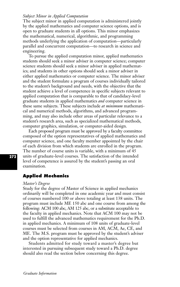# *Subject Minor in Applied Computation*

The subject minor in applied computation is administered jointly by the applied mathematics and computer science options, and is open to graduate students in all options. This minor emphasizes the mathematical, numerical, algorithmic, and programming methods underlying the application of computation—particularly parallel and concurrent computation—to research in science and engineering.

To pursue the applied computation minor, applied mathematics students should seek a minor adviser in computer science; computer science students should seek a minor adviser in applied mathematics; and students in other options should seek a minor adviser in either applied mathematics or computer science. The minor adviser and the student formulate a program of courses individually tailored to the student's background and needs, with the objective that the student achieve a level of competence in specific subjects relevant to applied computation that is comparable to that of candidacy-level graduate students in applied mathematics *and* computer science in these same subjects. These subjects include *at minimum* mathematical and numerical methods, algorithms, and advanced programming, and may also include other areas of particular relevance to a student's research area, such as specialized mathematical methods, computer graphics, simulation, or computer-aided design.

Each proposed program must be approved by a faculty committee composed of the option representatives of applied mathematics and computer science, and one faculty member appointed by the chair of each division from which students are enrolled in the program. The number of course units is variable, with a minimum of 45 units of graduate-level courses. The satisfaction of the intended level of competence is assured by the student's passing an oral examination.

# **Applied Mechanics**

#### *Master's Degree*

Study for the degree of Master of Science in applied mechanics ordinarily will be completed in one academic year and must consist of courses numbered 100 or above totaling at least 138 units. The program must include ME 150 abc and one course from among the following: ACM 100 abc, AM 125 abc, or a substitute acceptable to the faculty in applied mechanics. Note that ACM 100 may not be used to fulfill the advanced mathematics requirement for the Ph.D. in applied mechanics. A minimum of 108 units of graduate-level courses must be selected from courses in AM, ACM, Ae, CE, and ME. The M.S. program must be approved by the student's adviser and the option representative for applied mechanics.

Students admitted for study toward a master's degree but interested in pursuing subsequent study toward a Ph.D. degree should also read the section below concerning this degree.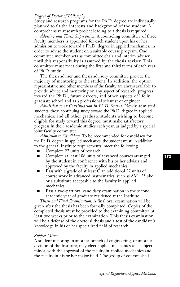# *Degree of Doctor of Philosophy*

Study and research programs for the Ph.D. degree are individually planned to fit the interests and background of the student. A comprehensive research project leading to a thesis is required.

*Advising and Thesis Supervision.* A counseling committee of three faculty members is appointed for each student upon his or her admission to work toward a Ph.D. degree in applied mechanics, in order to advise the student on a suitable course program. One committee member acts as committee chair and interim adviser until this responsibility is assumed by the thesis adviser. This committee must meet during the first and third terms of each year of Ph.D. study.

The thesis adviser and thesis advisory committee provide the majority of mentoring to the student. In addition, the option representative and other members of the faculty are always available to provide advice and mentoring on any aspect of research, progress toward the Ph.D., future careers, and other aspects of life in graduate school and as a professional scientist or engineer.

*Admission to or Continuation in Ph.D. Status.* Newly admitted students, those continuing study toward the Ph.D. degree in applied mechanics, and all other graduate students wishing to become eligible for study toward this degree, must make satisfactory progress in their academic studies each year, as judged by a special joint faculty committee.

*Admission to Candidacy.* To be recommended for candidacy for the Ph.D. degree in applied mechanics, the student must, in addition to the general Institute requirements, meet the following:

- Complete 27 units of research.
- Complete at least 108 units of advanced courses arranged by the student in conference with his or her adviser and approved by the faculty in applied mechanics.
- Pass with a grade of at least C an additional 27 units of course work in advanced mathematics, such as AM 125 abc or a substitute acceptable to the faculty in applied mechanics.
- Pass a two-part oral candidacy examination in the second academic year of graduate residence at the Institute.

*Thesis and Final Examination.* A final oral examination will be given after the thesis has been formally completed. Copies of the completed thesis must be provided to the examining committee at least two weeks prior to the examination. This thesis examination will be a defense of the doctoral thesis and a test of the candidate's knowledge in his or her specialized field of research.

## *Subject Minor*

A student majoring in another branch of engineering, or another division of the Institute, may elect applied mechanics as a subject minor, with the approval of the faculty in applied mechanics and the faculty in his or her major field. The group of courses shall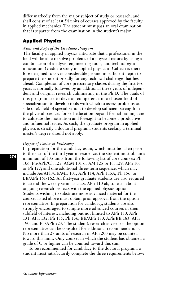differ markedly from the major subject of study or research, and shall consist of at least 54 units of courses approved by the faculty in applied mechanics. The student must pass an oral examination that is separate from the examination in the student's major.

# **Applied Physics**

## *Aims and Scope of the Graduate Program*

The faculty in applied physics anticipate that a professional in the field will be able to solve problems of a physical nature by using a combination of analysis, engineering tools, and technological innovation. Graduate study in applied physics at Caltech is therefore designed to cover considerable ground in sufficient depth to prepare the student broadly for any technical challenge that lies ahead. Completion of core preparatory classes during the first two years is normally followed by an additional three years of independent and original research culminating in the Ph.D. The goals of this program are to develop competence in a chosen field of specialization; to develop tools with which to assess problems outside one's field of specialization; to develop sufficient strength in the physical sciences for self-education beyond formal training; and to cultivate the motivation and foresight to become a productive and influential leader. As such, the graduate program in applied physics is strictly a doctoral program; students seeking a terminal master's degree should not apply.

# *Degree of Doctor of Philosophy*

In preparation for the candidacy exam, which must be taken prior to the start of the third year in residence, the student must obtain a minimum of 135 units from the following list of core courses: Ph 106; Ph/APh/Ch 125; ACM 101 or AM 125 or Ph 129; APh 105 or Ph 127; and one additional three-term sequence, which may include Ae/APh/CE/ME 101, APh 114, APh 115A, Ph 156, or BE/APh 161/162. All first-year graduate students are also required to attend the weekly seminar class, APh 110 ab, to learn about ongoing research projects with the applied physics option. Students wishing to substitute more advanced material for the courses listed above must obtain prior approval from the option representative. In preparation for candidacy, students are also strongly encouraged to sample more advanced courses in their subfield of interest, including but not limited to APh 130, APh 131, APh 132, Ph 135, Ph 136, EE/APh 180, APh/EE 183, APh 190, and Ph/APh 223. The student's research adviser or the option representative can be consulted for additional recommendations. No more than 27 units of research in APh 200 may be counted toward this limit. Only courses in which the student has obtained a grade of C or higher can be counted toward this sum.

To be recommended for candidacy to the doctoral program, a student must satisfactorily complete the three requirements below: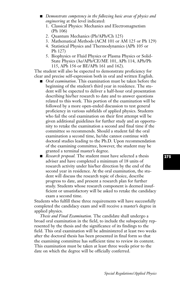- **■** *Demonstrate competency in the following basic areas of physics and engineering* at the level indicated:
	- 1. Classical Physics: Mechanics and Electromagnetism (Ph 106)
	- 2. Quantum Mechanics (Ph/APh/Ch 125)
	- 3. Mathematical Methods (ACM 101 or AM 125 or Ph 129)
	- 4. Statistical Physics and Thermodynamics (APh 105 or Ph 127)
	- 5. Biophysics or Fluid Physics or Plasma Physics or Solid-State Physics (Ae/APh/CE/ME 101, APh 114, APh/Ph 115, APh 156 or BE/APh 161 and 162).

The student will also be expected to demonstrate proficiency for clear and precise self-expression both in oral and written English.

- *Oral examination*. This examination must be taken before the beginning of the student's third year in residence. The student will be expected to deliver a half-hour oral presentation describing his/her research to date and to answer questions related to this work. This portion of the examination will be followed by a more open-ended discussion to test general proficiency in various subfields of applied physics. Students who fail the oral examination on their first attempt will be given additional guidelines for further study and an opportunity to retake the examination a second and final time if the committee so recommends. Should a student fail the oral examination a second time, he/she cannot continue with doctoral studies leading to the Ph.D. Upon recommendation of the examining committee, however, the student may be granted a terminal master's degree.
- *Research proposal*. The student must have selected a thesis adviser and have completed a minimum of 18 units of research activity under his/her direction by the end of the second year in residence. At the oral examination, the student will discuss the research topic of choice, describe progress to date, and present a research plan for further study. Students whose research component is deemed insufficient or unsatisfactory will be asked to retake the candidacy exam a second time.

Students who fulfill these three requirements will have successfully completed the candidacy exam and will receive a master's degree in applied physics.

*Thesis and Final Examination.* The candidate shall undergo a broad oral examination in the field, to include the subspecialty represented by the thesis and the significance of its findings to the field. This oral examination will be administered at least two weeks after the doctoral thesis has been presented in final form so that the examining committee has sufficient time to review its content. This examination must be taken at least three weeks prior to the date on which the degree will be officially conferred.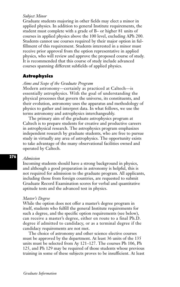# *Subject Minor*

Graduate students majoring in other fields may elect a minor in applied physics. In addition to general Institute requirements, the student must complete with a grade of B– or higher 81 units of courses in applied physics above the 100 level, excluding APh 200. Students cannot use courses required by their major option in fulfillment of this requirement. Students interested in a minor must receive prior approval from the option representative in applied physics, who will review and approve the proposed course of study. It is recommended that this course of study include advanced courses spanning different subfields of applied physics.

# **Astrophysics**

# *Aims and Scope of the Graduate Program*

Modern astronomy—certainly as practiced at Caltech—is essentially astrophysics. With the goal of understanding the physical processes that govern the universe, its constituents, and their evolution, astronomy uses the apparatus and methodology of physics to gather and interpret data. In what follows, we use the terms astronomy and astrophysics interchangeably.

The primary aim of the graduate astrophysics program at Caltech is to prepare students for creative and productive careers in astrophysical research. The astrophysics program emphasizes independent research by graduate students, who are free to pursue study in virtually any area of astrophysics. The opportunity exists to take advantage of the many observational facilities owned and operated by Caltech.

# *Admission*

Incoming students should have a strong background in physics, and although a good preparation in astronomy is helpful, this is not required for admission to the graduate program. All applicants, including those from foreign countries, are requested to submit Graduate Record Examination scores for verbal and quantitative aptitude tests and the advanced test in physics.

#### *Master's Degree*

While the option does not offer a master's degree program in itself, students who fulfill the general Institute requirements for such a degree, and the specific option requirements (see below), can receive a master's degree, either en route to a final Ph.D. degree if admitted to candidacy, or as a terminal degree if the candidacy requirements are not met.

The choice of astronomy and other science elective courses must be approved by the department. At least 36 units of the 135 units must be selected from Ay 121–127. The courses Ph 106, Ph 125, and Ph 129 may be required of those students whose previous training in some of these subjects proves to be insufficient. At least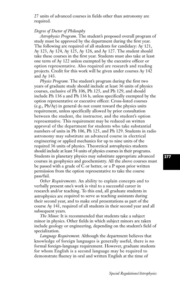27 units of advanced courses in fields other than astronomy are required.

# *Degree of Doctor of Philosophy*

*Astrophysics Program.* The student's proposed overall program of study must be approved by the department during the first year. The following are required of all students for candidacy: Ay 121, Ay 123, Ay 124, Ay 125, Ay 126, and Ay 127. The student should take these courses in the first year. Students must also take at least one term of Ay 122 unless exempted by the executive officer or option representative. Also required are research and reading projects. Credit for this work will be given under courses Ay 142 and Ay 143.

*Physics Program.* The student's program during the first two years of graduate study should include at least 36 units of physics courses, exclusive of Ph 106, Ph 125, and Ph 129, and should include Ph 136 a and Ph 136 b, unless specifically exempted by the option representative or executive officer. Cross-listed courses (e.g., Ph/Ay) in general do not count toward the physics units requirement, unless specifically allowed by prior consultation between the student, the instructor, and the student's option representative. This requirement may be reduced on written approval of the department for students who take substantial numbers of units in Ph 106, Ph 125, and Ph 129. Students in radio astronomy may substitute an advanced course in electrical engineering or applied mechanics for up to nine units of the required 36 units of physics. Theoretical astrophysics students should include at least 54 units of physics courses in their programs. Students in planetary physics may substitute appropriate advanced courses in geophysics and geochemistry. All the above courses must be passed with a grade of C or better, or a P upon prior written permission from the option representative to take the course pass/fail.

*Other Requirements.* An ability to explain concepts and to verbally present one's work is vital to a successful career in research and/or teaching. To this end, all graduate students in astrophysics are required to serve as teaching assistants during their second year, and to make oral presentations as part of the course Ay 141, required of all students in their second year and all subsequent years.

*The Minor.* It is recommended that students take a subject minor in physics. Other fields in which subject minors are taken include geology or engineering, depending on the student's field of specialization.

*Language Requirement.* Although the department believes that knowledge of foreign languages is generally useful, there is no formal foreign-language requirement. However, graduate students for whom English is a second language may be required to demonstrate fluency in oral and written English at the time of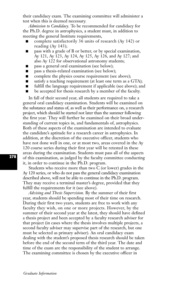their candidacy exam. The examining committee will administer a test when this is deemed necessary.

*Admission to Candidacy.* To be recommended for candidacy for the Ph.D. degree in astrophysics, a student must, in addition to meeting the general Institute requirements,

- **■** complete satisfactorily 36 units of research (Ay 142) or reading (Ay 143);
- pass with a grade of B or better, or by special examination, Ay 121, Ay 123, Ay 124, Ay 125, Ay 126, and Ay 127; and also Ay 122 for observational astronomy students;
- pass a general oral examination (see below);
- pass a thesis-related examination (see below);
- complete the physics course requirement (see above);
- satisfy a teaching requirement (at least one term as a GTA);
- fulfill the language requirement if applicable (see above); and
- be accepted for thesis research by a member of the faculty.

In fall of their second year, all students are required to take a general oral candidacy examination. Students will be examined on the substance and status of, as well as their performance on, a research project, which should be started not later than the summer following the first year. They will further be examined on their broad understanding of current topics in, and fundamentals of, astrophysics. Both of these aspects of the examination are intended to evaluate the candidate's aptitude for a research career in astrophysics. In addition, at the discretion of the executive officer, students who have not done well in one, or at most two, areas covered in the Ay 120 course series during their first year will be retested in these areas during the examination. Students must pass all of the aspects of this examination, as judged by the faculty committee conducting it, in order to continue in the Ph.D. program.

Students who receive more than two C (or lower) grades in the Ay 120 series, or who do not pass the general candidacy examination described above, will not be able to continue in the Ph.D. program. They may receive a terminal master's degree, provided that they fulfill the requirements for it (see above).

*Advising and Thesis Supervision.* By the summer of their first year, students should be spending most of their time on research. During their first two years, students are free to work with any faculty they wish, on one or more projects. However, by the summer of their second year at the latest, they should have defined a thesis project and been accepted by a faculty research adviser for that project (in cases where the thesis involves multiple projects, a second faculty adviser may supervise part of the research, but one must be selected as primary adviser). An oral candidacy exam dealing with the student's proposed thesis research should be taken before the end of the second term of the third year. The date and time of the exam are the responsibility of the student to arrange. The examining committee is chosen by the executive officer in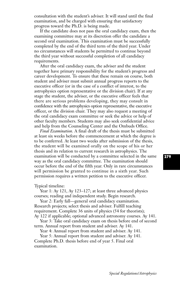consultation with the student's adviser. It will stand until the final examination, and be charged with ensuring that satisfactory progress toward the Ph.D. is being made.

If the candidate does not pass the oral candidacy exam, then the examining committee may at its discretion offer the candidate a second oral examination. This examination must be successfully completed by the end of the third term of the third year. Under no circumstances will students be permitted to continue beyond the third year without successful completion of all candidacy requirements.

After the oral candidacy exam, the adviser and the student together have primary responsibility for the student's progress and career development. To ensure that these remain on course, both student and adviser must submit annual progress reports to the executive officer (or in the case of a conflict of interest, to the astrophysics option representative or the division chair). If at any stage the student, the adviser, or the executive officer feels that there are serious problems developing, they may consult in confidence with the astrophysics option representative, the executive officer, or the division chair. They may also request a meeting of the oral candidacy exam committee or seek the advice or help of other faculty members. Students may also seek confidential advice and help from the Counseling Center and the Ombuds Office.

*Final Examination.* A final draft of the thesis must be submitted at least six weeks before the commencement at which the degree is to be conferred. At least two weeks after submission of the thesis, the student will be examined orally on the scope of his or her thesis and its relation to current research in astrophysics. The examination will be conducted by a committee selected in the same way as the oral candidacy committee. The examination should occur before the end of the fifth year. Only in rare circumstances will permission be granted to continue in a sixth year. Such permission requires a written petition to the executive officer.

Typical timeline:

Year 1: Ay 121, Ay 123–127; at least three advanced physics courses; reading and independent study. Begin research.

Year 2: Early fall—general oral candidacy examination. Research projects; select thesis and adviser. Fulfill teaching requirement. Complete 36 units of physics (54 for theorists); Ay 122 if applicable; optional advanced astronomy courses. Ay 141.

Year 3: Take oral candidacy exam on thesis before end of second term. Annual report from student and adviser. Ay 141.

Year 4: Annual report from student and adviser. Ay 141.

Year 5: Annual report from student and adviser. Ay 141. Complete Ph.D. thesis before end of year 5. Final oral examination.

**279**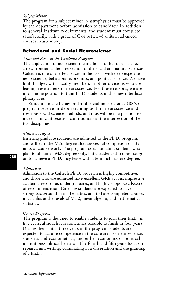# *Subject Minor*

The program for a subject minor in astrophysics must be approved by the department before admission to candidacy. In addition to general Institute requirements, the student must complete satisfactorily, with a grade of C or better, 45 units in advanced courses in astronomy.

# **Behavioral and Social Neuroscience**

# *Aims and Scope of the Graduate Program*

The application of neuroscientific methods to the social sciences is a new frontier at the intersection of the social and natural sciences. Caltech is one of the few places in the world with deep expertise in neuroscience, behavioral economics, and political science. We have built bridges with faculty members in other divisions who are leading researchers in neuroscience. For these reasons, we are in a unique position to train Ph.D. students in this new interdisciplinary area.

Students in the behavioral and social neuroscience (BSN) program receive in-depth training both in neuroscience and rigorous social science methods, and thus will be in a position to make significant research contributions at the intersection of the two disciplines.

### *Master's Degree*

Entering graduate students are admitted to the Ph.D. program, and will earn the M.S. degree after successful completion of 135 units of course work. The program does not admit students who plan to obtain an M.S. degree only, but a student who does not go on to achieve a Ph.D. may leave with a terminal master's degree.

## *Admissions*

Admission to the Caltech Ph.D. program is highly competitive, and those who are admitted have excellent GRE scores, impressive academic records as undergraduates, and highly supportive letters of recommendation. Entering students are expected to have a strong background in mathematics, and to have completed courses in calculus at the levels of Ma 2, linear algebra, and mathematical statistics.

#### *Course Program*

The program is designed to enable students to earn their Ph.D. in five years, although it is sometimes possible to finish in four years. During their initial three years in the program, students are expected to acquire competence in the core areas of neuroscience, statistics and econometrics, and either economics or political institutions/political behavior. The fourth and fifth years focus on research and writing, culminating in a dissertation and the granting of a Ph.D.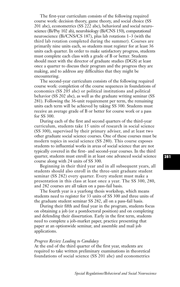The first-year curriculum consists of the following required course work: decision theory, game theory, and social choice (SS 201 abc), econometrics (SS 222 abc), behavioral and social neuroscience (Bi/Psy 102 ab), neurobiology (Bi/CNS 150), computational neuroscience (Bi/CNS/CS 187), plus lab rotations 1–3 (with the third lab rotation completed during the summer). Courses are primarily nine units each, so students must register for at least 36 units each quarter. In order to make satisfactory progress, students must complete each class with a grade of B or better. Students should meet with the director of graduate studies (DGS) at least once a quarter to discuss their program and the progress they are making, and to address any difficulties that they might be encountering.

The second-year curriculum consists of the following required course work: completion of the course sequences in foundations of economics (SS 205 abc) or political institutions and political behavior (SS 202 abc), as well as the graduate writing seminar (SS 281). Following the 36-unit requirement per term, the remaining units each term will be achieved by taking SS 300. Students must receive an average grade of B or better for course work or a pass for SS 300.

During each of the first and second quarters of the third-year curriculum, students take 15 units of research in social science (SS 300), supervised by their primary adviser, and at least two other graduate social science courses. One of these courses must be modern topics in social science (SS 280). This course exposes students to influential works in areas of social science that are not typically covered in the first- and second-year courses. In the third quarter, students must enroll in at least one advanced social science course along with 24 units of SS 300.

Beginning in their third year and in all subsequent years, all students should also enroll in the three-unit graduate student seminar (SS 282) every quarter. Every student must make a presentation in this class at least once a year. The SS 300, 280, and 282 courses are all taken on a pass-fail basis.

The fourth year is a yearlong thesis workshop, which means students need to register for 33 units of SS 300 and three units of the graduate student seminar SS 282, all on a pass-fail basis.

During their fifth and final year in the program, students focus on obtaining a job (or a postdoctoral position) and on completing and defending their dissertation. Early in the first term, students need to complete a job-market paper, practice presenting that paper at an optionwide seminar, and assemble and mail job applications.

## *Progress Review Leading to Candidacy*

At the end of the third quarter of the first year, students are required to take written preliminary examinations in theoretical foundations of social science (SS 201 abc) and econometrics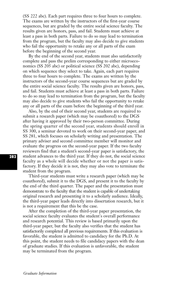(SS 222 abc). Each part requires three to four hours to complete. The exams are written by the instructors of the first-year course sequences, but are graded by the entire social science faculty. The results given are honors, pass, and fail. Students must achieve at least a pass in both parts. Failure to do so may lead to termination from the program, but the faculty may also decide to give students who fail the opportunity to retake any or all parts of the exam before the beginning of the second year.

By the end of the second year, students must also satisfactorily complete and pass the prelim corresponding to either microeconomics (SS 205 abc) or political science (SS 202 abc), depending on which sequence they select to take. Again, each part requires three to four hours to complete. The exams are written by the instructors of the second-year course sequences but are graded by the entire social science faculty. The results given are honors, pass, and fail. Students must achieve at least a pass in both parts. Failure to do so may lead to termination from the program, but the faculty may also decide to give students who fail the opportunity to retake any or all parts of the exam before the beginning of the third year.

Also, by the end of their second year, students are required to submit a research paper (which may be coauthored) to the DGS after having it approved by their two-person committee. During the spring quarter of the second year, students should enroll in SS 300, a seminar devoted to work on their second-year paper, and SS 281, which focuses on scholarly writing and presentation. The primary adviser and second committee member will monitor and evaluate the progress on the second-year paper. If the two faculty reviewers find that a student's second-year paper is satisfactory, the student advances to the third year. If they do not, the social science faculty as a whole will decide whether or not the paper is satisfactory. If they decide it is not, they may also vote to terminate the student from the program.

Third-year students must write a research paper (which may be coauthored), submit it to the DGS, and present it to the faculty by the end of the third quarter. The paper and the presentation must demonstrate to the faculty that the student is capable of undertaking original research and presenting it to a scholarly audience. Ideally, the third-year paper leads directly into dissertation research, but it is not a requirement that this be the case.

After the completion of the third-year paper presentation, the social science faculty evaluates the student's overall performance and research potential. This review is based primarily upon the third-year paper, but the faculty also verifies that the student has satisfactorily completed all previous requirements. If this evaluation is favorable, the student is admitted to candidacy for the Ph.D. At this point, the student needs to file candidacy papers with the dean of graduate studies. If this evaluation is unfavorable, the student may be terminated from the program.

*Graduate Information*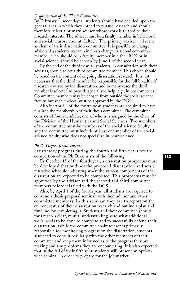# *Organization of the Thesis Committee*

By February 1, second-year students should have decided upon the general area in which they intend to pursue research and should therefore select a primary adviser whose work is related to their research interests. The adviser must be a faculty member in behavioral and social neuroscience at Caltech. The primary adviser will serve as chair of their dissertation committee. It is possible to change advisers if a student's research interests change. A second committee member, who should be a faculty member in either BSN or in social science, should be chosen by June 1 of the second year.

By the end of the third year, all students, in consultation with their advisers, should select a third committee member. This choice should be based on the content of ongoing dissertation research. It is not necessary that the third member be responsible for the full breadth of research covered by the dissertation, and in many cases the third member is selected to provide specialized help, e.g., in econometrics. Committee members may be chosen from outside the social science faculty, but such choices must be approved by the DGS.

Also by April 1 of the fourth year, students are required to have finalized the membership of their thesis committee. The committee consists of four members, one of whom is assigned by the chair of the Division of the Humanities and Social Sciences. Two members of the committee must be members of the social science faculty, and the committee must include at least one member of the social science faculty who does not specialize in neuroscience.

### *Ph.D. Degree Requirements*

Satisfactory progress during the fourth and fifth years toward completion of the Ph.D. consists of the following.

By October 15 of the fourth year, a dissertation prospectus must be developed that outlines the proposed dissertation and sets a tentative schedule indicating when the various components of the dissertation are expected to be completed. This prospectus must be approved by the adviser and the second and third committee members before it is filed with the DGS.

Also, by April 1 of the fourth year, all students are required to convene a thesis proposal seminar with their adviser and other committee members. In this seminar, they are to report on the current status of their dissertation research and outline a plan and timeline for completing it. Students and their committee should thus reach a clear, mutual understanding as to what additional work needs to be done to complete and to successfully defend their dissertation. While the committee chair/adviser is primarily responsible for monitoring progress on the dissertation, students also need to consult regularly with the other members of their committee and keep them informed as to the progress they are making and any problems they are encountering. It is also expected that in the fall of their fifth year, students will present an optionwide seminar in order to prepare for the job market.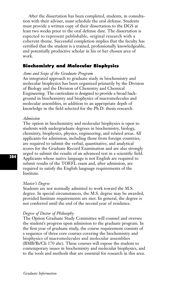After the dissertation has been completed, students, in consultation with their adviser, must schedule the oral defense. Students must provide a written copy of their dissertation to the DGS at least two weeks prior to the oral defense date. The dissertation is expected to represent publishable, original research with a coherent theme. Successful completion implies that the faculty has certified that the student is a trained, professionally knowledgeable, and potentially productive scholar in his or her chosen area of work.

# **Biochemistry and Molecular Biophysics**

# *Aims and Scope of the Graduate Program*

An integrated approach to graduate study in biochemistry and molecular biophysics has been organized primarily by the Division of Biology and the Division of Chemistry and Chemical Engineering. The curriculum is designed to provide a broad background in biochemistry and biophysics of macromolecules and molecular assemblies, in addition to an appropriate depth of knowledge in the field selected for the Ph.D. thesis research.

# *Admission*

The option in biochemistry and molecular biophysics is open to students with undergraduate degrees in biochemistry, biology, chemistry, biophysics, physics, engineering, and related areas. All applicants for admission, including those from foreign countries, are required to submit the verbal, quantitative, and analytical scores for the Graduate Record Examination and are also strongly urged to submit the results of an advanced test in a scientific field. Applicants whose native language is not English are required to submit results of the TOEFL exam and, after admission, are required to satisfy the English language requirements of the Institute.

#### *Master's Degree*

Students are not normally admitted to work toward the M.S. degree. In special circumstances, the M.S. degree may be awarded, provided Institute requirements are met. In general, the degree is not conferred until the end of the second year of residence.

#### *Degree of Doctor of Philosophy*

The Option Graduate Study Committee will counsel and oversee the student's progress upon admission to the graduate program. In the first year of graduate study, the course requirement consists of a sequence of three core courses covering the biochemistry and biophysics of macromolecules and molecular assemblies (BMB/Bi/Ch 170 abc). These courses will expose the student to contemporary issues in biochemistry and molecular biophysics, and to the tools and methods that are essential for research in this area.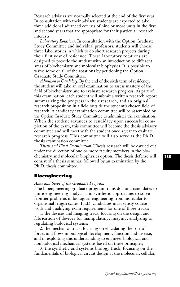Research advisers are normally selected at the end of the first year. In consultation with their adviser, students are expected to take three additional advanced courses of nine or more units in the first and second years that are appropriate for their particular research interests.

*Laboratory Rotations.* In consultation with the Option Graduate Study Committee and individual professors, students will choose three laboratories in which to do short research projects during their first year of residence. These laboratory rotations are designed to provide the student with an introduction to different areas of biochemistry and molecular biophysics. It is possible to waive some or all of the rotations by petitioning the Option Graduate Study Committee.

*Admission to Candidacy.* By the end of the sixth term of residency, the student will take an oral examination to assess mastery of the field of biochemistry and to evaluate research progress. As part of this examination, each student will submit a written research report summarizing the progress in their research, and an original research proposition in a field outside the student's chosen field of research. A candidacy examination committee will be assembled by the Option Graduate Study Committee to administer the examination. When the student advances to candidacy upon successful completion of the exam, this committee will become the thesis advisory committee and will meet with the student once a year to evaluate research progress. This committee will also serve as the Ph.D. thesis examination committee.

*Thesis and Final Examination.* Thesis research will be carried out under the direction of one or more faculty members in the biochemistry and molecular biophysics option. The thesis defense will consist of a thesis seminar, followed by an examination by the Ph.D. thesis committee.

# **Bioengineering**

#### *Aims and Scope of the Graduate Program*

The bioengineering graduate program trains doctoral candidates to unite engineering analysis and synthetic approaches to solve frontier problems in biological engineering from molecular to organismal length scales. Ph.D. candidates must satisfy course work and qualifying exam requirements for one of three tracks:

1. the devices and imaging track, focusing on the design and fabrication of devices for manipulating, imaging, analyzing or regulating biological systems;

2. the mechanics track, focusing on elucidating the role of forces and flows in biological development, function and disease, and in exploiting this understanding to engineer biological and nonbiological mechanical systems based on these principles;

3. the synthetic and systems biology track, focusing on the fundamentals of biological circuit design at the molecular, cellular,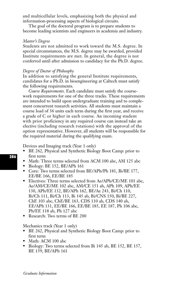and multicellular levels, emphasizing both the physical and information-processing aspects of biological circuits.

The goal of the doctoral program is to prepare students to become leading scientists and engineers in academia and industry.

# *Master's Degree*

Students are not admitted to work toward the M.S. degree. In special circumstances, the M.S. degree may be awarded, provided Institute requirements are met. In general, the degree is not conferred until after admission to candidacy for the Ph.D. degree.

# *Degree of Doctor of Philosophy*

In addition to satisfying the general Institute requirements, candidates for a Ph.D. in bioengineering at Caltech must satisfy the following requirements.

*Course Requirements.* Each candidate must satisfy the coursework requirements for one of the three tracks. These requirements are intended to build upon undergraduate training and to complement concurrent research activities. All students must maintain a course load of 36 units each term during the first year, and receive a grade of C or higher in each course. An incoming student with prior proficiency in any required course can instead take an elective (including research rotations) with the approval of the option representative. However, all students will be responsible for the required material during the qualifying exam.

Devices and Imaging track (Year 1 only)

- BE 262, Physical and Synthetic Biology Boot Camp: prior to first term
- Math: Three terms selected from ACM 100 abc, AM 125 abc
- Biology: BE 152, BE/APh 161
- Core: Two terms selected from BE/APh/Ph 181, Bi/BE 177, EE/BE 166, EE/BE 185
- Electives: Three terms selected from Ae/APh/CE/ME 101 abc, Ae/AM/CE/ME 102 abc, AM/CE 151 ab, APh 109, APh/EE 130, APh/EE 132, BE/APh 162, BE/Ae 243, Bi/Ch 110, Bi/Ch 111, Bi/Ch 113, Bi 145 ab, Bi/CNS 150, Bi/BE 227, ChE 103 abc, ChE/BE 163, CDS 110 ab, CDS 140 ab, EE/APh 131, EE/BE 166, EE/BE 185, EE 187, Ph 106 abc, Ph/EE 118 ab, Ph 127 abc
- Research: Two terms of BE 200

Mechanics track (Year 1 only)

- BE 262, Physical and Synthetic Biology Boot Camp: prior to first term
- Math: ACM 100 abc
- Biology: Two terms selected from Bi 145 ab, BE 152, BE 157, BE 159, BE/APh 161

*Graduate Information*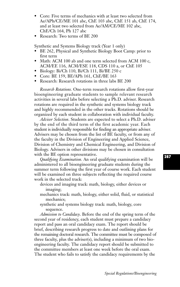- Core: Five terms of mechanics with at least two selected from Ae/APh/CE/ME 101 abc, ChE 103 abc, ChE 151 ab, ChE 174, and at least two selected from Ae/AM/CE/ME 102 abc, ChE/Ch 164, Ph 127 abc
- Research: Two terms of BE 200

Synthetic and Systems Biology track (Year 1 only)

- BE 262, Physical and Synthetic Biology Boot Camp: prior to first term
- Math: ACM 100 ab and one term selected from ACM 100 c, ACM/EE 116, ACM/ESE 118, CDS 110 a, or ChE 105
- Biology: Bi/Ch 110, Bi/Ch 111, Bi/BE 250 c
- Core: BE 159, BE/APh 161, ChE/BE 163
- Research: Research rotations in three labs BE 200

*Research Rotations.* One-term research rotations allow first-year bioengineering graduate students to sample relevant research activities in several labs before selecting a Ph.D. adviser. Research rotations are required in the synthetic and systems biology track and highly recommended in the other tracks. Rotations should be organized by each student in collaboration with individual faculty.

*Adviser Selection*. Students are expected to select a Ph.D. adviser by the end of the third term of the first academic year. Each student is individually responsible for finding an appropriate adviser. Advisers may be chosen from the list of BE faculty, or from any of the faculty in the Division of Engineering and Applied Science, Division of Chemistry and Chemical Engineering, and Division of Biology. Advisers in other divisions may be chosen in consultation with the BE option representative.

*Qualifying Examination.* An oral qualifying examination will be administered to all bioengineering graduate students during the summer term following the first year of course work. Each student will be examined on three subjects reflecting the required course work in the selected track:

- devices and imaging track: math, biology, either devices or imaging;
- mechanics track: math, biology, either solid, fluid, or statistical mechanics;
- synthetic and systems biology track: math, biology, core sequence.

*Admission to Candidacy*. Before the end of the spring term of the second year of residency, each student must prepare a candidacy report and pass an oral candidacy exam. The report should be brief, describing research progress to date and outlining plans for the remaining doctoral research. The committee must be composed of three faculty, plus the adviser(s), including a minimum of two bioengineering faculty. The candidacy report should be submitted to the committee members at least one week before the oral exam. The student who fails to satisfy the candidacy requirements by the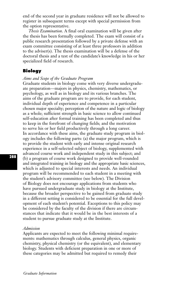end of the second year in graduate residence will not be allowed to register in subsequent terms except with special permission from the option representative.

*Thesis Examination*. A final oral examination will be given after the thesis has been formally completed. The exam will consist of a public research presentation followed by a private defense with an exam committee consisting of at least three professors in addition to the adviser(s). The thesis examination will be a defense of the doctoral thesis and a test of the candidate's knowledge in his or her specialized field of research.

# **Biology**

## *Aims and Scope of the Graduate Program*

Graduate students in biology come with very diverse undergraduate preparation—majors in physics, chemistry, mathematics, or psychology, as well as in biology and its various branches. The aims of the graduate program are to provide, for each student, individual depth of experience and competence in a particular chosen major specialty; perception of the nature and logic of biology as a whole; sufficient strength in basic science to allow continued self-education after formal training has been completed and thus to keep in the forefront of changing fields; and the motivation to serve his or her field productively through a long career. In accordance with these aims, the graduate study program in biology includes the following parts: (a) the major program, which is to provide the student with early and intense original research experience in a self-selected subject of biology, supplemented with advanced course work and independent study in this subject; and (b) a program of course work designed to provide well-rounded and integrated training in biology and the appropriate basic sciences, which is adjusted to special interests and needs. An individual program will be recommended to each student in a meeting with the student's advisory committee (see below). The Division of Biology does not encourage applications from students who have pursued undergraduate study in biology at the Institute, because the broader perspective to be gained from graduate study in a different setting is considered to be essential for the full development of each student's potential. Exceptions to this policy may be considered by the faculty of the division if there are circumstances that indicate that it would be in the best interests of a student to pursue graduate study at the Institute.

# *Admission*

Applicants are expected to meet the following minimal requirements: mathematics through calculus, general physics, organic chemistry, physical chemistry (or the equivalent), and elementary biology. Students with deficient preparation in one or more of these categories may be admitted but required to remedy their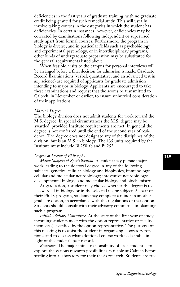deficiencies in the first years of graduate training, with no graduate credit being granted for such remedial study. This will usually involve taking courses in the categories in which the student has deficiencies. In certain instances, however, deficiencies may be corrected by examinations following independent or supervised study apart from formal courses. Furthermore, the program in biology is diverse, and in particular fields such as psychobiology and experimental psychology, or in interdisciplinary programs, other kinds of undergraduate preparation may be substituted for the general requirements listed above.

When feasible, visits to the campus for personal interviews will be arranged before a final decision for admission is made. Graduate Record Examinations (verbal, quantitative, and an advanced test in *any* science) are required of applicants for graduate admission intending to major in biology. Applicants are encouraged to take these examinations and request that the scores be transmitted to Caltech, in November or earlier, to ensure unhurried consideration of their applications.

## *Master's Degree*

The biology division does not admit students for work toward the M.S. degree. In special circumstances the M.S. degree may be awarded, provided Institute requirements are met. In general the degree is not conferred until the end of the second year of residence. The degree does not designate any of the disciplines of the division, but is an M.S. in biology. The 135 units required by the Institute must include Bi 250 ab and Bi 252.

# *Degree of Doctor of Philosophy*

*Major Subjects of Specialization.* A student may pursue major work leading to the doctoral degree in any of the following subjects: genetics; cellular biology and biophysics; immunology; cellular and molecular neurobiology; integrative neurobiology; developmental biology; and molecular biology and biochemistry.

At graduation, a student may choose whether the degree is to be awarded in biology or in the selected major subject. As part of their Ph.D. program, students may complete a minor in another graduate option, in accordance with the regulations of that option. Students should consult with their advisory committee in planning such a program.

*Initial Advisory Committee*. At the start of the first year of study, incoming students meet with the option representative or faculty member(s) specified by the option representative. The purpose of this meeting is to assist the student in organizing laboratory rotations, and to discuss what additional course work is desirable in light of the student's past record.

*Rotations.* The major initial responsibility of each student is to explore the various research possibilities available at Caltech before settling into a laboratory for their thesis research. Students are free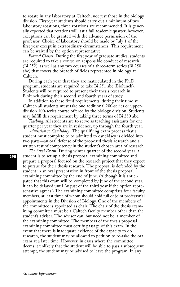to rotate in any laboratory at Caltech, not just those in the biology division. First-year students should carry out a minimum of two laboratory rotations; three rotations are recommended. It is generally expected that rotations will last a full academic quarter; however, exceptions can be granted with the advance permission of the professor. Choice of laboratory should be made by July 1 of the first year except in extraordinary circumstances. This requirement can be waived by the option representative.

*Formal Classes*. During the first year of graduate studies, students are required to take a course on responsible conduct of research (Bi 252), as well as any two courses of a three-term series (Bi 250 abc) that covers the breadth of fields represented in biology at Caltech.

During each year that they are matriculated in the Ph.D. program, students are required to take Bi 251 abc (Biolunch). Students will be required to present their thesis research in Biolunch during their second and fourth years of study.

In addition to these fixed requirements, during their time at Caltech all students must take one additional 200-series or upperdivision 100-series course offered by the biology division. Students may fulfill this requirement by taking three terms of Bi 250 abc.

*Teaching.* All students are to serve as teaching assistants for one quarter per year they are in residence, up through the fourth year.

*Admission to Candidacy*. The qualifying exam process that a student must complete to be admitted to candidacy is divided into two parts—an oral defense of the proposed thesis research and a written test of competency in the student's chosen area of research.

*The Oral Exam*: During winter quarter of the second year, a student is to set up a thesis proposal examining committee and prepare a proposal focused on the research project that they expect to pursue for their thesis research. The proposal is defended by the student in an oral presentation in front of the thesis proposal examining committee by the end of June. (Although it is anticipated that this exam will be completed by June of the second year, it can be delayed until August of the third year if the option representative agrees.) The examining committee comprises four faculty members, at least three of whom should hold full or joint professorial appointments in the Division of Biology. One of the members of the committee is appointed as chair. The chair of the thesis examining committee must be a Caltech faculty member other than the student's adviser. The adviser can, but need not be, a member of the examining committee. The members of the thesis proposal examining committee must certify passage of this exam. In the event that there is inadequate evidence of the capacity to do research, the student may be allowed to petition to re-take the oral exam at a later time. However, in cases where the committee deems it unlikely that the student will be able to pass a subsequent attempt, the student may be advised to leave the program. In any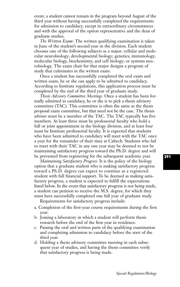event, a student cannot remain in the program beyond August of the third year without having successfully completed the requirements for admission to candidacy, except in extraordinary circumstances and with the approval of the option representative and the dean of graduate studies.

*The Written Exam*: The written qualifying examination is taken in June of the student's second year in the division. Each student chooses one of the following subjects as a major: cellular and molecular neurobiology; developmental biology; genetics; immunology; molecular biology, biochemistry, and cell biology; or systems neurobiology. The exam chair for that major designs a program of study that culminates in the written exam.

Once a student has successfully completed the oral exam and written exam, he or she can apply to be admitted to candidacy. According to Institute regulations, this application process must be completed by the end of the third year of graduate study.

*Thesis Advisory Committee Meetings*. Once a student has been formally admitted to candidacy, he or she is to pick a thesis advisory committee (TAC). This committee is often the same as the thesis proposal exam committee, but that need not be the case. The thesis adviser must be a member of the TAC. The TAC typically has five members. At least three must be professorial faculty who hold a full or joint appointment in the biology division, and at least four must be Institute professorial faculty. It is expected that students who have been admitted to candidacy will meet with the TAC once a year for the remainder of their time at Caltech. Students who fail to meet with their TAC in any one year may be deemed to not be maintaining satisfactory progress toward the Ph.D. degree and will be prevented from registering for the subsequent academic year.

*Maintaining Satisfactory Progress.* It is the policy of the biology option that a graduate student who is making satisfactory progress toward a Ph.D. degree can expect to continue as a registered student with full financial support. To be deemed as making satisfactory progress, a student is expected to fulfill the expectations listed below. In the event that satisfactory progress is not being made, a student can petition to receive the M.S. degree, for which they must have successfully completed one full year of graduate study.

Requirements for satisfactory progress include:

- a. Completion of the first-year course requirements during the first year.
- b. Joining a laboratory in which a student will perform thesis research before the end of the first year in residence.
- c. Passing the oral and written parts of the qualifying examination and completing admission to candidacy before the start of the third year.
- d. Holding a thesis advisory committee meeting in each subsequent year of studies, and having the thesis committee verify that satisfactory progress is being made.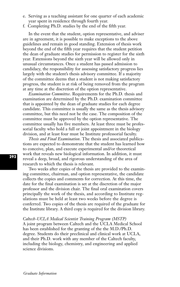- e. Serving as a teaching assistant for one quarter of each academic year spent in residence through fourth year.
- f. Completing Ph.D. studies by the end of the fifth year.

In the event that the student, option representative, and adviser are in agreement, it is possible to make exceptions to the above guidelines and remain in good standing. Extension of thesis work beyond the end of the fifth year requires that the student petition the dean of graduate studies for permission to register for the sixth year. Extensions beyond the sixth year will be allowed only in unusual circumstances. Once a student has passed admission to candidacy, the responsibility for assessing satisfactory progress lies largely with the student's thesis advisory committee. If a majority of the committee deems that a student is not making satisfactory progress, the student is at risk of being removed from the program at any time at the discretion of the option representative.

*Examination Committee*. Requirements for the Ph.D. thesis and examination are determined by the Ph.D. examination committee that is appointed by the dean of graduate studies for each degree candidate. This committee is usually the same as the thesis advisory committee, but this need not be the case. The composition of the committee must be approved by the option representative. The committee usually has five members. At least three must be professorial faculty who hold a full or joint appointment in the biology division, and at least four must be Institute professorial faculty.

*Thesis and Final Examination*. The thesis and associated publications are expected to demonstrate that the student has learned how to conceive, plan, and execute experimental and/or theoretical work that reveals new biological information. In addition, it must reveal a deep, broad, and rigorous understanding of the area of research to which the thesis is relevant.

Two weeks after copies of the thesis are provided to the examining committee, chairman, and option representative, the candidate collects the copies and comments for correction. At this time, the date for the final examination is set at the discretion of the major professor and the division chair. The final oral examination covers principally the work of the thesis, and according to Institute regulations must be held at least two weeks before the degree is conferred. Two copies of the thesis are required of the graduate for the Institute library. A third copy is required for the division library.

*Caltech-UCLA Medical Scientist Training Program (MSTP)* A joint program between Caltech and the UCLA Medical School has been established for the granting of the the M.D./Ph.D. degree. Students do their preclinical and clinical work at UCLA, and their Ph.D. work with any member of the Caltech faculty, including the biology, chemistry, and engineering and applied science divisions.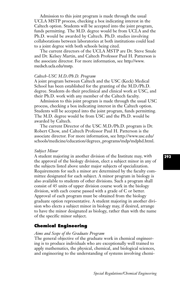Admission to this joint program is made through the usual UCLA MSTP process, checking a box indicating interest in the Caltech option. Students will be accepted into the joint program, funds permitting. The M.D. degree would be from UCLA and the Ph.D. would be awarded by Caltech. Ph.D. studies involving collaborations between laboratories at both institutions could lead to a joint degree with both schools being cited.

The current directors of the UCLA MSTP are Dr. Steve Smale and Dr. Kelsey Martin, and Caltech Professor Paul H. Patterson is the associate director. For more information, see http://www. medsch.ucla.edu/mstp.

# *Caltech-USC M.D./Ph.D. Program*

A joint program between Caltech and the USC (Keck) Medical School has been established for the granting of the M.D./Ph.D. degree. Students do their preclinical and clinical work at USC, and their Ph.D. work with any member of the Caltech faculty.

Admission to this joint program is made through the usual USC process, checking a box indicating interest in the Caltech option. Students will be accepted into the joint program, funds permitting. The M.D. degree would be from USC and the Ph.D. would be awarded by Caltech.

The current Director of the USC M.D./Ph.D. program is Dr. Robert Chow, and Caltech Professor Paul H. Patterson is the associate director. For more information, see http://www.usc.edu/ schools/medicine/education/degrees\_programs/mdp/mdphd.html.

## *Subject Minor*

A student majoring in another division of the Institute may, with the approval of the biology division, elect a subject minor in any of the subjects listed above under major subjects of specialization. Requirements for such a minor are determined by the faculty committee designated for each subject. A minor program in biology is also available to students of other divisions. Such a program shall consist of 45 units of upper division course work in the biology division, with each course passed with a grade of C or better. Approval of each program must be obtained from the biology graduate option representative. A student majoring in another division who elects a subject minor in biology may, if desired, arrange to have the minor designated as biology, rather than with the name of the specific minor subject.

# **Chemical Engineering**

### *Aims and Scope of the Graduate Program*

The general objective of the graduate work in chemical engineering is to produce individuals who are exceptionally well trained to apply mathematics, the physical, chemical, and biological sciences, and engineering to the understanding of systems involving chemi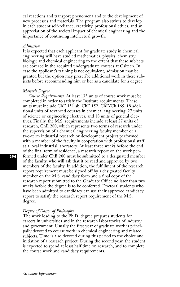cal reactions and transport phenomena and to the development of new processes and materials. The program also strives to develop in each student self-reliance, creativity, professional ethics, and an appreciation of the societal impact of chemical engineering and the importance of continuing intellectual growth.

## *Admission*

It is expected that each applicant for graduate study in chemical engineering will have studied mathematics, physics, chemistry, biology, and chemical engineering to the extent that these subjects are covered in the required undergraduate courses at Caltech. In case the applicant's training is not equivalent, admission may be granted but the option may prescribe additional work in these subjects before recommending him or her as a candidate for a degree.

#### *Master's Degree*

*Course Requirements.* At least 135 units of course work must be completed in order to satisfy the Institute requirements. These units must include ChE 151 ab, ChE 152, ChE/Ch 165, 18 additional units of advanced courses in chemical engineering, 27 units of science or engineering electives, and 18 units of general electives. Finally, the M.S. requirements include at least 27 units of research, ChE 280, which represents two terms of research under the supervision of a chemical engineering faculty member or a two-term industrial research or development project performed with a member of the faculty in cooperation with professional staff at a local industrial laboratory. At least three weeks before the end of the final term of residence, a research report on the work performed under ChE 280 must be submitted to a designated member of the faculty, who will ask that it be read and approved by two members of the faculty. In addition, the fulfillment of the research report requirement must be signed off by a designated faculty member on the M.S. candidacy form and a final copy of the research report submitted to the Graduate Office no later than two weeks before the degree is to be conferred. Doctoral students who have been admitted to candidacy can use their approved candidacy report to satisfy the research report requirement of the M.S. degree.

## *Degree of Doctor of Philosophy*

The work leading to the Ph.D. degree prepares students for careers in universities and in the research laboratories of industry and government. Usually the first year of graduate work is principally devoted to course work in chemical engineering and related subjects. Time is also devoted during this period to the choice and initiation of a research project. During the second year, the student is expected to spend at least half time on research, and to complete the course work and candidacy requirements.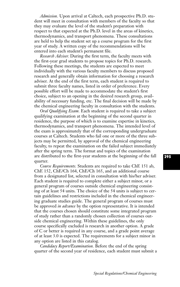*Admission.* Upon arrival at Caltech, each prospective Ph.D. student will meet in consultation with members of the faculty so that they may evaluate the level of the student's preparation with respect to that expected at the Ph.D. level in the areas of kinetics, thermodynamics, and transport phenomena. These consultations are held to help the student set up a course program for the first year of study. A written copy of the recommendations will be entered into each student's permanent file.

*Research Adviser.* During the first term, the faculty meets with the first-year grad students to propose topics for Ph.D. research. Following these meetings, the students are expected to meet individually with the various faculty members to discuss proposed research and generally obtain information for choosing a research adviser. At the end of the first term, each student is required to submit three faculty names, listed in order of preference. Every possible effort will be made to accommodate the student's first choice, subject to an opening in the desired research group, availability of necessary funding, etc. The final decision will be made by the chemical engineering faculty in consultation with the students.

*Oral Qualifying Exam.* Each student is required to take a subject qualifying examination at the beginning of the second quarter in residence, the purpose of which is to examine expertise in kinetics, thermodynamics, and transport phenomena. The intended level of the exam is approximately that of the corresponding undergraduate courses at Caltech. Students who fail one or more of the three subjects may be permitted, by approval of the chemical engineering faculty, to repeat the examination on the failed subject immediately after the spring term. The format and topics of the examination are distributed to the first-year students at the beginning of the fall quarter.

*Course Requirements.* Students are required to take ChE 151 ab, ChE 152, ChE/Ch 164, ChE/Ch 165, and an additional course from a designated list, selected in consultation with his/her adviser. Each student is required to complete either a subject minor, or a general program of courses outside chemical engineering consisting of at least 54 units. The choice of the 54 units is subject to certain guidelines and restrictions included in the chemical engineering graduate studies guide. The general program of courses must be approved *in advance* by the option representative. It is intended that the courses chosen should constitute some integrated program of study rather than a randomly chosen collection of courses outside chemical engineering. Within these guidelines, the only course specifically excluded is research in another option. A grade of C or better is required in any course, and a grade point average of at least 3.0 is expected. The requirements for a subject minor in any option are listed in this catalog.

*Candidacy Report/Examination.* Before the end of the spring quarter of the second year of residence, each student must submit a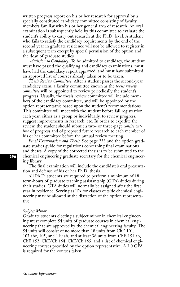written progress report on his or her research for approval by a specially constituted candidacy committee consisting of faculty members familiar with his or her general area of research. An oral examination is subsequently held by this committee to evaluate the student's ability to carry out research at the Ph.D. level. A student who fails to satisfy the candidacy requirements by the end of the second year in graduate residence will not be allowed to register in a subsequent term except by special permission of the option and the dean of graduate studies.

*Admission to Candidacy.* To be admitted to candidacy, the student must have passed the qualifying and candidacy examinations, must have had the candidacy report approved, and must have submitted an approved list of courses already taken or to be taken.

*Thesis Review Committee.* After a student passes the second-year candidacy exam, a faculty committee known as the *thesis review committee* will be appointed to review periodically the student's progress. Usually, the thesis review committee will include members of the candidacy committee, and will be appointed by the option representative based upon the student's recommendations. This committee will meet with the student before fall registration each year, either as a group or individually, to review progress, suggest improvements in research, etc. In order to expedite the review, the student should submit a two- or three-page *concise outline* of progress and of proposed future research to each member of his or her committee before the annual review meeting.

*Final Examination and Thesis.* See page 253 and the option graduate studies guide for regulations concerning final examinations and theses. A copy of the corrected thesis is to be submitted to the chemical engineering graduate secretary for the chemical engineering library.

The final examination will include the candidate's oral presentation and defense of his or her Ph.D. thesis.

All Ph.D. students are required to perform a minimum of 18 term-hours of graduate teaching assistantship (GTA) duties during their studies. GTA duties will normally be assigned after the first year in residence. Serving as TA for classes outside chemical engineering may be allowed at the discretion of the option representative.

#### *Subject Minor*

Graduate students electing a subject minor in chemical engineering must complete 54 units of graduate courses in chemical engineering that are approved by the chemical engineering faculty. The 54 units will consist of no more than 18 units from ChE 101, 103 abc, 105, and 110 ab, and at least 36 units from ChE 151 ab, ChE 152, ChE/Ch 164, ChE/Ch 165, and a list of chemical engineering courses provided by the option representative. A 3.0 GPA is required for the courses taken.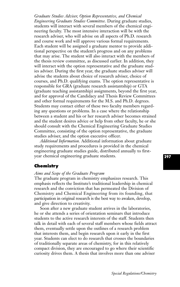*Graduate Studies Adviser, Option Representative, and Chemical Engineering Graduate Studies Committee.* During graduate studies, students will interact with several members of the chemical engineering faculty. The most intensive interaction will be with the research adviser, who will advise on all aspects of Ph.D. research and course work and will approve various formal requirements. Each student will be assigned a graduate mentor to provide additional perspective on the student's progress and on any problems that may arise. The student will also interact with the members of the thesis review committee, as discussed earlier. In addition, they will interact with the option representative and the graduate studies adviser. During the first year, the graduate studies adviser will advise the students about choice of research adviser, choice of courses, and Ph.D. qualifying exams. The option representative is responsible for GRA (graduate research assistantship) or GTA (graduate teaching assistantship) assignments, beyond the first year, and for approval of the Candidacy and Thesis Review Committees and other formal requirements for the M.S. and Ph.D. degrees. Students may contact either of these two faculty members regarding any questions or problems. In a case where the relationship between a student and his or her research adviser becomes strained and the student desires advice or help from other faculty, he or she should consult with the Chemical Engineering Graduate Studies Committee, consisting of the option representative, the graduate studies adviser, and the option executive officer.

*Additional Information.* Additional information about graduate study requirements and procedures is provided in the chemical engineering graduate studies guide, distributed annually to firstyear chemical engineering graduate students.

# **Chemistry**

# *Aims and Scope of the Graduate Program*

The graduate program in chemistry emphasizes research. This emphasis reflects the Institute's traditional leadership in chemical research and the conviction that has permeated the Division of Chemistry and Chemical Engineering from its founding, that participation in original research is the best way to awaken, develop, and give direction to creativity.

Soon after a new graduate student arrives in the laboratories, he or she attends a series of orientation seminars that introduce students to the active research interests of the staff. Students then talk in detail with each of several staff members whose fields attract them, eventually settle upon the outlines of a research problem that interests them, and begin research upon it early in the first year. Students can elect to do research that crosses the boundaries of traditionally separate areas of chemistry, for in this relatively compact division, they are encouraged to go where their scientific curiosity drives them. A thesis that involves more than one adviser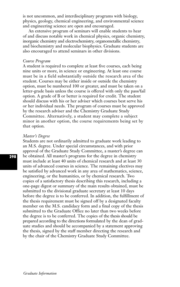is not uncommon, and interdisciplinary programs with biology, physics, geology, chemical engineering, and environmental science and engineering science are open and encouraged.

An extensive program of seminars will enable students to hear of and discuss notable work in chemical physics, organic chemistry, inorganic chemistry and electrochemistry, organometallic chemistry, and biochemistry and molecular biophysics. Graduate students are also encouraged to attend seminars in other divisions.

# *Course Program*

A student is required to complete at least five courses, each being nine units or more, in science or engineering. At least one course must be in a field substantially outside the research area of the student. Courses may be either inside or outside the chemistry option, must be numbered 100 or greater, and must be taken on a letter-grade basis unless the course is offered with only the pass/fail option. A grade of B or better is required for credit. The student should discuss with his or her adviser which courses best serve his or her individual needs. The program of courses must be approved by the research adviser and the Chemistry Graduate Study Committee. Alternatively, a student may complete a subject minor in another option, the course requirements being set by that option.

#### *Master's Degree*

Students are not ordinarily admitted to graduate work leading to an M.S. degree. Under special circumstances, and with prior approval of the Graduate Study Committee, a master's degree can be obtained. All master's programs for the degree in chemistry must include at least 40 units of chemical research and at least 30 units of advanced courses in science. The remaining electives may be satisfied by advanced work in any area of mathematics, science, engineering, or the humanities, or by chemical research. Two copies of a satisfactory thesis describing this research, including a one-page digest or summary of the main results obtained, must be submitted to the divisional graduate secretary at least 10 days before the degree is to be conferred. In addition, the fulfillment of the thesis requirement must be signed off by a designated faculty member on the M.S. candidacy form and a final copy of the thesis submitted to the Graduate Office no later than two weeks before the degree is to be conferred. The copies of the thesis should be prepared according to the directions formulated by the dean of graduate studies and should be accompanied by a statement approving the thesis, signed by the staff member directing the research and by the chair of the Chemistry Graduate Study Committee.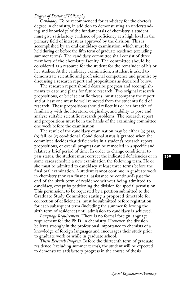# *Degree of Doctor of Philosophy*

*Candidacy.* To be recommended for candidacy for the doctor's degree in chemistry, in addition to demonstrating an understanding and knowledge of the fundamentals of chemistry, a student must give satisfactory evidence of proficiency at a high level in the primary field of interest, as approved by the division. This is accomplished by an oral candidacy examination, which must be held during or before the fifth term of graduate residence (excluding summer terms). The candidacy committee shall consist of three members of the chemistry faculty. The committee should be considered as a resource for the student for the remainder of his or her studies. At the candidacy examination, a student is asked to demonstrate scientific and professional competence and promise by discussing a research report and propositions as described below.

The research report should describe progress and accomplishments to date and plans for future research. Two original research propositions, or brief scientific theses, must accompany the report, and at least one must be well removed from the student's field of research. These propositions should reflect his or her breadth of familiarity with the literature, originality, and ability to pose and analyze suitable scientific research problems. The research report and propositions must be in the hands of the examining committee one week before the examination.

The result of the candidacy examination may be either (a) pass, (b) fail, or (c) conditional. Conditional status is granted when the committee decides that deficiencies in a student's research report, propositions, or overall progress can be remedied in a specific and relatively brief period of time. In order to change conditional to pass status, the student must correct the indicated deficiencies or in some cases schedule a new examination the following term. He or she must be admitted to candidacy at least three terms before the final oral examination. A student cannot continue in graduate work in chemistry (nor can financial assistance be continued) past the end of the sixth term of residence without being admitted to candidacy, except by petitioning the division for special permission. This permission, to be requested by a petition submitted to the Graduate Study Committee stating a proposed timetable for correction of deficiencies, must be submitted before registration for each subsequent term (including the summer following the sixth term of residence) until admission to candidacy is achieved.

*Language Requirement.* There is no formal foreign language requirement for the Ph.D. in chemistry. However, the division believes strongly in the professional importance to chemists of a knowledge of foreign languages and encourages their study prior to graduate work or while in graduate school.

*Thesis Research Progress.* Before the thirteenth term of graduate residence (excluding summer terms), the student will be expected to demonstrate satisfactory progress in the course of thesis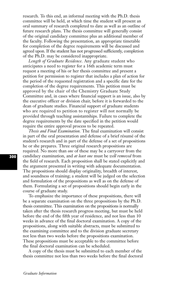research. To this end, an informal meeting with the Ph.D. thesis committee will be held, at which time the student will present an oral summary of research completed to date as well as an outline of future research plans. The thesis committee will generally consist of the original candidacy committee plus an additional member of the faculty. Following the presentation, an appropriate timetable for completion of the degree requirements will be discussed and agreed upon. If the student has not progressed sufficiently, completion of the Ph.D. may be considered inappropriate.

*Length of Graduate Residence.* Any graduate student who anticipates a need to register for a 16th academic term must request a meeting of his or her thesis committee and present a petition for permission to register that includes a plan of action for the period of the requested registration and a specific date for the completion of the degree requirements. This petition must be approved by the chair of the Chemistry Graduate Study Committee and, in cases where financial support is an issue, also by the executive officer or division chair, before it is forwarded to the dean of graduate studies. Financial support of graduate students who are required to petition to register will not normally be provided through teaching assistantships. Failure to complete the degree requirements by the date specified in the petition would require the entire approval process to be repeated.

*Thesis and Final Examination.* The final examination will consist in part of the oral presentation and defense of a brief résumé of the student's research and in part of the defense of a set of propositions he or she prepares. Three original research propositions are required. No more than *one* of these may be a carryover from the candidacy examination, and *at least one* must be *well removed* from the field of research. Each proposition shall be stated explicitly and the argument presented in writing with adequate documentation. The propositions should display originality, breadth of interest, and soundness of training; a student will be judged on the selection and formulation of the propositions as well as on the defense of them. Formulating a set of propositions should begin early in the course of graduate study.

To emphasize the importance of these propositions, there will be a separate examination on the three propositions by the Ph.D. thesis committee. This examination on the propositions is normally taken after the thesis research progress meeting, but must be held before the end of the fifth year of residence, and not less than 10 weeks in advance of the final doctoral examination. A copy of the propositions, along with suitable abstracts, must be submitted to the examining committee and to the division graduate secretary not less than two weeks before the propositions examination. These propositions must be acceptable to the committee before the final doctoral examination can be scheduled.

A copy of the thesis must be submitted to each member of the thesis committee not less than two weeks before the final doctoral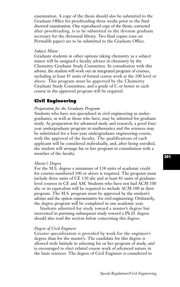examination. A copy of the thesis should also be submitted to the Graduate Office for proofreading three weeks prior to the final doctoral examination. One reproduced copy of the thesis, corrected after proofreading, is to be submitted to the division graduate secretary for the divisional library. Two final copies (one on Permalife paper) are to be submitted to the Graduate Office.

# *Subject Minor*

Graduate students in other options taking chemistry as a subject minor will be assigned a faculty adviser in chemistry by the Chemistry Graduate Study Committee. In consultation with this adviser, the student will work out an integrated program of courses, including at least 45 units of formal course work at the 100 level or above. This program must be approved by the Chemistry Graduate Study Committee, and a grade of C or better in each course in the approved program will be required.

# **Civil Engineering**

# *Preparation for the Graduate Program*

Students who have not specialized in civil engineering as undergraduates, as well as those who have, may be admitted for graduate study. As preparation for advanced study and research, a good fouryear undergraduate program in mathematics and the sciences may be substituted for a four-year undergraduate engineering course, with the approval of the faculty. The qualifications of each applicant will be considered individually, and, after being enrolled, the student will arrange his or her program in consultation with a member of the faculty.

# *Master's Degree*

For the M.S. degree a minimum of 138 units of academic credit for courses numbered 100 or above is required. The program must include three units of CE 130 abc and at least 81 units of graduatelevel courses in CE and AM. Students who have not had ACM 100 abc or its equivalent will be required to include ACM 100 in their program. The M.S. program must be approved by the student's adviser and the option representative for civil engineering. Ordinarily, the degree program will be completed in one academic year.

Students admitted for study toward a master's degree but interested in pursuing subsequent study toward a Ph.D. degree should also read the section below concerning this degree.

# *Degree of Civil Engineer*

Greater specialization is provided by work for the engineer's degree than for the master's. The candidate for this degree is allowed wide latitude in selecting his or her program of study, and is encouraged to elect related course work of advanced nature in the basic sciences. The degree of Civil Engineer is considered to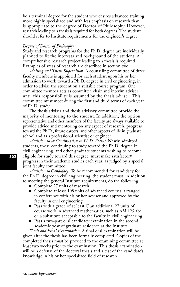be a terminal degree for the student who desires advanced training more highly specialized and with less emphasis on research than is appropriate to the degree of Doctor of Philosophy. However, research leading to a thesis is required for both degrees. The student should refer to Institute requirements for the engineer's degree.

#### *Degree of Doctor of Philosophy*

Study and research programs for the Ph.D. degree are individually planned to fit the interests and background of the student. A comprehensive research project leading to a thesis is required. Examples of areas of research are described in section two.

*Advising and Thesis Supervision.* A counseling committee of three faculty members is appointed for each student upon his or her admission to work toward a Ph.D. degree in civil engineering, in order to advise the student on a suitable course program. One committee member acts as committee chair and interim adviser until this responsibility is assumed by the thesis adviser. This committee must meet during the first and third terms of each year of Ph.D. study.

The thesis adviser and thesis advisory committee provide the majority of mentoring to the student. In addition, the option representative and other members of the faculty are always available to provide advice and mentoring on any aspect of research, progress toward the Ph.D., future careers, and other aspects of life in graduate school and as a professional scientist or engineer.

*Admission to or Continuation in Ph.D. Status.* Newly admitted students, those continuing to study toward the Ph.D. degree in civil engineering, and other graduate students wishing to become eligible for study toward this degree, must make satisfactory progress in their academic studies each year, as judged by a special joint faculty committee.

*Admission to Candidacy.* To be recommended for candidacy for the Ph.D. degree in civil engineering, the student must, in addition to meeting the general Institute requirements, do the following:

- Complete 27 units of research.
- Complete at least 108 units of advanced courses, arranged in conference with his or her adviser and approved by the faculty in civil engineering.
- Pass with a grade of at least C an additional 27 units of course work in advanced mathematics, such as AM 125 abc or a substitute acceptable to the faculty in civil engineering.
- Pass a two-part oral candidacy examination in the second academic year of graduate residence at the Institute.

*Thesis and Final Examination.* A final oral examination will be given after the thesis has been formally completed. Copies of the completed thesis must be provided to the examining committee at least two weeks prior to the examination. This thesis examination will be a defense of the doctoral thesis and a test of the candidate's knowledge in his or her specialized field of research.

*Graduate Information*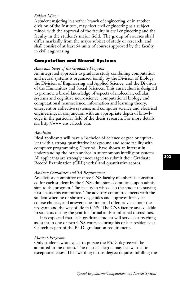# *Subject Minor*

A student majoring in another branch of engineering, or in another division of the Institute, may elect civil engineering as a subject minor, with the approval of the faculty in civil engineering and the faculty in the student's major field. The group of courses shall differ markedly from the major subject of study or research, and shall consist of at least 54 units of courses approved by the faculty in civil engineering.

# **Computation and Neural Systems**

# *Aims and Scope of the Graduate Program*

An integrated approach to graduate study combining computation and neural systems is organized jointly by the Division of Biology, the Division of Engineering and Applied Science, and the Division of the Humanities and Social Sciences. This curriculum is designed to promote a broad knowledge of aspects of molecular, cellular, systems and cognitive neuroscience, computational biology and computational neuroscience, information and learning theory; emergent or collective systems; and computer science and electrical engineering; in conjunction with an appropriate depth of knowledge in the particular field of the thesis research. For more details, see http://www.cns.caltech.edu.

# *Admission*

Ideal applicants will have a Bachelor of Science degree or equivalent with a strong quantitative background and some facility with computer programming. They will have shown an interest in understanding the brain and/or in autonomous intelligent systems. All applicants are strongly encouraged to submit their Graduate Record Examination (GRE) verbal and quantitative scores.

# *Advisory Committee and TA Requirement*

An advisory committee of three CNS faculty members is constituted for each student by the CNS admissions committee upon admission to the program. The faculty in whose lab the student is staying first chairs this committee. The advisory committee meets with the student when he or she arrives, guides and approves first-year course choices, and answers questions and offers advice about the program and the way of life in CNS. The CNS faculty are available to students during the year for formal and/or informal discussions.

It is expected that each graduate student will serve as a teaching assistant in one or two CNS courses during his or her residency at Caltech as part of the Ph.D. graduation requirement.

# *Master's Program*

Only students who expect to pursue the Ph.D. degree will be admitted to the option. The master's degree may be awarded in exceptional cases. The awarding of this degree requires fulfilling the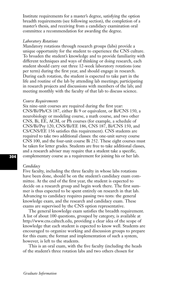Institute requirements for a master's degree, satisfying the option breadth requirements (see following section), the completion of a master's thesis, and receiving from a candidacy examination oral committee a recommendation for awarding the degree.

# *Laboratory Rotations*

Mandatory rotations through research groups (labs) provide a unique opportunity for the student to experience the CNS culture. To broaden the student's knowledge and to provide familiarity with different techniques and ways of thinking or doing research, each student should carry out three 12-week laboratory rotations (one per term) during the first year, and should engage in research. During each rotation, the student is expected to take part in the life and routine of the lab by attending lab meetings; participating in research projects and discussions with members of the lab; and meeting monthly with the faculty of that lab to discuss science.

# *Course Requirements*

Six nine-unit courses are required during the first year: CNS/Bi/Ph/CS 187, either Bi 9 or equivalent, or Bi/CNS 150, a neurobiology or modeling course, a math course, and two other CNS, Bi, EE, ACM, or Ph courses (for example, a schedule of CNS/Bi/Psy 120, CNS/Bi/EE 186, CNS 187, Bi/CNS 150, and CS/CNS/EE 156 satisfies this requirement). CNS students are required to take two additional classes: the one-unit survey course CNS 100, and the four-unit course Bi 252. These eight courses must be taken for letter grades. Students are free to take additional classes, and a research adviser may require that a student take a specific, complementary course as a requirement for joining his or her lab.

## *Candidacy*

Five faculty, including the three faculty in whose labs rotations have been done, should be on the student's candidacy exam committee. At the end of the first year, the student is expected to decide on a research group and begin work there. The first summer is thus expected to be spent entirely on research in that lab. Advancing to candidacy requires passing two tests: the general knowledge exam, and the research and candidacy exam. These exams are supervised by the CNS option representative.

The general knowledge exam satisfies the breadth requirement. A list of about 100 questions, grouped by category, is available at http://www.cns.caltech.edu, providing a clear idea of the scope of knowledge that each student is expected to know well. Students are encouraged to organize working and discussion groups to prepare for this exam; the format and implementation of such a system, however, is left to the students.

This is an oral exam, with the five faculty (including the heads of the student's three rotation labs and two others chosen for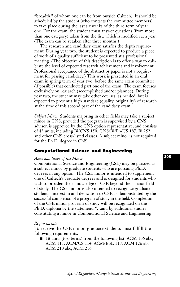"breadth,'' of whom one can be from outside Caltech). It should be scheduled by the student (who contacts the committee members) to take place during the last six weeks of the third term of year one. For the exam, the student must answer questions (from more than one category) taken from the list, which is modified each year. (The exam can be retaken after three months.)

The research and candidacy exam satisfies the depth requirement. During year two, the student is expected to produce a piece of work of a quality sufficient to be presented at a professional meeting. (The objective of this description is to offer a way to calibrate the level of expected research achievement and involvement. Professional acceptance of the abstract or paper is not a requirement for passing candidacy.) This work is presented in an oral exam in spring term of year two, before the same exam committee (if possible) that conducted part one of the exam. The exam focuses exclusively on research (accomplished and/or planned). During year two, the student may take other courses, as needed, but is expected to present a high standard (quality, originality) of research at the time of this second part of the candidacy exam.

*Subject Minor.* Students majoring in other fields may take a subject minor in CNS, provided the program is supervised by a CNS adviser, is approved by the CNS option representative, and consists of 45 units, including Bi/CNS 150, CNS/Bi/Ph/CS 187, Bi 252, and other CNS cross-listed classes. A subject minor is not required for the Ph.D. degree in CNS.

# **Computational Science and Engineering**

# *Aims and Scope of the Minor*

Computational Science and Engineering (CSE) may be pursued as a subject minor by graduate students who are pursuing Ph.D. degrees in any option. The CSE minor is intended to supplement one of Caltech's graduate degrees and is designed for students who wish to broaden their knowledge of CSE beyond their major field of study. The CSE minor is also intended to recognize graduate students' interest in and dedication to CSE as demonstrated by the successful completion of a program of study in the field. Completion of the CSE minor program of study will be recognized on the Ph.D. diploma by the statement, "…and by additional studies constituting a minor in Computational Science and Engineering."

### *Requirements*

To receive the CSE minor, graduate students must fulfill the following requirements.

■ 18 units (two terms) from the following list: ACM 106 abc, ACM 113, ACM/CS 114, ACM/ESE 118, ACM 126 ab, ACM 210 abc, ACM 216.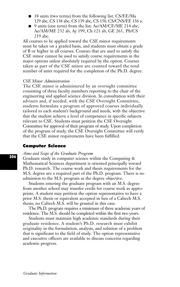- 18 units (two terms) from the following list: CS/EE/Ma 129 abc, CS 138 abc, CS 139 abc, CS 150, CS/CNS/EE 156 a.
- 9 units (one term) from the list: Ae/AM/CE/ME 214 abc, Ae/AM/ME 232 ab, Ay 199, Ch 121 ab, GE 263, Ph/CS 219 abc.

All courses to be applied toward the CSE minor requirements must be taken on a graded basis, and students must obtain a grade of B or higher in all courses. Courses that are used to satisfy the CSE minor cannot be used to satisfy course requirements in the major options unless absolutely required by the option. Courses taken as part of the CSE minor are counted toward the total number of units required for the completion of the Ph.D. degree.

## *CSE Minor Administration*

The CSE minor is administered by an oversight committee consisting of three faculty members reporting to the chair of the engineering and applied science division. In consultation with their advisers and, if needed, with the CSE Oversight Committee, students formulate a program of approved courses individually tailored to each student's background and needs, with the objective that the student achieve a level of competence in specific subjects relevant to CSE. Students must petition the CSE Oversight Committee for approval of their program of study. Upon completion of the program of study, the CSE Oversight Committee will verify that the CSE minor requirements have been fulfilled.

### **Computer Science**

# *Aims and Scope of the Graduate Program*

Graduate study in computer science within the Computing & Mathematical Sciences department is oriented principally toward Ph.D. research. The course work and thesis requirements for the M.S. degree are a required part of the Ph.D. program. There is no admission to the M.S. program as the degree objective.

Students entering the graduate program with an M.S. degree from another school may transfer credit for course work as appropriate. A student may petition the option representative to have a prior M.S. thesis or equivalent accepted in lieu of a Caltech M.S. thesis; no Caltech M.S. will be granted in this case.

The Ph.D. program requires a minimum of three academic years of residence. The M.S. should be completed within the first two years.

Students must maintain high academic standards during their graduate residence. A student's Ph.D. research must exhibit originality in the formulation, analysis, and solution of a problem that is significant to the field of study. The option representative and executive officers are available to discuss concerns regarding academic progress.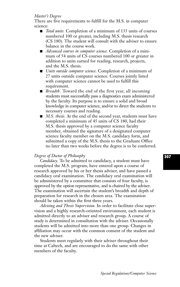# *Master's Degree*

There are five requirements to fulfill for the M.S. in computer science:

- *Total units.* Completion of a minimum of 135 units of courses numbered 100 or greater, including M.S. thesis research (CS 180). The student will consult with the adviser to ensure balance in the course work.
- *Advanced courses in computer science*. Completion of a minimum of 54 units of CS courses numbered 100 or greater in addition to units earned for reading, research, projects, and the M.S. thesis.
- *Units outside computer science*. Completion of a minimum of 27 units outside computer science. Courses jointly listed with computer science cannot be used to fulfill this requirement.
- *Breadth*. Toward the end of the first year, all incoming students must successfully pass a diagnostics exam administered by the faculty. Its purpose is to ensure a solid and broad knowledge in computer science, and/or to direct the students to necessary courses and reading.
- *M.S. thesis.* At the end of the second year, students must have completed a minimum of 45 units of CS 180, had their M.S. thesis approved by a computer science faculty member, obtained the signature of a designated computer science faculty member on the M.S. candidacy form, and submitted a copy of the M.S. thesis to the Graduate Office no later than two weeks before the degree is to be conferred.

# *Degree of Doctor of Philosophy*

*Candidacy.* To be admitted to candidacy, a student must have completed the M.S. program, have entered upon a course of research approved by his or her thesis adviser, and have passed a candidacy oral examination. The candidacy oral examination will be administered by a committee that consists of four faculty, is approved by the option representative, and is chaired by the adviser. The examination will ascertain the student's breadth and depth of preparation for research in the chosen area. The examination should be taken within the first three years.

*Advising and Thesis Supervision.* In order to facilitate close supervision and a highly research-oriented environment, each student is admitted directly to an adviser and research group. A course of study is determined in consultation with the adviser. Occasionally students will be admitted into more than one group. Changes in affiliation may occur with the common consent of the student and the new adviser.

Students meet regularly with their adviser throughout their time at Caltech, and are encouraged to do the same with other members of the faculty.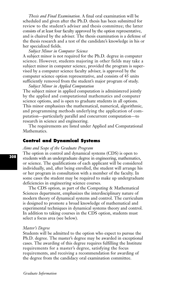*Thesis and Final Examination.* A final oral examination will be scheduled and given after the Ph.D. thesis has been submitted for review to the student's adviser and thesis committee; the latter consists of at least four faculty approved by the option representative, and is chaired by the adviser. The thesis examination is a defense of the thesis research and a test of the candidate's knowledge in his or her specialized fields.

# *Subject Minor in Computer Science*

A subject minor is not required for the Ph.D. degree in computer science. However, students majoring in other fields may take a subject minor in computer science, provided the program is supervised by a computer science faculty adviser, is approved by the computer science option representative, and consists of 45 units sufficiently removed from the student's major program of study.

*Subject Minor in Applied Computation* 

The subject minor in applied computation is administered jointly by the applied and computational mathematics and computer science options, and is open to graduate students in all options. This minor emphasizes the mathematical, numerical, algorithmic, and programming methods underlying the application of computation—particularly parallel and concurrent computation—to research in science and engineering.

The requirements are listed under Applied and Computational Mathematics.

# **Control and Dynamical Systems**

#### *Aims and Scope of the Graduate Program*

The option in control and dynamical systems (CDS) is open to students with an undergraduate degree in engineering, mathematics, or science. The qualifications of each applicant will be considered individually, and, after being enrolled, the student will arrange his or her program in consultation with a member of the faculty. In some cases the student may be required to make up undergraduate deficiencies in engineering science courses.

The CDS option, as part of the Computing & Mathematical Sciences department, emphasizes the interdisciplinary nature of modern theory of dynamical systems and control. The curriculum is designed to promote a broad knowledge of mathematical and experimental techniques in dynamical systems theory and control. In addition to taking courses in the CDS option, students must select a focus area (see below).

#### *Master's Degree*

Students will be admitted to the option who expect to pursue the Ph.D. degree. The master's degree may be awarded in exceptional cases. The awarding of this degree requires fulfilling the Institute requirements for a master's degree, satisfying the focus requirements, and receiving a recommendation for awarding of the degree from the candidacy oral examination committee.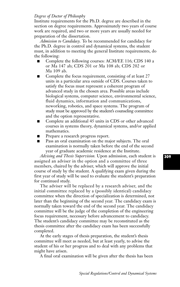# *Degree of Doctor of Philosophy*

Institute requirements for the Ph.D. degree are described in the section on degree requirements. Approximately two years of course work are required, and two or more years are usually needed for preparation of the dissertation.

*Admission to Candidacy.* To be recommended for candidacy for the Ph.D. degree in control and dynamical systems, the student must, in addition to meeting the general Institute requirements, do the following:

- Complete the following courses: ACM/EE 116; CDS 140 a or Ma 147 ab; CDS 201 or Ma 108 ab; CDS 202 or Ma 109 ab.
- Complete the focus requirement, consisting of at least 27 units in a particular area outside of CDS. Courses taken to satisfy the focus must represent a coherent program of advanced study in the chosen area. Possible areas include biological systems, computer science, environmental science, fluid dynamics, information and communications, neworking, robotics, and space systems. The program of study must be approved by the student's counseling committee and the option representative.
- Complete an additional 45 units in CDS or other advanced courses in systems theory, dynamical systems, and/or applied mathematics.
- Prepare a research progress report.
- Pass an oral examination on the major subjects. The oral examination is normally taken before the end of the second year of graduate academic residence at the Institute.

*Advising and Thesis Supervision.* Upon admission, each student is assigned an adviser in the option and a committee of three members, chaired by the adviser, which will approve the initial course of study by the student. A qualifying exam given during the first year of study will be used to evaluate the student's preparation for continued study.

The adviser will be replaced by a research adviser, and the initial committee replaced by a (possibly identical) candidacy committee when the direction of specialization is determined, not later than the beginning of the second year. The candidacy exam is normally taken toward the end of the second year. The candidacy committee will be the judge of the completion of the engineering focus requirement, necessary before advancement to candidacy. The student's candidacy committee may be reconstituted as the thesis committee after the candidacy exam has been successfully completed.

At the early stages of thesis preparation, the student's thesis committee will meet as needed, but at least yearly, to advise the student of his or her progress and to deal with any problems that might have arisen.

A final oral examination will be given after the thesis has been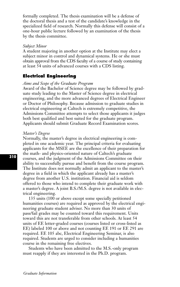formally completed. The thesis examination will be a defense of the doctoral thesis and a test of the candidate's knowledge in the specialized field of research. Normally this defense will consist of a one-hour public lecture followed by an examination of the thesis by the thesis committee.

# *Subject Minor*

A student majoring in another option at the Institute may elect a subject minor in control and dynamical systems. He or she must obtain approval from the CDS faculty of a course of study containing at least 54 units of advanced courses with a CDS listing.

# **Electrical Engineering**

## *Aims and Scope of the Graduate Program*

Award of the Bachelor of Science degree may be followed by graduate study leading to the Master of Science degree in electrical engineering, and the more advanced degrees of Electrical Engineer or Doctor of Philosophy. Because admission to graduate studies in electrical engineering at Caltech is extremely competitive, the Admissions Committee attempts to select those applicants it judges both best qualified and best suited for the graduate program. Applicants should submit Graduate Record Examination scores.

### *Master's Degree*

Normally, the master's degree in electrical engineering is completed in one academic year. The principal criteria for evaluating applicants for the MSEE are the excellence of their preparation for the math- and physics-oriented nature of Caltech's graduate courses, and the judgment of the Admissions Committee on their ability to successfully pursue and benefit from the course program. The Institute does not normally admit an applicant to the master's degree in a field in which the applicant already has a master's degree from another U.S. institution. Financial aid is seldom offered to those who intend to complete their graduate work with a master's degree. A joint B.S./M.S. degree is not available in electrical engineering.

135 units (100 or above except some specially petitioned humanities courses) are required as approved by the electrical engineering graduate student adviser. No more than 30 units of pass/fail grades may be counted toward this requirement. Units toward this are not transferable from other schools. At least 54 units of EE letter-graded courses (courses listed or cross-listed as EE) labeled 100 or above and not counting EE 191 or EE 291 are required. EE 105 abc, Electrical Engineering Seminar, is also required. Students are urged to consider including a humanities course in the remaining free electives.

Students who have been admitted to the M.S.-only program must reapply if they are interested in the Ph.D. program.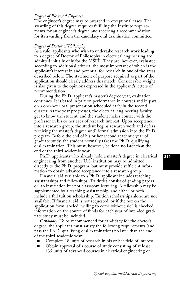# *Degree of Electrical Engineer*

The engineer's degree may be awarded in exceptional cases. The awarding of this degree requires fulfilling the Institute requirements for an engineer's degree and receiving a recommendation for its awarding from the candidacy oral examination committee.

# *Degree of Doctor of Philosophy*

As a rule, applicants who wish to undertake research work leading to a degree of Doctor of Philosophy in electrical engineering are admitted initially only for the MSEE. They are, however, evaluated according to additional criteria, the most important of which is the applicant's interest in and potential for research in one of the areas described below. The statement of purpose required as part of the application should clearly address this match. Considerable weight is also given to the opinions expressed in the applicant's letters of recommendation.

During the Ph.D. applicant's master's degree year, evaluation continues. It is based in part on performance in courses and in part on a one-hour oral presentation scheduled early in the second quarter. As the year progresses, the electrical engineering faculty get to know the student, and the student makes contact with the professor in his or her area of research interest. Upon acceptance into a research group, the student begins research work and defers receiving the master's degree until formal admission into the Ph.D. program. Before the end of his or her second academic year of graduate study, the student normally takes the Ph.D. qualifying oral examination. This must, however, be done no later than the end of the third academic year.

Ph.D. applicants who already hold a master's degree in electrical engineering from another U.S. institution may be admitted directly to the Ph.D. program, but must provide sufficient information to obtain advance acceptance into a research group.

Financial aid available to a Ph.D. applicant includes teaching assistantships and fellowships. TA duties consist of grading papers or lab instruction but not classroom lecturing. A fellowship may be supplemented by a teaching assistantship, and either or both include a full tuition scholarship. Tuition scholarships alone are not available. If financial aid is not requested, or if the box on the application form labeled "willing to come without aid'' is checked, information on the source of funds for each year of intended graduate study must be included.

*Candidacy.* To be recommended for candidacy for the doctor's degree, the applicant must satisfy the following requirements (and pass the Ph.D. qualifying oral examination) no later than the end of the third academic year:

- Complete 18 units of research in his or her field of interest.
- Obtain approval of a course of study consisting of at least 135 units of advanced courses in electrical engineering or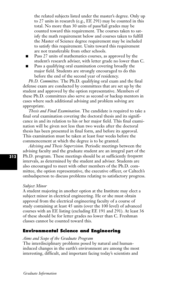the related subjects listed under the master's degree. Only up to 27 units in research (e.g., EE 291) may be counted in this total. No more than 30 units of pass/fail grades may be counted toward this requirement. The courses taken to satisfy the math requirement below and courses taken to fulfill the Master of Science degree requirement may be included to satisfy this requirement. Units toward this requirement are not transferable from other schools.

- Pass 27 units of mathematics courses, as approved by the student's research adviser, with letter grade no lower than C.
- Pass a qualifying oral examination covering broadly the major field. Students are strongly encouraged to do this before the end of the second year of residency.

*Ph.D. Committee.* The Ph.D. qualifying oral exam and the final defense exam are conducted by committees that are set up by the student and approved by the option representative. Members of these Ph.D. committees also serve as second or backup mentors in cases where such additional advising and problem solving are appropriate.

*Thesis and Final Examination.* The candidate is required to take a final oral examination covering the doctoral thesis and its significance in and its relation to his or her major field. This final examination will be given not less than two weeks after the doctoral thesis has been presented in final form, and before its approval. This examination must be taken at least four weeks before the commencement at which the degree is to be granted.

*Advising and Thesis Supervision.* Periodic meetings between the advising faculty and the graduate student are an integral part of the Ph.D. program. These meetings should be at sufficiently frequent intervals, as determined by the student and adviser. Students are also encouraged to meet with other members of the Ph.D. committee, the option representative, the executive officer, or Caltech's ombudsperson to discuss problems relating to satisfactory progress.

#### *Subject Minor*

A student majoring in another option at the Institute may elect a subject minor in electrical engineering. He or she must obtain approval from the electrical engineering faculty of a course of study containing at least 45 units (over the 100 level) of advanced courses with an EE listing (excluding EE 191 and 291). At least 36 of these should be for letter grades no lower than C. Freshman classes cannot be counted toward this.

# **Environmental Science and Engineering**

# *Aims and Scope of the Graduate Program*

The interdisciplinary problems posed by natural and humaninduced changes in the earth's environment are among the most interesting, difficult, and important facing today's scientists and

*Graduate Information*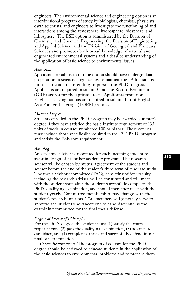engineers. The environmental science and engineering option is an interdivisional program of study by biologists, chemists, physicists, earth scientists, and engineers to investigate the functioning of and interactions among the atmosphere, hydrosphere, biosphere, and lithosphere. The ESE option is administered by the Division of Chemistry and Chemical Engineering, the Division of Engineering and Applied Science, and the Division of Geological and Planetary Sciences and promotes both broad knowledge of natural and engineered environmental systems and a detailed understanding of the application of basic science to environmental issues.

#### *Admission*

Applicants for admission to the option should have undergraduate preparation in science, engineering, or mathematics. Admission is limited to students intending to pursue the Ph.D. degree. Applicants are required to submit Graduate Record Examination (GRE) scores for the aptitude tests. Applicants from non-English-speaking nations are required to submit Test of English As a Foreign Language (TOEFL) scores.

# *Master's Degree*

Students enrolled in the Ph.D. program may be awarded a master's degree if they have satisfied the basic Institute requirement of 135 units of work in courses numbered 100 or higher. These courses must include those specifically required in the ESE Ph.D. program and satisfy the ESE core requirement.

#### *Advising*

An academic adviser is appointed for each incoming student to assist in design of his or her academic program. The research adviser will be chosen by mutual agreement of the student and adviser before the end of the student's third term of graduate study. The thesis advisory committee (TAC), consisting of four faculty including the research adviser, will be constituted and will meet with the student soon after the student successfully completes the Ph.D. qualifying examination, and should thereafter meet with the student yearly. Committee membership may change with the student's research interests. TAC members will generally serve to approve the student's advancement to candidacy and as the examining committee for the final thesis defense.

#### *Degree of Doctor of Philosophy*

For the Ph.D. degree, the student must (1) satisfy the course requirements, (2) pass the qualifying examination, (3) advance to candidacy, and (4) complete a thesis and successfully defend it in a final oral examination.

*Course Requirements.* The program of courses for the Ph.D. degree should be designed to educate students in the application of the basic sciences to environmental problems and to prepare them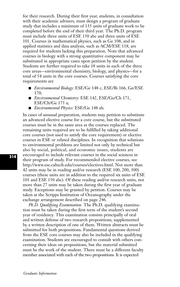for their research. During their first year, students, in consultation with their academic advisers, must design a program of graduate study that includes a minimum of 135 units of graduate work to be completed before the end of their third year. The Ph.D. program must include three units of ESE 150 abc and three units of ESE 101. Courses in mathematical physics, such as Ge 108, and in applied statistics and data analysis, such as ACM/ESE 118, are required for students lacking this preparation. Note that advanced courses in biology with a strong quantitative component may be substituted in appropriate cases upon petition by the student. Students are further required to take 18 units in each of the three core areas—environmental chemistry, biology, and physics—for a total of 54 units in the core courses. Courses satisfying the core requirements are

- **■** *Environmental Biology:* ESE/Ge 148 c, ESE/Bi 166, Ge/ESE  $170$
- **■** *Environmental Chemistry:* ESE 142, ESE/Ge/Ch 171, ESE/Ch/Ge 175 a;
- **■** *Environmental Physics:* ESE/Ge 148 ab.

In cases of unusual preparation, students may petition to substitute an advanced elective course for a core course, but the substituted courses must be in the same area as the courses replaced. The remaining units required are to be fulfilled by taking additional core courses (not used to satisfy the core requirement) or elective courses in ESE or related disciplines. In recognition that solutions to environmental problems are limited not only by technical but also by social, political, and economic issues, students are encouraged to include relevant courses in the social sciences in their program of study. For recommended elective courses, see http://www.ese.caltech.edu/courses/electives.html. Not more than 42 units may be in reading and/or research (ESE 100, 200, 300) courses (these units are in addition to the required six units of ESE 101 and ESE 150 abc). Of these reading and/or research units, not more than 27 units may be taken during the first year of graduate study. Exceptions may be granted by petition. Courses may be taken at the Scripps Institution of Oceanography under the exchange arrangement described on page 246.

*Ph.D. Qualifying Examination.* The Ph.D. qualifying examination must be taken during the first term of the student's second year of residency. This examination consists principally of oral and written defense of two research propositions, supplemented by a written description of one of them. Written abstracts must be submitted for both propositions. Fundamental questions derived from the ESE core courses may also be included in the qualifying examination. Students are encouraged to consult with others concerning their ideas on propositions, but the material submitted must be the work of the student. There must be a different faculty member associated with each of the two propositions. It is expected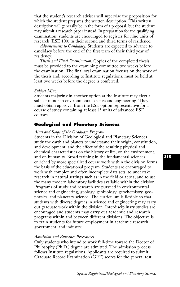that the student's research adviser will supervise the proposition for which the student prepares the written description. This written description will generally be in the form of a proposal, but the student may submit a research paper instead. In preparation for the qualifying examination, students are encouraged to register for nine units of research (ESE 100) in their second and third terms of residence.

*Advancement to Candidacy.* Students are expected to advance to candidacy before the end of the first term of their third year of residency.

*Thesis and Final Examination.* Copies of the completed thesis must be provided to the examining committee two weeks before the examination. The final oral examination focuses on the work of the thesis and, according to Institute regulations, must be held at least two weeks before the degree is conferred.

#### *Subject Minor*

Students majoring in another option at the Institute may elect a subject minor in environmental science and engineering. They must obtain approval from the ESE option representative for a course of study containing at least 45 units of advanced ESE courses.

# **Geological and Planetary Sciences**

# *Aims and Scope of the Graduate Program*

Students in the Division of Geological and Planetary Sciences study the earth and planets to understand their origin, constitution, and development, and the effect of the resulting physical and chemical characteristics on the history of life, on the environment, and on humanity. Broad training in the fundamental sciences enriched by more specialized course work within the division forms the basis of the educational program. Students are encouraged to work with complex and often incomplete data sets, to undertake research in natural settings such as in the field or at sea, and to use the many modern laboratory facilities available within the division. Programs of study and research are pursued in environmental science and engineering, geology, geobiology, geochemistry, geophysics, and planetary science. The curriculum is flexible so that students with diverse degrees in science and engineering may carry out graduate work within the division. Interdisciplinary studies are encouraged and students may carry out academic and research programs within and between different divisions. The objective is to train students for future employment in academic research, government, and industry.

### *Admission and Entrance Procedures*

Only students who intend to work full-time toward the Doctor of Philosophy (Ph.D.) degree are admitted. The admission process follows Institute regulations. Applicants are required to submit Graduate Record Examination (GRE) scores for the general test.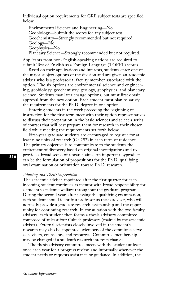Individual option requirements for GRE subject tests are specified below:

Environmental Science and Engineering—No. Geobiology—Submit the scores for any subject test. Geochemistry—Strongly recommended but not required. Geology—No. Geophysics—No. Planetary Science—Strongly recommended but not required.

Applicants from non-English-speaking nations are required to submit Test of English as a Foreign Language (TOEFL) scores.

Based on their applications and interests, students enter one of the major subject options of the division and are given an academic adviser who is a professorial faculty member associated with the option. The six options are environmental science and engineering, geobiology, geochemistry, geology, geophysics, and planetary science. Students may later change options, but must first obtain approval from the new option. Each student must plan to satisfy the requirements for the Ph.D. degree in one option.

Entering students in the week preceding the beginning of instruction for the first term meet with their option representatives to discuss their preparation in the basic sciences and select a series of courses that will best prepare them for research in their chosen field while meeting the requirements set forth below.

First-year graduate students are encouraged to register for at least nine units of research (Ge 297) in each term of residence. The primary objective is to communicate to the students the excitement of discovery based on original investigations and to provide a broad scope of research aims. An important byproduct can be the formulation of propositions for the Ph.D. qualifying oral examination or orientation toward Ph.D. research.

## *Advising and Thesis Supervision*

The academic adviser appointed after the first quarter for each incoming student continues as mentor with broad responsibility for a student's academic welfare throughout the graduate program. During the second year, after passing the qualifying examination, each student should identify a professor as thesis adviser, who will normally provide a graduate research assistantship and the opportunity for continuing research. In consultation with the two faculty advisers, each student then forms a thesis advisory committee composed of at least four Caltech professors (chaired by the academic adviser). External scientists closely involved in the student's research may also be appointed. Members of the committee serve as advisers, counselors, and resources. Committee membership may be changed if a student's research interests change.

The thesis advisory committee meets with the student at least once each year for a progress review, and informally whenever the student needs or requests assistance or guidance. In addition, the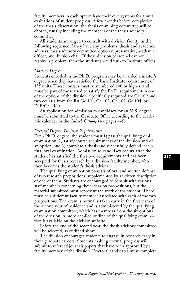faculty members in each option have their own systems for annual evaluations of student progress. A few months before completion of the thesis dissertation, the thesis examining committee will be chosen, usually including the members of the thesis advisory committee.

All students are urged to consult with division faculty in the following sequence if they have any problems: thesis and academic advisers, thesis advisory committee, option representative, academic officer, and division chair. If these division personnel cannot resolve a problem, then the student should turn to Institute offices.

### *Master's Degree*

Students enrolled in the Ph.D. program may be awarded a master's degree when they have satisfied the basic Institute requirement of 135 units. These courses must be numbered 100 or higher, and must be part of those used to satisfy the Ph.D. requirement in one of the options of the division. Specifically required are Ge 109 and two courses from the list Ge 101, Ge 102, Ge 103, Ge 104, or ESE/Ge 148 a.

An application for admission to candidacy for an M.S. degree must be submitted to the Graduate Office according to the academic calendar in the *Caltech Catalog* (see pages 4–5).

### *Doctoral Degree: Division Requirements*

For a Ph.D. degree, the student must 1) pass the qualifying oral examination, 2) satisfy course requirements of the division and of an option, and 3) complete a thesis and successfully defend it in a final oral examination. Admission to candidacy occurs after the student has satisfied the first two requirements and has been accepted for thesis research by a division faculty member, who then becomes the student's thesis adviser.

The qualifying examination consists of oral and written defense of two research propositions, supplemented by a written description of one of them. Students are encouraged to consult with various staff members concerning their ideas on propositions, but the material submitted must represent the work of the student. There must be a different faculty member associated with each of the two propositions. The exam is normally taken early in the first term of the second year of residence and is administered by the qualifying examination committee, which has members from the six options of the division. A more detailed outline of the qualifying examination is available on the division website.

Before the end of the second year, the thesis advisory committee will be selected, as outlined above.

The division encourages students to engage in research early in their graduate careers. Students making normal progress will submit to refereed journals papers that have been approved by a faculty member of the division. Doctoral candidates must complete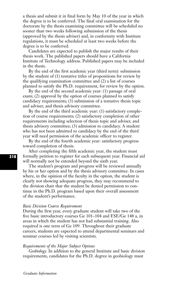a thesis and submit it in final form by May 10 of the year in which the degree is to be conferred. The final oral examination for the doctorate by the thesis examining committee will be scheduled no sooner than two weeks following submission of the thesis (approved by the thesis adviser) and, in conformity with Institute regulations, it must be scheduled at least two weeks before the degree is to be conferred.

Candidates are expected to publish the major results of their thesis work. The published papers should have a California Institute of Technology address. Published papers may be included in the thesis.

By the end of the first academic year (third term): submission by the student of (1) tentative titles of propositions for review by the qualifying examination committee and (2) a list of courses planned to satisfy the Ph.D. requirement, for review by the option.

By the end of the second academic year: (1) passage of oral exam; (2) approval by the option of courses planned to satisfy candidacy requirements; (3) submission of a tentative thesis topic and adviser, and thesis advisory committee.

By the end of the third academic year: (1) satisfactory completion of course requirements; (2) satisfactory completion of other requirements including selection of thesis topic and adviser, and thesis advisory committee; (3) admission to candidacy. A student who has not been admitted to candidacy by the end of the third year will need permission of the academic officer to register.

By the end of the fourth academic year: satisfactory progress toward completion of thesis.

After completing the fifth academic year, the student must formally petition to register for each subsequent year. Financial aid will normally not be extended beyond the sixth year.

The student's program and progress will be reviewed annually by his or her option and by the thesis advisory committee. In cases where, in the opinion of the faculty in the option, the student is clearly not showing adequate progress, they may recommend to the division chair that the student be denied permission to continue in the Ph.D. program based upon their overall assessment of the student's performance.

#### *Basic Division Course Requirement*

During the first year, every graduate student will take two of the five basic introductory courses Ge 101–104 and ESE/Ge 148 a, in areas in which the student has not had substantial training. Also required is one term of Ge 109. Throughout their graduate careers, students are expected to attend departmental seminars and seminar courses led by visiting scientists.

## *Requirements of the Major Subject Options*

*Geobiology.* In addition to the general Institute and basic division requirements, candidates for the Ph.D. degree in geobiology must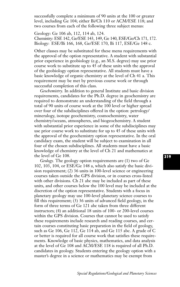successfully complete a minimum of 90 units at the 100 or greater level, including Ge 104; either Bi/Ch 110 or ACM/ESE 118; and two courses from each of the following three subject menus:

Geology: Ge 106 ab, 112, 114 ab, 124. Chemistry: ESE 142, Ge/ESE 143, 149, Ge 140, ESE/Ge/Ch 171, 172. Biology: ESE/Bi 166, 168, Ge/ESE 170, Bi 117, ESE/Ge 148 c.

Other classes may be substituted for these menu requirements with the approval of the option representative. A student with substantial prior experience in geobiology (e.g., an M.S. degree) may use prior course work to substitute up to 45 of these units with the approval of the geobiology option representative. All students must have a basic knowledge of organic chemistry at the level of Ch 41 a. This requirement may be met by previous course work or through successful completion of this class.

*Geochemistry.* In addition to general Institute and basic division requirements, candidates for the Ph.D. degree in geochemistry are required to demonstrate an understanding of the field through a total of 90 units of course work at the 100 level or higher spread over four of the subdisciplines offered in the option: petrology/ mineralogy, isotope geochemistry, cosmochemistry, water chemistry/oceans, atmospheres, and biogeochemistry. A student with substantial prior experience in some of the subdisciplines may use prior course work to substitute for up to 45 of these units with the approval of the geochemistry option representative. In the oral candidacy exam, the student will be subject to examination in all four of the chosen subdisciplines. All students must have a basic knowledge of chemistry at the level of Ch 21 and mathematics at the level of Ge 108.

*Geology.* The geology option requirements are (1) two of Ge 102, 103, 104, or ESE/Ge 148 a, which also satisfy the basic division requirement; (2) 36 units in 100-level science or engineering courses taken outside the GPS division, or in courses cross-listed with other divisions. Ch 21 abc may be included as part of these units, and other courses below the 100 level may be included at the discretion of the option representative. Students with a focus in planetary geology may use 100-level planetary science courses to fill this requirement; (3) 36 units of advanced field geology, in the form of three terms of Ge 121 abc taken from three different instructors; (4) an additional 18 units of 100- or 200-level courses within the GPS division. Courses that cannot be used to satisfy these requirements include research and reading courses, and certain courses constituting basic preparation in the field of geology, such as Ge 106, Ge 112, Ge 114 ab, and Ge 115 abc. A grade of C or better is required for all course work that satisfies these requirements. Knowledge of basic physics, mathematics, and data analysis at the level of Ge 108 and ACM/ESE 118 is required of all Ph.D. candidates in geology. Students entering the geology option with a master's degree in a science or mathematics may be exempt from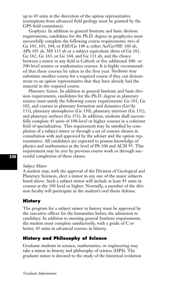up to 45 units at the discretion of the option representative (exemptions from advanced field geology must be granted by the GPS field committee).

*Geophysics.* In addition to general Institute and basic division requirements, candidates for the Ph.D. degree in geophysics must successfully complete the following course requirements: two of Ge 101, 103, 104, or ESE/Ge 148 a; either Ae/Ge/ME 160 ab, APh 105 ab, MS 115 ab or a subject equivalent; three of Ge 161, Ge 162, Ge 163, or Ge 164, and Ge 111 ab, and the choice between a minor in any field at Caltech or five additional 100- or 200-level science or mathematics courses. It is highly recommended that these courses be taken in the first year. Students may substitute another course for a required course if they can demonstrate to an option representative that they have already had the material in the required course.

*Planetary Science.* In addition to general Institute and basic division requirements, candidates for the Ph.D. degree in planetary science must satisfy the following course requirements: Ge 101, Ge 102, and courses in planetary formation and dynamics (Ge/Ay 133), planetary atmospheres (Ge 150), planetary interiors (Ge 131), and planetary surfaces (Ge 151). In addition, students shall successfully complete 45 units of 100-level or higher courses in a coherent field of specialization. This requirement may be satisfied by completion of a subject minor or through a set of courses chosen in consultation with and approved by the adviser and the option representative. All candidates are expected to possess knowledge of physics and mathematics at the level of Ph 106 and ACM 95. This requirement may be met by previous course work or through successful completion of these classes.

### *Subject Minor*

A student may, with the approval of the Division of Geological and Planetary Sciences, elect a minor in any one of the major subjects listed above. Such a subject minor will include at least 45 units in courses at the 100 level or higher. Normally, a member of the division faculty will participate in the student's oral thesis defense.

# **History**

The program for a subject minor in history must be approved by the executive officer for the humanities before the admission to candidacy. In addition to meeting general Institute requirements, the student must complete satisfactorily, with a grade of C or better, 45 units in advanced courses in history.

# **History and Philosophy of Science**

Graduate students in science, mathematics, or engineering may take a minor in history and philosophy of science (HPS). The graduate minor is devoted to the study of the historical evolution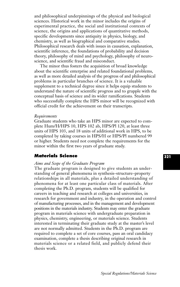and philosophical underpinnings of the physical and biological sciences. Historical work in the minor includes the origins of experimental practice, the social and institutional contexts of science, the origins and applications of quantitative methods, specific developments since antiquity in physics, biology, and chemistry, as well as biographical and comparative studies. Philosophical research deals with issues in causation, explanation, scientific inference, the foundations of probability and decision theory, philosophy of mind and psychology, philosophy of neuroscience, and scientific fraud and misconduct.

The minor thus fosters the acquisition of broad knowledge about the scientific enterprise and related foundational problems, as well as more detailed analysis of the progress of and philosophical problems in particular branches of science. It is a valuable supplement to a technical degree since it helps equip students to understand the nature of scientific progress and to grapple with the conceptual basis of science and its wider ramifications. Students who successfully complete the HPS minor will be recognized with official credit for the achievement on their transcripts.

#### *Requirements*

Graduate students who take an HPS minor are expected to complete Hum/H/HPS 10, HPS 102 ab, HPS/Pl 120, at least three units of HPS 103, and 18 units of additional work in HPS, to be completed by taking courses in HPS/H or HPS/Pl numbered 99 or higher. Students need not complete the requirements for the minor within the first two years of graduate study.

# **Materials Science**

# *Aims and Scope of the Graduate Program*

The graduate program is designed to give students an understanding of general phenomena in synthesis–structure–property relationships in all materials, plus a detailed understanding of phenomena for at least one particular class of materials. After completing the Ph.D. program, students will be qualified for careers in teaching and research at colleges and universities, in research for government and industry, in the operation and control of manufacturing processes, and in the management and development positions in the materials industry. Students may enter the graduate program in materials science with undergraduate preparation in physics, chemistry, engineering, or materials science. Students interested in terminating their graduate study at the master's level are not normally admitted. Students in the Ph.D. program are required to complete a set of core courses, pass an oral candidacy examination, complete a thesis describing original research in materials science or a related field, and publicly defend their thesis work.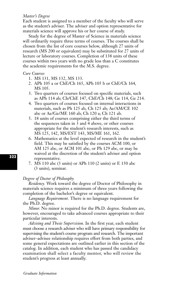# *Master's Degree*

Each student is assigned to a member of the faculty who will serve as the student's adviser. The adviser and option representative for materials science will approve his or her course of study.

Study for the degree of Master of Science in materials science will ordinarily require three terms of courses. The courses shall be chosen from the list of core courses below, although 27 units of research (MS 200 or equivalent) may be substituted for 27 units of lecture or laboratory courses. Completion of 138 units of these courses within two years with no grade less than a C constitutes the academic requirements for the M.S. degree.

## *Core Courses*

- 1. MS 131, MS 132, MS 133.
- 2. APh 105 a or ChE/Ch 165, APh 105 b or ChE/Ch 164, MS 105.
- 3. Two quarters of courses focused on specific materials, such as APh 114 ab; Ch/ChE 147, ChE/Ch 148; Ge 114, Ge 214.
- 4. Two quarters of courses focused on internal interactions in materials, such as Ph 125 ab, Ch 125 ab; Ae/AM/CE 102 abc or Ae/Ge/ME 160 ab; Ch 120 a; Ch 121 ab.
- 5. 18 units of courses comprising either the third terms of the sequences taken in 3 and 4 above, or other courses appropriate for the student's research interests, such as MS 125, 142, MS/EST 143, MS/ME 161, 162.
- 6. Mathematics at the level expected of research in the student's field. This may be satisfied by the courses ACM 100, or AM 125 abc, or ACM 101 abc, or Ph 129 abc, or may be waived at the discretion of the student's adviser and option representative.
- 7. MS 110 abc (3 units) or APh 110 (2 units) or E 150 abc (3 units), seminar.

# *Degree of Doctor of Philosophy*

*Residency.* Work toward the degree of Doctor of Philosophy in materials science requires a minimum of three years following the completion of the bachelor's degree or equivalent.

*Language Requirement.* There is no language requirement for the Ph.D. degree.

*Minor.* No minor is required for the Ph.D. degree. Students are, however, encouraged to take advanced courses appropriate to their particular interests.

*Advising and Thesis Supervision.* In the first year, each student must choose a research adviser who will have primary responsibility for supervising the student's course program and research. The important adviser–advisee relationship requires effort from both parties, and some general expectations are outlined earlier in this section of the catalog. In addition, each student who has passed the candidacy examination shall select a faculty mentor, who will review the student's progress at least annually.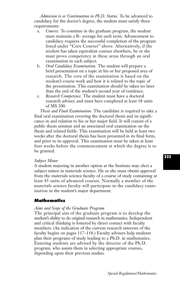*Admission to or Continuation in Ph.D. Status.* To be advanced to candidacy for the doctor's degree, the student must satisfy three requirements:

- a. *Courses.* To continue in the graduate program, the student must maintain a B– average for each term. Advancement to candidacy requires the successful completion of the program listed under "Core Courses" above. Alternatively, if the student has taken equivalent courses elsewhere, he or she must prove competency in these areas through an oral examination in each subject.
- b. *Oral Candidacy Examination.* The student will prepare a brief presentation on a topic in his or her proposed area of research. The core of the examination is based on the student's course work and how it is related to the topic of the presentation. This examination should be taken no later than the end of the student's second year of residence.
- c. *Research Competence.* The student must have a doctoral research adviser, and must have completed at least 18 units of MS 200.

*Thesis and Final Examination.* The candidate is required to take a final oral examination covering the doctoral thesis and its significance in and relation to his or her major field. It will consist of a public thesis seminar and an associated oral examination on the thesis and related fields. This examination will be held at least two weeks after the doctoral thesis has been presented in its final form, and prior to its approval. This examination must be taken at least four weeks before the commencement at which the degree is to be granted.

#### *Subject Minor*

A student majoring in another option at the Institute may elect a subject minor in materials science. He or she must obtain approval from the materials science faculty of a course of study containing at least 45 units of advanced courses. Normally a member of the materials science faculty will participate in the candidacy examination in the student's major department.

# **Mathematics**

#### *Aims and Scope of the Graduate Program*

The principal aim of the graduate program is to develop the student's ability to do original research in mathematics. Independent and critical thinking is fostered by direct contact with faculty members. (An indication of the current research interests of the faculty begins on pages 117–118.) Faculty advisers help students plan their programs of study leading to a Ph.D. in mathematics. Entering students are advised by the director of the Ph.D. program, who assists them in selecting appropriate courses, depending upon their previous studies.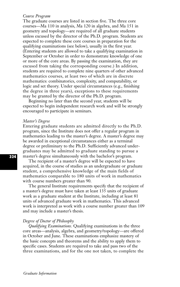## *Course Program*

The graduate courses are listed in section five. The three core courses—Ma 110 in analysis, Ma 120 in algebra, and Ma 151 in geometry and topology—are required of all graduate students unless excused by the director of the Ph.D. program. Students are expected to complete these core courses in preparation for the qualifying examinations (see below), usually in the first year. (Entering students are allowed to take a qualifying examination in September or October in order to demonstrate knowledge of one or more of the core areas. By passing the examination, they are excused from taking the corresponding course.) In addition, students are required to complete nine quarters of other advanced mathematics courses, at least two of which are in discrete mathematics: combinatorics, complexity, and computability, or logic and set theory. Under special circumstances (e.g., finishing the degree in three years), exceptions to these requirements may be granted by the director of the Ph.D. program.

Beginning no later than the second year, students will be expected to begin independent research work and will be strongly encouraged to participate in seminars.

#### *Master's Degree*

Entering graduate students are admitted directly to the Ph.D. program, since the Institute does not offer a regular program in mathematics leading to the master's degree. A master's degree may be awarded in exceptional circumstances either as a terminal degree or preliminary to the Ph.D. Sufficiently advanced undergraduates may be admitted to graduate standing to pursue a master's degree simultaneously with the bachelor's program.

The recipient of a master's degree will be expected to have acquired, in the course of studies as an undergraduate or graduate student, a comprehensive knowledge of the main fields of mathematics comparable to 180 units of work in mathematics with course numbers greater than 90.

The general Institute requirements specify that the recipient of a master's degree must have taken at least 135 units of graduate work as a graduate student at the Institute, including at least 81 units of advanced graduate work in mathematics. This advanced work is interpreted as work with a course number greater than 109 and may include a master's thesis.

#### *Degree of Doctor of Philosophy*

*Qualifying Examinations.* Qualifying examinations in the three core areas—analysis, algebra, and geometry/topology—are offered in October and June. These examinations emphasize mastery of the basic concepts and theorems and the ability to apply them to specific cases. Students are required to take and pass two of the three examinations, and for the one not taken, to complete the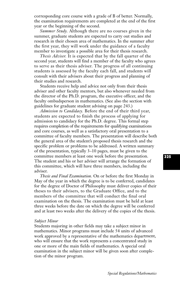corresponding core course with a grade of B of better. Normally, the examination requirements are completed at the end of the first year or the beginning of the second.

*Summer Study.* Although there are no courses given in the summer, graduate students are expected to carry out studies and research in their chosen area of mathematics. In the summer after the first year, they will work under the guidance of a faculty member to investigate a possible area for their thesis research.

*Thesis Adviser.* It is expected that by the fall quarter of the second year, students will find a member of the faculty who agrees to serve as their thesis adviser. The progress of all continuing students is assessed by the faculty each fall, and students will consult with their advisers about their progress and planning of their studies and research.

Students receive help and advice not only from their thesis adviser and other faculty mentors, but also whenever needed from the director of the Ph.D. program, the executive officer, and the faculty ombudsperson in mathematics. (See also the section with guidelines for graduate student advising on page 243.)

*Admission to Candidacy.* Before the end of their third year, students are expected to finish the process of applying for admission to candidacy for the Ph.D. degree. This formal step requires completion of the requirements for qualifying examinations and core courses, as well as a satisfactory oral presentation to a committee of faculty members. The presentation will describe both the general area of the student's proposed thesis research and the specific problem or problems to be addressed. A written summary of the presentation, typically 3–10 pages, must be given to the committee members at least one week before the presentation. The student and his or her adviser will arrange the formation of this committee, which will have three members, including the adviser.

*Thesis and Final Examination.* On or before the first Monday in May of the year in which the degree is to be conferred, candidates for the degree of Doctor of Philosophy must deliver copies of their theses to their advisers, to the Graduate Office, and to the members of the committee that will conduct the final oral examination on the thesis. The examination must be held at least three weeks before the date on which the degree will be conferred and at least two weeks after the delivery of the copies of the thesis.

#### *Subject Minor*

Students majoring in other fields may take a subject minor in mathematics. Minor programs must include 54 units of advanced work approved by a representative of the mathematics department, who will ensure that the work represents a concentrated study in one or more of the main fields of mathematics. A special oral examination in the subject minor will be given soon after completion of the minor program.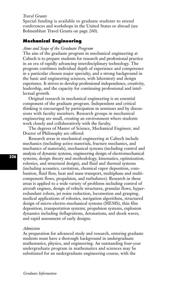# *Travel Grants*

Special funding is available to graduate students to attend conferences and workshops in the United States or abroad (see Bohnenblust Travel Grants on page 260).

# **Mechanical Engineering**

#### *Aims and Scope of the Graduate Program*

The aim of the graduate program in mechanical engineering at Caltech is to prepare students for research and professional practice in an era of rapidly advancing interdisciplinary technology. The program combines individual depth of experience and competence in a particular chosen major specialty, and a strong background in the basic and engineering sciences, with laboratory and design experience. It strives to develop professional independence, creativity, leadership, and the capacity for continuing professional and intellectual growth.

Original research in mechanical engineering is an essential component of the graduate program. Independent and critical thinking is encouraged by participation in seminars and by discussions with faculty members. Research groups in mechanical engineering are small, creating an environment where students work closely and collaboratively with the faculty.

The degrees of Master of Science, Mechanical Engineer, and Doctor of Philosophy are offered.

Research areas in mechanical engineering at Caltech include mechanics (including active materials, fracture mechanics, and mechanics of materials), mechanical systems (including control and analysis of dynamic systems, engineering design of electromechanical systems, design theory and methodology, kinematics, optimization, robotics, and structural design), and fluid and thermal systems (including acoustics, cavitation, chemical vapor deposition, combustion, fluid flow, heat and mass transport, multiphase and multicomponent flows, propulsion, and turbulence). Research in these areas is applied to a wide variety of problems including control of aircraft engines, design of vehicle structures, granular flows, hyperredundant robots, jet noise reduction, locomotion and grasping, medical applications of robotics, navigation algorithms, structured design of micro-electro-mechanical systems (MEMS), thin film deposition, transportation systems, propulsion systems, explosion dynamics including deflagrations, detonations, and shock waves, and rapid assessment of early designs.

# *Admission*

As preparation for advanced study and research, entering graduate students must have a thorough background in undergraduate mathematics, physics, and engineering. An outstanding four-year undergraduate program in mathematics and sciences may be substituted for an undergraduate engineering course, with the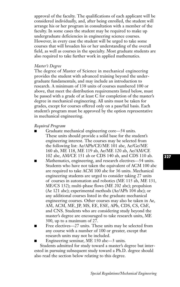approval of the faculty. The qualifications of each applicant will be considered individually, and, after being enrolled, the student will arrange his or her program in consultation with a member of the faculty. In some cases the student may be required to make up undergraduate deficiencies in engineering science courses. However, in every case the student will be urged to take some courses that will broaden his or her understanding of the overall field, as well as courses in the specialty. Most graduate students are also required to take further work in applied mathematics.

# *Master's Degree*

The degree of Master of Science in mechanical engineering provides the student with advanced training beyond the undergraduate fundamentals, and may include an introduction to research. A minimum of 138 units of courses numbered 100 or above, that meet the distribution requirements listed below, must be passed with a grade of at least C for completion of the master's degree in mechanical engineering. All units must be taken for grades, except for courses offered only on a pass/fail basis. Each student's program must be approved by the option representative in mechanical engineering.

# *Required Program*

- Graduate mechanical engineering core—54 units. These units should provide a solid base for the student's engineering interest. The courses may be selected from the following list: Ae/APh/CE/ME 101 abc, Ae/Ge/ME 160 ab, ME 118, ME 119 ab, Ae/ME 120 ab, Ae/AM/CE 102 abc, AM/CE 151 ab or CDS 140 ab, and CDS 110 ab.
- Mathematics, engineering, and research electives—54 units. Students who have not taken the equivalent of ACM 100 abc are required to take ACM 100 abc for 36 units. Mechanical engineering students are urged to consider taking 27 units of courses in automation and robotics (ME 115 ab, ME 131, ME/CS 132); multi-phase flows (ME 202 abc); propulsion (Ae 121 abc); experimental methods (Ae/APh 104 abc); or any additional courses listed in the graduate mechanical engineering courses. Other courses may also be taken in Ae, AM, ACM, ME, JP, MS, EE, ESE, APh, CDS, CS, ChE, and CNS. Students who are considering study beyond the master's degree are encouraged to take research units, ME 300, up to a maximum of 27.
- Free electives—27 units. These units may be selected from any course with a number of 100 or greater, except that research units may not be included.

Engineering seminar, ME 150 abc—3 units.

Students admitted for study toward a master's degree but interested in pursuing subsequent study toward a Ph.D. degree should also read the section below relating to this degree.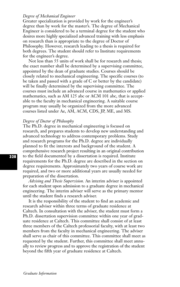# *Degree of Mechanical Engineer*

Greater specialization is provided by work for the engineer's degree than by work for the master's. The degree of Mechanical Engineer is considered to be a terminal degree for the student who desires more highly specialized advanced training with less emphasis on research than is appropriate to the degree of Doctor of Philosophy. However, research leading to a thesis is required for both degrees. The student should refer to Institute requirements for the engineer's degree.

Not less than 55 units of work shall be for research and thesis; the exact number shall be determined by a supervising committee, appointed by the dean of graduate studies. Courses should be closely related to mechanical engineering. The specific courses (to be taken and passed with a grade of C or better by the candidate) will be finally determined by the supervising committee. The courses must include an advanced course in mathematics or applied mathematics, such as AM 125 abc or ACM 101 abc, that is acceptable to the faculty in mechanical engineering. A suitable course program may usually be organized from the more advanced courses listed under Ae, AM, ACM, CDS, JP, ME, and MS.

# *Degree of Doctor of Philosophy*

The Ph.D. degree in mechanical engineering is focused on research, and prepares students to develop new understanding and advanced technology to address contemporary problems. Study and research programs for the Ph.D. degree are individually planned to fit the interests and background of the student. A comprehensive research project resulting in an original contribution to the field documented by a dissertation is required. Institute requirements for the Ph.D. degree are described in the section on degree requirements. Approximately two years of course work are required, and two or more additional years are usually needed for preparation of the dissertation.

*Advising and Thesis Supervision.* An interim adviser is appointed for each student upon admission to a graduate degree in mechanical engineering. The interim adviser will serve as the primary mentor until the student finds a research adviser.

It is the responsibility of the student to find an academic and research adviser within three terms of graduate residence at Caltech. In consultation with the adviser, the student must form a Ph.D. dissertation supervision committee within one year of graduate residence at Caltech. This committee shall consist of at least three members of the Caltech professorial faculty, with at least two members from the faculty in mechanical engineering. The adviser shall serve as chair of this committee. This committee shall meet as requested by the student. Further, this committee shall meet annually to review progress and to approve the registration of the student beyond the fifth year of graduate residence at Caltech.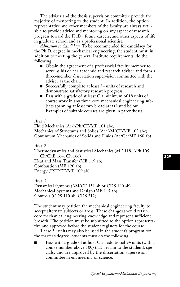The adviser and the thesis supervision committee provide the majority of mentoring to the student. In addition, the option representative and other members of the faculty are always available to provide advice and mentoring on any aspect of research, progress toward the Ph.D., future careers, and other aspects of life in graduate school and as a professional scientist.

*Admission to Candidacy.* To be recommended for candidacy for the Ph.D. degree in mechanical engineering, the student must, in addition to meeting the general Institute requirements, do the following:

- Obtain the agreement of a professorial faculty member to serve as his or her academic and research adviser and form a three-member dissertation supervision committee with the adviser as the chair.
- Successfully complete at least 54 units of research and demonstrate satisfactory research progress.
- Pass with a grade of at least C a minimum of 18 units of course work in any three core mechanical engineering subjects spanning at least two broad areas listed below. Examples of suitable courses are given in parentheses.

# *Area 1*

Fluid Mechanics (Ae/APh/CE/ME 101 abc) Mechanics of Structures and Solids (Ae/AM/CE/ME 102 abc) Continuum Mechanics of Solids and Fluids (Ae/Ge/ME 160 ab)

## *Area 2*

Thermodynamics and Statistical Mechanics (ME 118, APh 105, Ch/ChE 164, Ch 166) Heat and Mass Transfer (ME 119 ab) Combustion (ME 120 ab) Energy (EST/EE/ME 109 ab)

*Area 3*

Dynamical Systems (AM/CE 151 ab or CDS 140 ab) Mechanical Systems and Design (ME 115 ab) Controls (CDS 110 ab, CDS 212)

The student may petition the mechanical engineering faculty to accept alternate subjects or areas. These changes should retain core mechanical engineering knowledge and represent sufficient breadth. The petition must be submitted to the option representative and approved before the student registers for the course.

These 54 units may also be used in the student's program for the master's degree. Students must do the following:

Pass with a grade of at least C an additional 54 units (with a course number above 100) that pertain to the student's specialty and are approved by the dissertation supervision committee in engineering or science.

# **329**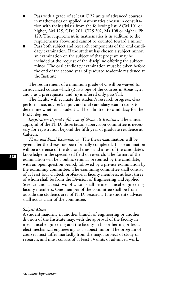- Pass with a grade of at least C 27 units of advanced courses in mathematics or applied mathematics chosen in consultation with their adviser from the following list: ACM 101 or higher, AM 125, CDS 201, CDS 202, Ma 108 or higher, Ph 129. The requirement in mathematics is in addition to the requirements above and cannot be counted toward a minor.
- Pass both subject and research components of the oral candidacy examination. If the student has chosen a subject minor, an examination on the subject of that program may be included at the request of the discipline offering the subject minor. The oral candidacy examination must be taken before the end of the second year of graduate academic residence at the Institute.

The requirement of a minimum grade of C will be waived for an advanced course which (i) lists one of the courses in Areas 1, 2, and 3 as a prerequisite, and (ii) is offered only pass/fail.

The faculty will evaluate the student's research progress, class performance, adviser's input, and oral candidacy exam results to determine whether a student will be admitted to candidacy for the Ph.D. degree.

*Registration Beyond Fifth Year of Graduate Residence.* The annual approval of the Ph.D. dissertation supervision committee is necessary for registration beyond the fifth year of graduate residence at Caltech.

*Thesis and Final Examination.* The thesis examination will be given after the thesis has been formally completed. This examination will be a defense of the doctoral thesis and a test of the candidate's knowledge in the specialized field of research. The format of the examination will be a public seminar presented by the candidate, with an open question period, followed by a private examination by the examining committee. The examining committee shall consist of at least four Caltech professorial faculty members, at least three of whom shall be from the Division of Engineering and Applied Science, and at least two of whom shall be mechanical engineering faculty members. One member of the committee shall be from outside the student's area of Ph.D. research. The student's adviser shall act as chair of the committee.

#### *Subject Minor*

A student majoring in another branch of engineering or another division of the Institute may, with the approval of the faculty in mechanical engineering and the faculty in his or her major field, elect mechanical engineering as a subject minor. The program of courses must differ markedly from the major subject of study or research, and must consist of at least 54 units of advanced work.

*Graduate Information*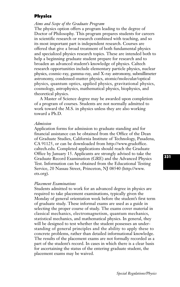# **Physics**

# *Aims and Scope of the Graduate Program*

The physics option offers a program leading to the degree of Doctor of Philosophy. This program prepares students for careers in scientific research or research combined with teaching, and so its most important part is independent research. Courses are offered that give a broad treatment of both fundamental physics and specialized physics research topics. These are intended both to help a beginning graduate student prepare for research and to broaden an advanced student's knowledge of physics. Caltech research opportunities include elementary particle physics, nuclear physics, cosmic-ray, gamma-ray, and X-ray astronomy, submillimeter astronomy, condensed-matter physics, atomic/molecular/optical physics, quantum optics, applied physics, gravitational physics, cosmology, astrophysics, mathematical physics, biophysics, and theoretical physics.

A Master of Science degree may be awarded upon completion of a program of courses. Students are not normally admitted to work toward the M.S. in physics unless they are also working toward a Ph.D.

#### *Admission*

Application forms for admission to graduate standing and for financial assistance can be obtained from the Office of the Dean of Graduate Studies, California Institute of Technology, Pasadena, CA 91125, or can be downloaded from http://www.gradoffice. caltech.edu. Completed applications should reach the Graduate Office by January 15. Applicants are strongly advised to take the Graduate Record Examination (GRE) and the Advanced Physics Test. Information can be obtained from the Educational Testing Service, 20 Nassau Street, Princeton, NJ 08540 (http://www. ets.org).

#### *Placement Examinations*

Students admitted to work for an advanced degree in physics are required to take placement examinations, typically given the Monday of general orientation week before the student's first term of graduate study. These informal exams are used as a guide in selecting the proper course of study. The exams cover material in classical mechanics, electromagnetism, quantum mechanics, statistical mechanics, and mathematical physics. In general, they will be designed to test whether the student possesses an understanding of general principles and the ability to apply these to concrete problems, rather than detailed informational knowledge. The results of the placement exams are not formally recorded as a part of the student's record. In cases in which there is a clear basis for ascertaining the status of the entering graduate student, the placement exams may be waived.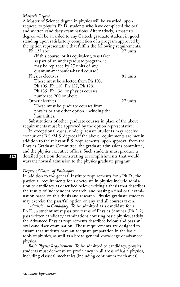# *Master's Degree*

A Master of Science degree in physics will be awarded, upon request, to physics Ph.D. students who have completed the oral and written candidacy examinations. Alternatively, a master's degree will be awarded to any Caltech graduate student in good standing upon satisfactory completion of a program approved by the option representative that fulfills the following requirements: Ph 125 abc 27 units

(If this course, or its equivalent, was taken as part of an undergraduate program, it may be replaced by 27 units of any quantum-mechanics–based course.) Physics electives 81 units These must be selected from Ph 103,

Ph 105, Ph 118, Ph 127, Ph 129,

Ph 135, Ph 136, or physics courses

numbered 200 or above.

Other electives 27 units

These must be graduate courses from physics or any other option, including the humanities.

Substitutions of other graduate courses in place of the above requirements must be approved by the option representative.

In exceptional cases, undergraduate students may receive concurrent B.S./M.S. degrees if the above requirements are met in addition to the relevant B.S. requirements, upon approval from the Physics Graduate Committee, the graduate admissions committee, and the physics executive officer. Such students must produce a detailed petition demonstrating accomplishments that would warrant normal admission to the physics graduate program.

# *Degree of Doctor of Philosophy*

In addition to the general Institute requirements for a Ph.D., the particular requirements for a doctorate in physics include admission to candidacy as described below, writing a thesis that describes the results of independent research, and passing a final oral examination based on this thesis and research. Physics graduate students may exercise the pass/fail option on any and all courses taken.

*Admission to Candidacy.* To be admitted as a candidate for a Ph.D., a student must pass two terms of Physics Seminar (Ph 242), pass written candidacy examinations covering basic physics, satisfy the Advanced Physics requirements described below, and pass an oral candidacy examination. These requirements are designed to ensure that students have an adequate preparation in the basic tools of physics, as well as a broad general knowledge of advanced physics.

*Basic Physics Requirement.* To be admitted to candidacy, physics students must demonstrate proficiency in all areas of basic physics, including classical mechanics (including continuum mechanics),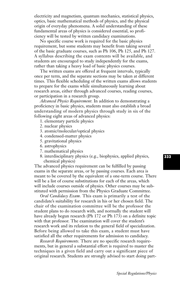electricity and magnetism, quantum mechanics, statistical physics, optics, basic mathematical methods of physics, and the physical origin of everyday phenomena. A solid understanding of these fundamental areas of physics is considered essential, so proficiency will be tested by written candidacy examinations.

No specific course work is required for the basic physics requirement, but some students may benefit from taking several of the basic graduate courses, such as Ph 106, Ph 125, and Ph 127. A syllabus describing the exam contents will be available, and students are encouraged to study independently for the exams, rather than taking a heavy load of basic physics courses.

The written exams are offered at frequent intervals, typically once per term, and the separate sections may be taken at different times. This flexible scheduling of the written exams allows students to prepare for the exams while simultaneously learning about research areas, either through advanced courses, reading courses, or participation in a research group.

*Advanced Physics Requirement.* In addition to demonstrating a proficiency in basic physics, students must also establish a broad understanding of modern physics through study in six of the following eight areas of advanced physics:

- 1. elementary particle physics
- 2. nuclear physics
- 3. atomic/molecular/optical physics
- 4. condensed-matter physics
- 5. gravitational physics
- 6. astrophysics
- 7. mathematical physics
- 8. interdisciplinary physics (e.g., biophysics, applied physics, chemical physics)

The advanced physics requirement can be fulfilled by passing exams in the separate areas, or by passing courses. Each area is meant to be covered by the equivalent of a one-term course. There will be a list of course substitutions for each of the areas, which will include courses outside of physics. Other courses may be substituted with permission from the Physics Graduate Committee.

*Oral Candidacy Exam.* This exam is primarily a test of the candidate's suitability for research in his or her chosen field. The chair of the examination committee will be the professor the student plans to do research with, and normally the student will have already begun research (Ph 172 or Ph 173) on a definite topic with that professor. The examination will cover the student's research work and its relation to the general field of specialization. Before being allowed to take this exam, a student must have satisfied all the other requirements for admission to candidacy.

*Research Requirements.* There are no specific research requirements, but in general a substantial effort is required to master the techniques in a given field and carry out a significant piece of original research. Students are strongly advised to start doing part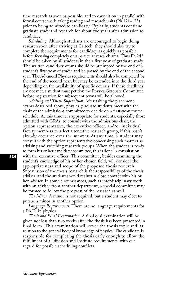time research as soon as possible, and to carry it on in parallel with formal course work, taking reading and research units (Ph 171–173) prior to being admitted to candidacy. Typically, students continue graduate study and research for about two years after admission to candidacy.

*Scheduling.* Although students are encouraged to begin doing research soon after arriving at Caltech, they should also try to complete the requirements for candidacy as quickly as possible before focusing completely on a particular research area. Thus Ph 242 should be taken by all students in their first year of graduate study. The written candidacy exams should be attempted by the end of a student's first year of study, and be passed by the end of the second year. The Advanced Physics requirements should also be completed by the end of the second year, but may be extended into the third year depending on the availability of specific courses. If these deadlines are not met, a student must petition the Physics Graduate Committee before registration for subsequent terms will be allowed.

*Advising and Thesis Supervision.* After taking the placement exams described above, physics graduate students meet with the chair of the admissions committee to decide on a first-year course schedule. At this time it is appropriate for students, especially those admitted with GRAs, to consult with the admissions chair, the option representative, the executive officer, and/or individual faculty members to select a tentative research group, if this hasn't already occurred over the summer. At any time, a student may consult with the option representative concerning such matters as advising and switching research groups. When the student is ready to form his or her candidacy committee, this is done in consultation with the executive officer. This committee, besides examining the student's knowledge of his or her chosen field, will consider the appropriateness and scope of the proposed thesis research. Supervision of the thesis research is the responsibility of the thesis adviser, and the student should maintain close contact with his or her adviser. In some circumstances, such as interdisciplinary work with an adviser from another department, a special committee may be formed to follow the progress of the research as well.

*The Minor.* A minor is not required, but a student may elect to pursue a minor in another option.

*Language Requirements.* There are no language requirements for a Ph.D. in physics.

*Thesis and Final Examination.* A final oral examination will be given not less than two weeks after the thesis has been presented in final form. This examination will cover the thesis topic and its relation to the general body of knowledge of physics. The candidate is responsible for completing the thesis early enough to allow the fulfillment of all division and Institute requirements, with due regard for possible scheduling conflicts.

*Graduate Information*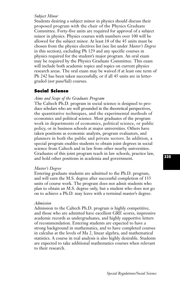# *Subject Minor*

Students desiring a subject minor in physics should discuss their proposed program with the chair of the Physics Graduate Committee. Forty-five units are required for approval of a subject minor in physics. Physics courses with numbers over 100 will be allowed for the subject minor. At least 18 of the 45 units must be chosen from the physics electives list (see list under *Master's Degree* in this section), excluding Ph 129 and any specific courses in physics required for the student's major program. An oral exam may be required by the Physics Graduate Committee. This exam will include both academic topics and topics on current physics research areas. The oral exam may be waived if at least one term of Ph 242 has been taken successfully, or if all 45 units are in lettergraded (*not* pass/fail) courses.

# **Social Science**

# *Aims and Scope of the Graduate Program*

The Caltech Ph.D. program in social science is designed to produce scholars who are well grounded in the theoretical perspectives, the quantitative techniques, and the experimental methods of economics and political science. Most graduates of the program work in departments of economics, political science, or public policy, or in business schools at major universities. Others have taken positions as economic analysts, program evaluators, and planners in both the public and private sectors. In addition, a special program enables students to obtain joint degrees in social science from Caltech and in law from other nearby universities. Graduates of this joint program teach in law schools, practice law, and hold other positions in academia and government.

### *Master's Degree*

Entering graduate students are admitted to the Ph.D. program, and will earn the M.S. degree after successful completion of 135 units of course work. The program does not admit students who plan to obtain an M.S. degree only, but a student who does not go on to achieve a Ph.D. may leave with a terminal master's degree.

# *Admission*

Admission to the Caltech Ph.D. program is highly competitive, and those who are admitted have excellent GRE scores, impressive academic records as undergraduates, and highly supportive letters of recommendation. Entering students are expected to have a strong background in mathematics, and to have completed courses in calculus at the levels of Ma 2, linear algebra, and mathematical statistics. A course in real analysis is also highly desirable. Students are expected to take additional mathematics courses when relevant to their research.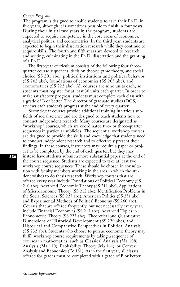## *Course Program*

The program is designed to enable students to earn their Ph.D. in five years, although it is sometimes possible to finish in four years. During their initial two years in the program, students are expected to acquire competence in the core areas of economics, analytical politics, and econometrics. In the third year, students are expected to begin their dissertation research while they continue to acquire skills. The fourth and fifth years are devoted to research and writing, culminating in the Ph.D. dissertation and the granting of a Ph.D.

The first-year curriculum consists of the following four threequarter course sequences: decision theory, game theory, and social choice (SS 201 abc); political institutions and political behavior (SS 202 abc); foundations of economics (SS 205 abc), and econometrics (SS 222 abc). All courses are nine units each, so students must register for at least 36 units each quarter. In order to make satisfactory progress, students must complete each class with a grade of B or better. The director of graduate studies (DGS) reviews each student's progress at the end of every quarter.

Second-year courses provide additional training in various subfields of social science and are designed to teach students how to conduct independent research. Many courses are designated as "workshop" courses, which are coordinated two- or three-quarter sequences in particular subfields. The sequential workshop courses are designed to provide the skills and knowledge that students need to conduct independent research and to effectively present their findings. In these courses, instructors may require a paper or project to be completed by the end of each quarter, but they may instead have students submit a more substantial paper at the end of the course sequence. Students are expected to take at least two workshop course sequences. These should be chosen in consultation with faculty members working in the area in which the student wishes to do thesis research. Workshop courses that are offered every year include Foundations of Political Economy (SS 210 abc), Advanced Economic Theory (SS 211 abc), Applications of Microeconomic Theory (SS 212 abc), Identification Problems in the Social Sciences (SS 227 abc), American Politics (SS 231 abc), and Experimental Methods of Political Economy (SS 260 abc). Courses that are offered frequently, but not necessarily every year, include Financial Economics (SS 213 abc), Advanced Topics in Econometric Theory (SS 223 abc), Theoretical and Quantitative Dimensions of Historical Development (SS 229 abc), and Historical and Comparative Perspectives in Political Analysis (SS 232 abc). Students who choose to pursue economic theory may fulfill workshop course requirements by taking a sequence of courses in mathematics, such as Classical Analysis (Ma 108), Analysis (Ma 110), Probability Theory (Ma 144), or Convex Analysis and Economics (Ec 181). As in the first year, all classes offered for grades must be completed with a grade of B or better.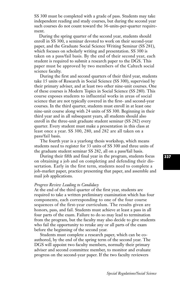SS 300 must be completed with a grade of pass. Students may take independent reading and study courses, but during the second year such courses do not count toward the 36-units-per-quarter requirement.

During the spring quarter of the second year, students should enroll in SS 300, a seminar devoted to work on their second-year paper, and the Graduate Social Science Writing Seminar (SS 281), which focuses on scholarly writing and presentation. SS 300 is taken on a pass/fail basis. By the end of their second year, each student is required to submit a research paper to the DGS. This paper must be approved by two members of the Caltech social science faculty.

During the first and second quarters of their third year, students take 15 units of Research in Social Science (SS 300), supervised by their primary adviser, and at least two other nine-unit courses. One of these courses is Modern Topics in Social Science (SS 280). This course exposes students to influential works in areas of social science that are not typically covered in the first- and second-year courses. In the third quarter, students must enroll in at least one nine-unit course along with 24 units of SS 300. Beginning in their third year and in all subsequent years, all students should also enroll in the three-unit graduate student seminar (SS 282) every quarter. Every student must make a presentation in this class at least once a year. SS 300, 280, and 282 are all taken on a pass/fail basis.

The fourth year is a yearlong thesis workshop, which means students need to register for 33 units of SS 300 and three units of the graduate student seminar SS 282, all on a pass/fail basis.

During their fifth and final year in the program, students focus on obtaining a job and on completing and defending their dissertation. Early in the first term, students need to complete a job-market paper, practice presenting that paper, and assemble and mail job applications.

### *Progress Review Leading to Candidacy*

At the end of the third quarter of the first year, students are required to take a written preliminary examination which has four components, each corresponding to one of the four course sequences of the first-year curriculum. The results given are honors, pass, and fail. Students must achieve at least a pass in all four parts of the exam. Failure to do so may lead to termination from the program, but the faculty may also decide to give students who fail the opportunity to retake any or all parts of the exam before the beginning of the second year.

Students must complete a research paper, which can be coauthored, by the end of the spring term of the second year. The DGS will appoint two faculty members, normally their primary adviser and second committee member, to monitor and evaluate progress on the second-year paper. If the two faculty reviewers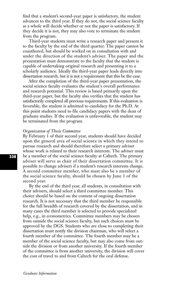find that a student's second-year paper is satisfactory, the student advances to the third year. If they do not, the social science faculty as a whole will decide whether or not the paper is satisfactory. If they decide it is not, they may also vote to terminate the student from the program.

Third-year students must write a research paper and present it to the faculty by the end of the third quarter. The paper cannot be coauthored, but should be worked on in consultation with and under the direction of the student's adviser. The paper and the presentation must demonstrate to the faculty that the student is capable of undertaking original research and presenting it to a scholarly audience. Ideally the third-year paper leads directly into dissertation research, but it is not a requirement that this be the case.

After the completion of the third-year paper presentation, the social science faculty evaluates the student's overall performance and research potential. This review is based primarily upon the third-year paper, but the faculty also verifies that the student has satisfactorily completed all previous requirements. If this evaluation is favorable, the student is admitted to candidacy for the Ph.D. At this point students need to file candidacy papers with the dean of graduate studies. If the evaluation is unfavorable, the student may be terminated from the program.

## *Organization of Thesis Committee*

By February 1 of their second year, students should have decided upon the general area of social science in which they intend to pursue research and should therefore select a primary adviser whose work is related to their research interests. The adviser must be a member of the social science faculty at Caltech. The primary adviser will serve as chair of their dissertation committee. It is possible to change advisers if a student's research interests change. A second committee member, who must also be a member of the social science faculty, should be chosen by June 1 of the second year.

By the end of the third year, all students, in consultation with their advisers, should select a third committee member. This choice should be based on the content of ongoing dissertation research. It is not necessary that the third member be responsible for the full breadth of research covered by the dissertation, and in many cases the third member is selected to provide specialized help, e.g., in econometrics. Committee members may be chosen from outside the social science faculty, but such choices must be approved by the DGS. Students who are close to completing their dissertation must notify the division chairman, who will select a fourth member of the committee. The fourth member may be a member of the social science faculty, but may also come from outside the division or from another university. If the fourth member of the committee is from another university, the division will cover the cost of travel to and from Caltech for the oral defense.